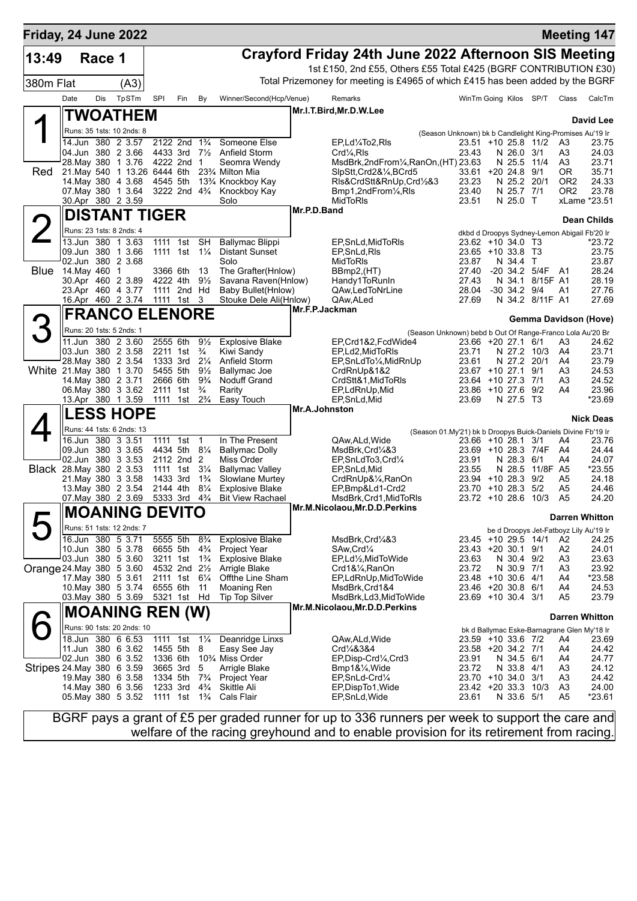| Friday, 24 June 2022      |                              |        |                                                |      |                                            |                                  |                                              |                |                                                                                 |                                          |                      |                 |                                    | <b>Meeting 147</b>                              |
|---------------------------|------------------------------|--------|------------------------------------------------|------|--------------------------------------------|----------------------------------|----------------------------------------------|----------------|---------------------------------------------------------------------------------|------------------------------------------|----------------------|-----------------|------------------------------------|-------------------------------------------------|
| 13:49                     |                              | Race 1 |                                                |      |                                            |                                  |                                              |                | Crayford Friday 24th June 2022 Afternoon SIS Meeting                            |                                          |                      |                 |                                    |                                                 |
|                           |                              |        |                                                |      |                                            |                                  |                                              |                | 1st £150, 2nd £55, Others £55 Total £425 (BGRF CONTRIBUTION £30)                |                                          |                      |                 |                                    |                                                 |
| 380m Flat                 |                              |        | (A3)                                           |      |                                            |                                  |                                              |                | Total Prizemoney for meeting is £4965 of which £415 has been added by the BGRF  |                                          |                      |                 |                                    |                                                 |
|                           | Date                         | Dis    | TpSTm                                          | SPI  | Fin                                        | By                               | Winner/Second(Hcp/Venue)                     |                | Remarks                                                                         | WinTm Going Kilos SP/T                   |                      |                 | Class                              | CalcTm                                          |
|                           |                              |        | TWOATHEM                                       |      |                                            |                                  |                                              |                | Mr.I.T.Bird, Mr.D.W.Lee                                                         |                                          |                      |                 |                                    | David Lee                                       |
|                           |                              |        | Runs: 35 1sts: 10 2nds: 8                      |      |                                            |                                  |                                              |                | (Season Unknown) bk b Candlelight King-Promises Au'19 Ir                        |                                          |                      |                 |                                    |                                                 |
|                           |                              |        | 14.Jun 380 2 3.57                              |      | 2122 2nd 1 <sup>3</sup> / <sub>4</sub>     |                                  | Someone Else                                 |                | EP,Ld1/4To2,RIs                                                                 | 23.51 +10 25.8 11/2                      |                      |                 | A3                                 | 23.75                                           |
|                           |                              |        | 04.Jun 380 2 3.66<br>28. May 380 1 3.76        |      | 4433 3rd<br>4222 2nd                       | $7\frac{1}{2}$<br>$\mathbf{1}$   | Anfield Storm<br>Seomra Wendy                |                | $Crd4$ , RIs<br>MsdBrk,2ndFrom1/4,RanOn,(HT) 23.63                              | 23.43                                    | N 26.0<br>N 25.5     | 3/1<br>11/4     | A3<br>A3                           | 24.03<br>23.71                                  |
| Red                       | 21. May 540 1 13.26 6444 6th |        |                                                |      |                                            |                                  | 23% Milton Mia                               |                | SlpStt,Crd2&1/4,BCrd5                                                           | 33.61 +20 24.8                           |                      | 9/1             | ΟR                                 | 35.71                                           |
|                           |                              |        | 14. May 380 4 3.68<br>07. May 380 1 3.64       |      | 4545 5th<br>3222 2nd 43/4                  |                                  | 13% Knockboy Kay<br>Knockboy Kay             |                | RIs&CrdStt&RnUp,Crd1/2&3<br>Bmp1,2ndFrom1/4,RIs                                 | 23.23<br>23.40                           | N 25.2<br>N 25.7 7/1 | 20/1            | OR <sub>2</sub><br>OR <sub>2</sub> | 24.33<br>23.78                                  |
|                           |                              |        | 30.Apr 380 2 3.59                              |      |                                            |                                  | Solo                                         |                | MidToRIs                                                                        | 23.51                                    | N 25.0 T             |                 |                                    | xLame *23.51                                    |
|                           |                              |        | <b>DISTANT TIGER</b>                           |      |                                            |                                  |                                              | Mr.P.D.Band    |                                                                                 |                                          |                      |                 |                                    | <b>Dean Childs</b>                              |
|                           |                              |        | Runs: 23 1sts: 8 2nds: 4                       |      |                                            |                                  |                                              |                |                                                                                 |                                          |                      |                 |                                    | dkbd d Droopys Sydney-Lemon Abigail Fb'20 Ir    |
|                           |                              |        | 13.Jun 380 1 3.63                              | 1111 | 1st                                        | <b>SH</b>                        | Ballymac Blippi                              |                | EP, SnLd, MidToRIs                                                              | 23.62 +10 34.0 T3                        |                      |                 |                                    | *23.72                                          |
|                           |                              |        | 09.Jun 380 1 3.66<br>02.Jun 380 2 3.68         |      | 1111 1st                                   | $1\frac{1}{4}$                   | <b>Distant Sunset</b><br>Solo                |                | EP,SnLd,RIs<br>MidToRIs                                                         | 23.65 +10 33.8 T3<br>23.87               | N 34.4               | $\top$          |                                    | 23.75<br>23.87                                  |
| <b>Blue</b>               | 14. May 460                  |        | 1                                              |      | 3366 6th                                   | 13                               | The Grafter(Hnlow)                           |                | BBmp2,(HT)                                                                      | 27.40                                    | -20 34.2 5/4F        |                 | - A1                               | 28.24                                           |
|                           |                              |        | 30.Apr 460 2 3.89                              |      | 4222 4th                                   | $9\frac{1}{2}$                   | Savana Raven(Hnlow)                          |                | Handy1ToRunIn                                                                   | 27.43                                    | N 34.1               | 8/15F A1        |                                    | 28.19                                           |
|                           |                              |        | 23.Apr 460 4 3.77<br>16.Apr 460 2 3.74         |      | 1111 2nd Hd<br>1111 1st 3                  |                                  | Baby Bullet(Hnlow)<br>Stouke Dele Ali(Hnlow) |                | QAw,LedToNrLine<br>QAw, ALed                                                    | 28.04<br>27.69                           | $-30$ 34.2 $9/4$     | N 34.2 8/11F A1 | A1                                 | 27.76<br>27.69                                  |
|                           |                              |        | <b>FRANCO ELENORE</b>                          |      |                                            |                                  |                                              | Mr.F.P.Jackman |                                                                                 |                                          |                      |                 |                                    |                                                 |
|                           |                              |        | Runs: 20 1sts: 5 2nds: 1                       |      |                                            |                                  |                                              |                |                                                                                 |                                          |                      |                 |                                    | <b>Gemma Davidson (Hove)</b>                    |
|                           |                              |        | 11.Jun 380 2 3.60                              |      | 2555 6th                                   | $9\frac{1}{2}$                   | <b>Explosive Blake</b>                       |                | (Season Unknown) bebd b Out Of Range-Franco Lola Au'20 Br<br>EP,Crd1&2,FcdWide4 | 23.66 +20 27.1 6/1                       |                      |                 | A3                                 | 24.62                                           |
|                           |                              |        | 03.Jun 380 2 3.58                              |      | 2211 1st                                   | $\frac{3}{4}$                    | Kiwi Sandy                                   |                | EP,Ld2,MidToRIs                                                                 | 23.71                                    | N 27.2               | 10/3            | A4                                 | 23.71                                           |
| White 21. May 380 1 3.70  |                              |        | 28. May 380 2 3.54                             |      | 1333 3rd<br>5455 5th                       | $2\frac{1}{4}$<br>$9\frac{1}{2}$ | Anfield Storm<br>Ballymac Joe                |                | EP, SnLdTo <sup>1</sup> / <sub>4</sub> , MidRnUp<br>CrdRnUp&1&2                 | 23.61<br>23.67 +10 27.1                  | N 27.2               | 20/1<br>9/1     | A4<br>A3                           | 23.79<br>24.53                                  |
|                           |                              |        | 14. May 380 2 3.71                             |      | 2666 6th                                   | $9\frac{3}{4}$                   | Noduff Grand                                 |                | CrdStt&1,MidToRIs                                                               | 23.64 +10 27.3                           |                      | 7/1             | A3                                 | 24.52                                           |
|                           |                              |        | 06. May 380 3 3.62                             | 1111 | 2111 1st<br>1st                            | $\frac{3}{4}$<br>$2\frac{3}{4}$  | Rarity<br>Easy Touch                         |                | EP,LdRnUp,Mid<br>EP, SnLd, Mid                                                  | 23.86 +10 27.6<br>23.69                  | N 27.5 T3            | 9/2             | A4                                 | 23.96<br>*23.69                                 |
|                           |                              |        | 13.Apr 380 1 3.59<br><b>LESS HOPE</b>          |      |                                            |                                  |                                              | Mr.A.Johnston  |                                                                                 |                                          |                      |                 |                                    |                                                 |
|                           |                              |        | Runs: 44 1sts: 6 2nds: 13                      |      |                                            |                                  |                                              |                |                                                                                 |                                          |                      |                 |                                    | <b>Nick Deas</b>                                |
|                           |                              |        | 16.Jun 380 3 3.51                              | 1111 | 1st                                        | $\mathbf{1}$                     | In The Present                               |                | (Season 01.My'21) bk b Droopys Buick-Daniels Divine Fb'19 Ir<br>QAw,ALd,Wide    | 23.66 +10 28.1                           |                      | 3/1             | A4                                 | 23.76                                           |
|                           |                              |        | 09.Jun 380 3 3.65                              |      | 4434 5th                                   | $8\frac{1}{4}$                   | <b>Ballymac Dolly</b>                        |                | MsdBrk,Crd¼&3                                                                   | $23.69$ +10 28.3                         |                      | 7/4F            | A4                                 | 24.44                                           |
| Black 28. May 380 2 3.53  |                              |        | 02.Jun 380 3 3.53                              | 1111 | 2112 2nd 2<br>1st                          | $3\frac{1}{4}$                   | Miss Order<br><b>Ballymac Valley</b>         |                | EP,SnLdTo3,Crd1/4<br>EP, SnLd, Mid                                              | 23.91<br>23.55                           | N 28.3<br>N 28.5     | 6/1<br>11/8F A5 | A4                                 | 24.07<br>*23.55                                 |
|                           |                              |        | 21. May 380 3 3.58                             |      | 1433 3rd                                   | $1\frac{3}{4}$                   | Slowlane Murtey                              |                | CrdRnUp&1⁄4,RanOn                                                               | $23.94$ +10 28.3                         |                      | 9/2             | A5                                 | 24.18                                           |
|                           |                              |        | 13. May 380 2 3.54                             |      | 2144 4th<br>5333 3rd                       | $8\frac{1}{4}$                   | <b>Explosive Blake</b>                       |                | EP,Bmp&Ld1-Crd2                                                                 | 23.70 +10 28.3<br>23.72 +10 28.6 10/3    |                      | 5/2             | A5                                 | 24.46<br>24.20                                  |
|                           |                              |        | 07 May 380 2 3.69                              |      |                                            | $4\frac{3}{4}$                   | <b>Bit View Rachael</b>                      |                | MsdBrk,Crd1,MidToRIs<br>Mr.M.Nicolaou, Mr.D.D.Perkins                           |                                          |                      |                 | A <sub>5</sub>                     |                                                 |
|                           |                              |        | <b>MOANING DEVITO</b>                          |      |                                            |                                  |                                              |                |                                                                                 |                                          |                      |                 |                                    | <b>Darren Whitton</b>                           |
|                           |                              |        | Runs: 51 1sts: 12 2nds: 7<br>16.Jun 380 5 3.71 |      | 5555 5th                                   | $8\frac{3}{4}$                   | <b>Explosive Blake</b>                       |                | MsdBrk,Crd¼&3                                                                   | 23.45 +10 29.5 14/1                      |                      |                 | A2                                 | be d Droopys Jet-Fatboyz Lily Au'19 Ir<br>24.25 |
|                           |                              |        | 10.Jun 380 5 3.78                              |      | 6655 5th                                   | $4\frac{3}{4}$                   | <b>Project Year</b>                          |                | SAw,Crd1⁄4                                                                      | 23.43 +20 30.1 9/1                       |                      |                 | A2                                 | 24.01                                           |
|                           |                              |        | 03.Jun 380 5 3.60                              |      | 3211 1st                                   | $1\frac{3}{4}$                   | <b>Explosive Blake</b>                       |                | EP,Ld½,MidToWide                                                                | 23.63                                    | N 30.4 9/2           |                 | A <sub>3</sub>                     | 23.63                                           |
| Orange 24 May 380 5 3.60  |                              |        | 17 May 380 5 3.61                              |      | 4532 2nd 21/ <sub>2</sub><br>2111 1st 61/4 |                                  | Arrigle Blake<br>Offthe Line Sham            |                | Crd1&¼,RanOn<br>EP,LdRnUp,MidToWide                                             | 23.72<br>23.48 +10 30.6 4/1              | N 30.9 7/1           |                 | A3<br>A4                           | 23.92<br>$*23.58$                               |
|                           |                              |        | 10. May 380 5 3.74                             |      | 6555 6th                                   | $-11$                            | Moaning Ren                                  |                | MsdBrk,Crd1&4                                                                   | 23.46 +20 30.8 6/1                       |                      |                 | A4                                 | 24.53                                           |
|                           |                              |        | 03. May 380 5 3.69                             |      | 5321 1st Hd                                |                                  | Tip Top Silver                               |                | MsdBrk,Ld3,MidToWide<br>Mr.M.Nicolaou, Mr.D.D.Perkins                           | 23.69 +10 30.4 3/1                       |                      |                 | A5                                 | 23.79                                           |
|                           |                              |        | <b>MOANING REN (W)</b>                         |      |                                            |                                  |                                              |                |                                                                                 |                                          |                      |                 |                                    | <b>Darren Whitton</b>                           |
|                           |                              |        | Runs: 90 1sts: 20 2nds: 10                     |      |                                            |                                  |                                              |                |                                                                                 |                                          |                      |                 |                                    | bk d Ballymac Eske-Barnagrane Glen My'18 Ir     |
|                           |                              |        | 18.Jun 380 6 6.53<br>11.Jun 380 6 3.62         |      | 1111 1st<br>1455 5th                       | $1\frac{1}{4}$<br>8              | Deanridge Linxs<br>Easy See Jay              |                | QAw,ALd,Wide<br>Crd1/4&3&4                                                      | 23.59 +10 33.6 7/2<br>23.58 +20 34.2 7/1 |                      |                 | A4<br>A4                           | 23.69<br>24.42                                  |
|                           |                              |        | 02.Jun 380 6 3.52                              |      | 1336 6th                                   |                                  | 10 <sup>3</sup> ⁄4 Miss Order                |                | EP, Disp-Crd1/4, Crd3                                                           | 23.91                                    | N 34.5 6/1           |                 | A4                                 | 24.77                                           |
| Stripes 24 May 380 6 3.59 |                              |        | 19. May 380 6 3.58                             |      | 3665 3rd<br>1334 5th                       | 5<br>$7\frac{3}{4}$              | Arrigle Blake<br><b>Project Year</b>         |                | Bmp1&¼,Wide<br>EP,SnLd-Crd1⁄4                                                   | 23.72<br>23.70 +10 34.0 3/1              | N 33.8 4/1           |                 | A3<br>A3                           | 24.12<br>24.42                                  |
|                           |                              |        | 14 May 380 6 3.56                              |      | 1233 3rd                                   | $4\frac{3}{4}$                   | Skittle Ali                                  |                | EP,DispTo1,Wide                                                                 | 23.42 +20 33.3 10/3                      |                      |                 | A3                                 | 24.00                                           |
|                           |                              |        | 05. May 380 5 3.52                             |      | 1111 1st 1 <sup>3</sup> / <sub>4</sub>     |                                  | Cals Flair                                   |                | EP, SnLd, Wide                                                                  | 23.61                                    | N 33.6 5/1           |                 | A5                                 | $*23.61$                                        |

BGRF pays a grant of £5 per graded runner for up to 336 runners per week to support the care and welfare of the racing greyhound and to enable provision for its retirement from racing.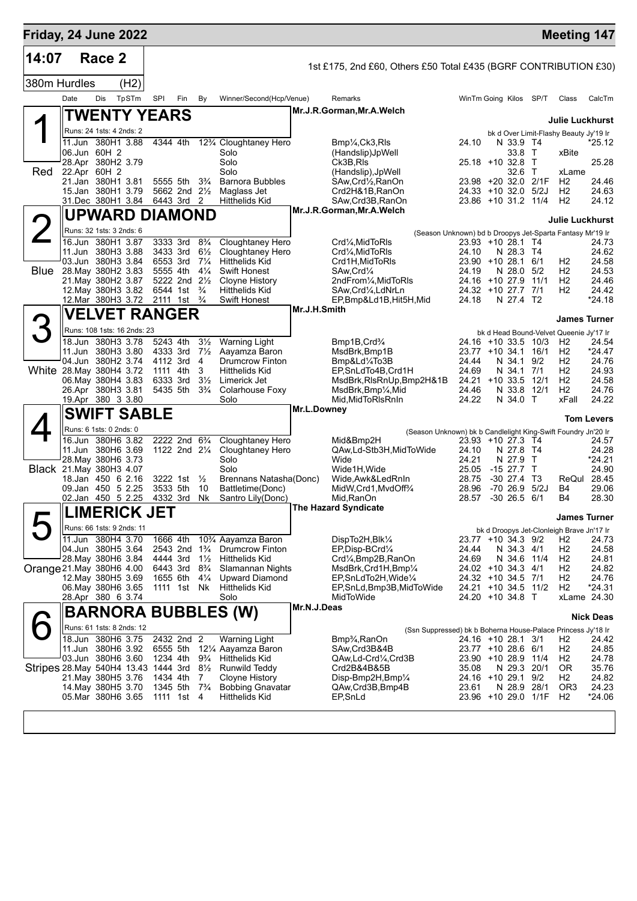| Friday, 24 June 2022                 |      |                                              |       |                                                    |     |                                  |                                                 |              |                                                                            |                                           |                     |            | <b>Meeting 147</b>                        |                   |
|--------------------------------------|------|----------------------------------------------|-------|----------------------------------------------------|-----|----------------------------------|-------------------------------------------------|--------------|----------------------------------------------------------------------------|-------------------------------------------|---------------------|------------|-------------------------------------------|-------------------|
| 14:07                                |      | Race 2                                       |       |                                                    |     |                                  |                                                 |              | 1st £175, 2nd £60, Others £50 Total £435 (BGRF CONTRIBUTION £30)           |                                           |                     |            |                                           |                   |
| 380m Hurdles                         |      |                                              | (H2)  |                                                    |     |                                  |                                                 |              |                                                                            |                                           |                     |            |                                           |                   |
|                                      | Date | Dis                                          | TpSTm | <b>SPI</b>                                         | Fin | By                               | Winner/Second(Hcp/Venue)                        |              | Remarks                                                                    | WinTm Going Kilos SP/T                    |                     |            | Class                                     | CalcTm            |
|                                      |      | <b>TWENTY YEARS</b>                          |       |                                                    |     |                                  |                                                 |              | Mr.J.R.Gorman, Mr.A.Welch                                                  |                                           |                     |            |                                           |                   |
|                                      |      | Runs: 24 1sts: 4 2nds: 2                     |       |                                                    |     |                                  |                                                 |              |                                                                            |                                           |                     |            | <b>Julie Luckhurst</b>                    |                   |
|                                      |      | 11.Jun 380H1 3.88                            |       | 4344 4th                                           |     |                                  | 12 <sup>3</sup> / <sub>4</sub> Cloughtaney Hero |              | Bmp¼,Ck3,Rls                                                               | 24.10                                     | N 33.9 T4           |            | bk d Over Limit-Flashy Beauty Jy'19 Ir    | *25.12            |
|                                      |      | 06.Jun 60H 2                                 |       |                                                    |     |                                  | Solo                                            |              | (Handslip)JpWell                                                           |                                           | 33.8 T              |            | xBite                                     |                   |
|                                      |      | 28.Apr 380H2 3.79                            |       |                                                    |     |                                  | Solo                                            |              | Ck3B.RIs                                                                   | 25.18 +10 32.8                            |                     | $\top$     |                                           | 25.28             |
| Red                                  |      | 22.Apr 60H 2<br>21.Jan 380H1 3.81            |       | 5555 5th                                           |     | $3\frac{3}{4}$                   | Solo<br><b>Barnora Bubbles</b>                  |              | (Handslip), JpWell<br>SAw,Crd½,RanOn                                       | 23.98 +20 32.0 2/1F                       | 32.6                | $\top$     | xLame<br>H <sub>2</sub>                   | 24.46             |
|                                      |      | 15.Jan 380H1 3.79                            |       | 5662 2nd 21/2                                      |     |                                  | Maglass Jet                                     |              | Crd2H&1B,RanOn                                                             | 24.33 +10 32.0 5/2J                       |                     |            | H <sub>2</sub>                            | 24.63             |
|                                      |      | 31.Dec 380H1 3.84                            |       | 6443 3rd                                           |     | 2                                | <b>Hitthelids Kid</b>                           |              | SAw, Crd3B, RanOn<br>Mr.J.R.Gorman, Mr.A.Welch                             | 23.86 +10 31.2                            |                     | 11/4       | H <sub>2</sub>                            | 24.12             |
|                                      |      | UPWARD DIAMOND                               |       |                                                    |     |                                  |                                                 |              |                                                                            |                                           |                     |            | Julie Luckhurst                           |                   |
|                                      |      | Runs: 32 1sts: 3 2nds: 6                     |       |                                                    |     |                                  |                                                 |              | (Season Unknown) bd b Droopys Jet-Sparta Fantasy Mr'19 Ir                  |                                           |                     |            |                                           |                   |
|                                      |      | 16.Jun 380H1 3.87<br>11.Jun 380H3 3.88       |       | 3333 3rd<br>3433 3rd                               |     | $8\frac{3}{4}$<br>$6\frac{1}{2}$ | Cloughtaney Hero<br>Cloughtaney Hero            |              | Crd1⁄4, MidToRIs<br>Crd1⁄4.MidToRIs                                        | 23.93 +10 28.1 T4<br>24.10                |                     |            |                                           | 24.73<br>24.62    |
|                                      |      | 03.Jun 380H3 3.84                            |       | 6553 3rd                                           |     | $7\frac{1}{4}$                   | <b>Hitthelids Kid</b>                           |              | Crd1H, MidToRIs                                                            | 23.90 +10 28.1                            | N 28.3 T4           | 6/1        | H <sub>2</sub>                            | 24.58             |
| Blue                                 |      | 28. May 380H2 3.83                           |       | 5555 4th                                           |     | $4\frac{1}{4}$                   | <b>Swift Honest</b>                             |              | SAw,Crd1⁄4                                                                 | 24.19                                     | N 28.0              | 5/2        | H <sub>2</sub>                            | 24.53             |
|                                      |      | 21. May 380H2 3.87<br>12. May 380H3 3.82     |       | 5222 2nd 21/2<br>6544 1st                          |     | $\frac{3}{4}$                    | Cloyne History<br>Hitthelids Kid                |              | 2ndFrom1/ <sub>4</sub> , MidToRIs<br>SAw, Crd1/4, LdNrLn                   | 24.16 +10 27.9<br>24.32 +10 27.7 7/1      |                     | 11/1       | H <sub>2</sub><br>H <sub>2</sub>          | 24.46<br>24.42    |
|                                      |      | 12. Mar 380H3 3.72                           |       | 2111 1st                                           |     | $\frac{3}{4}$                    | Swift Honest                                    |              | EP,Bmp&Ld1B,Hit5H,Mid                                                      | 24.18                                     | N 27.4 T2           |            |                                           | $*24.18$          |
|                                      |      | <b>VELVET RANGER</b>                         |       |                                                    |     |                                  |                                                 | Mr.J.H.Smith |                                                                            |                                           |                     |            | <b>James Turner</b>                       |                   |
| 3                                    |      | Runs: 108 1sts: 16 2nds: 23                  |       |                                                    |     |                                  |                                                 |              |                                                                            |                                           |                     |            | bk d Head Bound-Velvet Queenie Jy'17 Ir   |                   |
|                                      |      | 18.Jun 380H3 3.78                            |       | 5243 4th                                           |     | $3\frac{1}{2}$                   | <b>Warning Light</b>                            |              | Bmp1B, Crd <sup>3</sup> / <sub>4</sub>                                     | 24.16 +10 33.5 10/3                       |                     |            | H <sub>2</sub>                            | 24.54             |
|                                      |      | 11.Jun 380H3 3.80                            |       | 4333 3rd                                           |     | $7\frac{1}{2}$                   | Aayamza Baron                                   |              | MsdBrk, Bmp1B                                                              | 23.77 +10 34.1                            |                     | 16/1       | H <sub>2</sub>                            | *24.47            |
| White 28. May 380 H4 3.72            |      | 04.Jun 380H2 3.74                            |       | 4112 3rd<br>1111 4th                               |     | 4<br>3                           | <b>Drumcrow Finton</b><br>Hitthelids Kid        |              | Bmp&Ld1/4To3B<br>EP,SnLdTo4B,Crd1H                                         | 24.44<br>24.69                            | N 34.1<br>N 34.1    | 9/2<br>7/1 | H <sub>2</sub><br>H2                      | 24.76<br>24.93    |
|                                      |      | 06. May 380H4 3.83                           |       | 6333 3rd                                           |     | $3\frac{1}{2}$                   | Limerick Jet                                    |              | MsdBrk,RIsRnUp,Bmp2H&1B                                                    | $24.21 + 10.33.5$                         |                     | 12/1       | H <sub>2</sub>                            | 24.58             |
|                                      |      | 26.Apr 380H3 3.81<br>19.Apr 380 3 3.80       |       | 5435 5th                                           |     | $3\frac{3}{4}$                   | Colarhouse Foxy<br>Solo                         |              | MsdBrk,Bmp¼,Mid<br>Mid, MidToRIsRnIn                                       | 24.46<br>24.22                            | N 33.8<br>N 34.0 T  | 12/1       | H <sub>2</sub><br>xFall                   | 24.76<br>24.22    |
|                                      |      | <b>SWIFT SABLE</b>                           |       |                                                    |     |                                  |                                                 | Mr.L.Downey  |                                                                            |                                           |                     |            |                                           |                   |
|                                      |      |                                              |       |                                                    |     |                                  |                                                 |              |                                                                            |                                           |                     |            |                                           | <b>Tom Levers</b> |
|                                      |      | Runs: 6 1sts: 0 2nds: 0<br>16.Jun 380H6 3.82 |       | 2222 2nd 6 <sup>3</sup> / <sub>4</sub>             |     |                                  | Cloughtaney Hero                                |              | (Season Unknown) bk b Candlelight King-Swift Foundry Jn'20 Ir<br>Mid&Bmp2H | 23.93 +10 27.3 T4                         |                     |            |                                           | 24.57             |
|                                      |      | 11.Jun 380H6 3.69                            |       | 1122 2nd 21/4                                      |     |                                  | Cloughtaney Hero                                |              | QAw,Ld-Stb3H,MidToWide                                                     | 24.10                                     | N 27.8 T4           |            |                                           | 24.28             |
| Black 21 May 380H3 4.07              |      | 28. May 380H6 3.73                           |       |                                                    |     |                                  | Solo<br>Solo                                    |              | Wide<br>Wide1H, Wide                                                       | 24.21<br>25.05                            | N 27.9<br>$-1527.7$ | T<br>Τ     |                                           | *24.21<br>24.90   |
|                                      |      | 18.Jan 450 6 2.16                            |       | 3222 1st                                           |     | $\frac{1}{2}$                    | Brennans Natasha(Donc)                          |              | Wide,Awk&LedRnIn                                                           | 28.75                                     | $-30$ 27.4          | ТЗ         | ReQul 28.45                               |                   |
|                                      |      | 09.Jan 450 5 2.25                            |       | 3533 5th                                           |     | 10                               | Battletime(Donc)                                |              | MidW,Crd1,MvdOff%                                                          | 28.96                                     | $-7026.9$           | 5/2J       | B4                                        | 29.06             |
|                                      |      | 02.Jan 450 5 2.25<br>$\mathsf{I}$ introduced |       | 4332 3rd<br><b>IFT</b>                             |     | Nk                               | Santro Lily(Donc)                               |              | Mid, RanOn<br>The Hazard Syndicate                                         | 28.57                                     | $-30$ 26.5 6/1      |            | B4                                        | 28.30             |
|                                      |      | LIMERICK JE I                                |       |                                                    |     |                                  |                                                 |              |                                                                            |                                           |                     |            | <b>James Turner</b>                       |                   |
|                                      |      | Runs: 66 1sts: 9 2nds: 11                    |       |                                                    |     |                                  |                                                 |              |                                                                            |                                           |                     |            | bk d Droopys Jet-Clonleigh Brave Jn'17 Ir |                   |
|                                      |      | 11.Jun 380H4 3.70<br>04.Jun 380H5 3.64       |       | 1666 4th<br>2543 2nd 1 <sup>3</sup> / <sub>4</sub> |     |                                  | 10% Aayamza Baron<br>Drumcrow Finton            |              | DispTo2H, Blk1/4<br>EP,Disp-BCrd1/4                                        | 23.77 +10 34.3 9/2<br>24.44               | N 34.3 4/1          |            | H2<br>H <sub>2</sub>                      | 24.73<br>24.58    |
|                                      |      | 28. May 380H6 3.84                           |       | 4444 3rd                                           |     | $1\frac{1}{2}$                   | <b>Hitthelids Kid</b>                           |              | Crd1/ <sub>4</sub> , Bmp2B, RanOn                                          | 24.69                                     | N 34.6 11/4         |            | H <sub>2</sub>                            | 24.81             |
| Orange 21. May 380H6 4.00            |      |                                              |       | 6443 3rd                                           |     | $8\frac{3}{4}$                   | Slamannan Nights                                |              | MsdBrk,Crd1H,Bmp¼                                                          | 24.02 +10 34.3                            |                     | 4/1        | H <sub>2</sub>                            | 24.82             |
|                                      |      | 12. May 380 H5 3.69<br>06.May 380H6 3.65     |       | 1655 6th<br>1111 1st Nk                            |     | $4\frac{1}{4}$                   | Upward Diamond<br><b>Hitthelids Kid</b>         |              | EP,SnLdTo2H,Wide1/4<br>EP, SnLd, Bmp3B, MidToWide                          | 24.32 +10 34.5 7/1<br>24.21 +10 34.5 11/2 |                     |            | H <sub>2</sub><br>H <sub>2</sub>          | 24.76<br>*24.31   |
|                                      |      | 28.Apr 380 6 3.74                            |       |                                                    |     |                                  | Solo                                            |              | MidToWide                                                                  | 24.20 +10 34.8 T                          |                     |            | xLame 24.30                               |                   |
|                                      |      |                                              |       |                                                    |     |                                  | <b>BARNORA BUBBLES (W)</b>                      | Mr.N.J.Deas  |                                                                            |                                           |                     |            |                                           | <b>Nick Deas</b>  |
|                                      |      | Runs: 61 1sts: 8 2nds: 12                    |       |                                                    |     |                                  |                                                 |              | (Ssn Suppressed) bk b Boherna House-Palace Princess Jy'18 Ir               |                                           |                     |            |                                           |                   |
|                                      |      | 18.Jun 380H6 3.75                            |       | 2432 2nd 2                                         |     |                                  | Warning Light                                   |              | Bmp <sup>3</sup> / <sub>4</sub> , RanOn                                    | 24.16 +10 28.1 3/1                        |                     |            | H <sub>2</sub>                            | 24.42             |
|                                      |      | 11.Jun 380H6 3.92<br>03.Jun 380H6 3.60       |       | 6555 5th<br>1234 4th                               |     | $9\frac{3}{4}$                   | 12¼ Aayamza Baron<br>Hitthelids Kid             |              | SAw,Crd3B&4B<br>QAw,Ld-Crd¼,Crd3B                                          | 23.77 +10 28.6 6/1<br>23.90 +10 28.9 11/4 |                     |            | H <sub>2</sub><br>H <sub>2</sub>          | 24.85<br>24.78    |
| Stripes 28. May 540H4 13.43 1444 3rd |      |                                              |       |                                                    |     | $8\frac{1}{2}$                   | Runwild Teddy                                   |              | Crd2B&4B&5B                                                                | 35.08                                     | N 29.3 20/1         |            | 0R                                        | 35.76             |
|                                      |      | 21.May 380H5 3.76                            |       | 1434 4th                                           |     | 7<br>$7\frac{3}{4}$              | Cloyne History                                  |              | Disp-Bmp2H,Bmp1/4                                                          | 24.16 +10 29.1                            |                     | 9/2        | H2<br>OR <sub>3</sub>                     | 24.82<br>24.23    |
|                                      |      | 14. May 380 H5 3.70<br>05.Mar 380H6 3.65     |       | 1345 5th<br>1111 1st 4                             |     |                                  | <b>Bobbing Gnavatar</b><br>Hitthelids Kid       |              | QAw,Crd3B,Bmp4B<br>EP, SnLd                                                | 23.61<br>23.96 +10 29.0 1/1F              | N 28.9 28/1         |            | H <sub>2</sub>                            | $*24.06$          |
|                                      |      |                                              |       |                                                    |     |                                  |                                                 |              |                                                                            |                                           |                     |            |                                           |                   |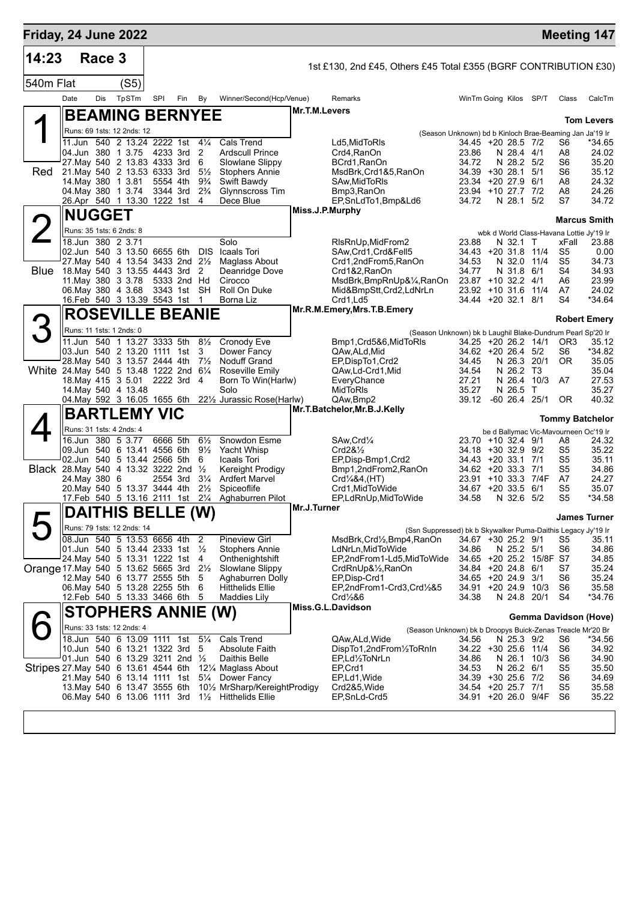| Friday, 24 June 2022                                    |                                                                |        |       |                      |     |                                  |                                                          |                 |                                                                                        |                                          |                          |                         |                 | <b>Meeting 147</b>                       |
|---------------------------------------------------------|----------------------------------------------------------------|--------|-------|----------------------|-----|----------------------------------|----------------------------------------------------------|-----------------|----------------------------------------------------------------------------------------|------------------------------------------|--------------------------|-------------------------|-----------------|------------------------------------------|
| 14:23                                                   |                                                                | Race 3 |       |                      |     |                                  |                                                          |                 | 1st £130, 2nd £45, Others £45 Total £355 (BGRF CONTRIBUTION £30)                       |                                          |                          |                         |                 |                                          |
| 540m Flat                                               |                                                                |        | (S5)  |                      |     |                                  |                                                          |                 |                                                                                        |                                          |                          |                         |                 |                                          |
|                                                         | Date                                                           | Dis    | TpSTm | SPI                  | Fin | By                               | Winner/Second(Hcp/Venue)                                 |                 | Remarks                                                                                | WinTm Going Kilos SP/T                   |                          |                         | Class           | CalcTm                                   |
|                                                         | <b>BEAMING BERNYEE</b>                                         |        |       |                      |     |                                  |                                                          | Mr.T.M.Levers   |                                                                                        |                                          |                          |                         |                 |                                          |
|                                                         |                                                                |        |       |                      |     |                                  |                                                          |                 |                                                                                        |                                          |                          |                         |                 | <b>Tom Levers</b>                        |
|                                                         | Runs: 69 1sts: 12 2nds: 12                                     |        |       |                      |     |                                  |                                                          |                 | (Season Unknown) bd b Kinloch Brae-Beaming Jan Ja'19 Ir                                |                                          |                          |                         |                 |                                          |
|                                                         | 11.Jun 540 2 13.24 2222 1st 41/4<br>04.Jun 380 1 3.75          |        |       | 4233 3rd             |     | 2                                | <b>Cals Trend</b><br><b>Ardscull Prince</b>              |                 | Ld5, Mid To RIs<br>Crd4, RanOn                                                         | 34.45 +20 28.5 7/2<br>23.86              | N 28.4 4/1               |                         | S6<br>A8        | *34.65<br>24.02                          |
|                                                         | 27. May 540 2 13.83 4333 3rd                                   |        |       |                      |     | 6                                | Slowlane Slippy                                          |                 | BCrd1, RanOn                                                                           | 34.72                                    | N 28.2 5/2               |                         | S6              | 35.20                                    |
| <b>Red</b>                                              | 21. May 540 2 13.53 6333 3rd                                   |        |       |                      |     | $5\frac{1}{2}$                   | <b>Stophers Annie</b>                                    |                 | MsdBrk,Crd1&5,RanOn                                                                    | 34.39 +30 28.1 5/1                       |                          |                         | S6              | 35.12                                    |
|                                                         | 14. May 380 1 3.81<br>04 May 380 1 3.74                        |        |       | 5554 4th<br>3344 3rd |     | $9\frac{3}{4}$<br>$2\frac{3}{4}$ | Swift Bawdy<br><b>Glynnscross Tim</b>                    |                 | SAw, Mid To RIs<br>Bmp3,RanOn                                                          | 23.34 +20 27.9 6/1<br>23.94 +10 27.7 7/2 |                          |                         | A8<br>A8        | 24.32<br>24.26                           |
|                                                         | 26.Apr 540 1 13.30 1222 1st 4                                  |        |       |                      |     |                                  | Dece Blue                                                |                 | EP, SnLdTo1, Bmp&Ld6                                                                   | 34.72                                    | N 28.1                   | 5/2                     | S7              | 34.72                                    |
|                                                         | <b>NUGGET</b>                                                  |        |       |                      |     |                                  |                                                          | Miss.J.P.Murphy |                                                                                        |                                          |                          |                         |                 | <b>Marcus Smith</b>                      |
|                                                         | Runs: 35 1sts: 6 2nds: 8                                       |        |       |                      |     |                                  |                                                          |                 |                                                                                        |                                          |                          |                         |                 | wbk d World Class-Havana Lottie Jy'19 Ir |
|                                                         | 18.Jun 380 2 3.71                                              |        |       |                      |     |                                  | Solo                                                     |                 | RIsRnUp, MidFrom 2                                                                     | 23.88                                    | N 32.1 T                 |                         | xFall           | 23.88                                    |
|                                                         | 02.Jun 540 3 13.50 6655 6th DIS                                |        |       |                      |     |                                  | Icaals Tori                                              |                 | SAw, Crd1, Crd&Fell5                                                                   | 34.43 +20 31.8 11/4                      |                          |                         | S5              | 0.00                                     |
|                                                         | 27. May 540 4 13.54 3433 2nd 21/2                              |        |       |                      |     |                                  | Maglass About                                            |                 | Crd1,2ndFrom5,RanOn                                                                    | 34.53                                    | N 32.0 11/4              |                         | S5              | 34.73                                    |
| <b>Blue</b>                                             | 18. May 540 3 13.55 4443 3rd<br>11. May 380 3 3.78             |        |       | 5333 2nd Hd          |     | 2                                | Deanridge Dove<br>Cirocco                                |                 | Crd1&2, RanOn<br>MsdBrk,BmpRnUp&¼,RanOn                                                | 34.77<br>23.87 +10 32.2 4/1              | N 31.8                   | 6/1                     | S4<br>A6        | 34.93<br>23.99                           |
|                                                         | 06. May 380 4 3.68                                             |        |       | 3343 1st SH          |     |                                  | Roll On Duke                                             |                 | Mid&BmpStt,Crd2,LdNrLn                                                                 | 23.92 +10 31.6 11/4                      |                          |                         | A7              | 24.02                                    |
|                                                         | 16.Feb 540 3 13.39 5543 1st                                    |        |       |                      |     | $\overline{1}$                   | Borna Liz                                                |                 | Crd1,Ld5                                                                               | 34.44 +20 32.1 8/1                       |                          |                         | S4              | *34.64                                   |
|                                                         | <b>ROSEVILLE BEANIE</b>                                        |        |       |                      |     |                                  |                                                          |                 | Mr.R.M.Emery, Mrs.T.B.Emery                                                            |                                          |                          |                         |                 | <b>Robert Emery</b>                      |
|                                                         | Runs: 11 1sts: 1 2nds: 0                                       |        |       |                      |     |                                  |                                                          |                 | (Season Unknown) bk b Laughil Blake-Dundrum Pearl Sp'20 Ir                             |                                          |                          |                         |                 |                                          |
|                                                         | 11.Jun 540 1 13.27 3333 5th                                    |        |       |                      |     | $8\frac{1}{2}$                   | Cronody Eve                                              |                 | Bmp1, Crd5&6, MidToRIs                                                                 | 34.25 +20 26.2 14/1                      |                          |                         | OR <sub>3</sub> | 35.12                                    |
|                                                         | 03.Jun 540 2 13.20 1111 1st                                    |        |       |                      |     | 3                                | Dower Fancy                                              |                 | QAw,ALd,Mid                                                                            | 34.62 +20 26.4 5/2                       |                          |                         | S6<br><b>OR</b> | *34.82                                   |
| White 24. May 540 5 13.48 1222 2nd 61/4                 | 28. May 540 3 13.57 2444 4th 71/2                              |        |       |                      |     |                                  | <b>Noduff Grand</b><br>Roseville Emily                   |                 | EP, Disp To 1, Crd2<br>QAw,Ld-Crd1,Mid                                                 | 34.45<br>34.54                           | N 26.3<br>N 26.2 T3      | 20/1                    |                 | 35.05<br>35.04                           |
|                                                         | 18. May 415 3 5.01                                             |        |       | 2222 3rd 4           |     |                                  | Born To Win(Harlw)                                       |                 | EveryChance                                                                            | 27.21                                    | N 26.4                   | 10/3                    | A7              | 27.53                                    |
|                                                         | 14 May 540 4 13.48                                             |        |       |                      |     |                                  | Solo                                                     |                 | <b>MidToRIs</b>                                                                        | 35.27                                    | N 26.5                   | $\top$                  |                 | 35.27                                    |
|                                                         |                                                                |        |       |                      |     |                                  | 04. May 592 3 16.05 1655 6th 221/2 Jurassic Rose (Harlw) |                 | QAw,Bmp2<br>Mr.T.Batchelor, Mr.B.J.Kelly                                               | 39.12                                    | -60 26.4                 | 25/1                    | 0R              | 40.32                                    |
|                                                         | <b>BARTLEMY VIC</b>                                            |        |       |                      |     |                                  |                                                          |                 |                                                                                        |                                          |                          |                         |                 | <b>Tommy Batchelor</b>                   |
|                                                         | Runs: 31 1sts: 4 2nds: 4                                       |        |       |                      |     |                                  |                                                          |                 |                                                                                        |                                          |                          |                         |                 | be d Ballymac Vic-Mavourneen Oc'19 Ir    |
|                                                         | 16.Jun 380 5 3.77<br>09.Jun 540 6 13.41 4556 6th               |        |       | 6666 5th             |     | $6\frac{1}{2}$<br>$9\frac{1}{2}$ | Snowdon Esme<br>Yacht Whisp                              |                 | SAw, Crd <sup>1/4</sup><br>Crd28 <sub>2</sub>                                          | 23.70 +10 32.4 9/1<br>34.18 +30 32.9 9/2 |                          |                         | A8<br>S5        | 24.32<br>35.22                           |
|                                                         | 02.Jun 540 5 13.44 2566 5th                                    |        |       |                      |     | 6                                | Icaals Tori                                              |                 | EP, Disp-Bmp1, Crd2                                                                    | 34.43 +20 33.1 7/1                       |                          |                         | S5              | 35.11                                    |
| <b>Black</b> 28. May 540 4 13.32 3222 2nd $\frac{1}{2}$ |                                                                |        |       |                      |     |                                  | <b>Kereight Prodigy</b>                                  |                 | Bmp1,2ndFrom2,RanOn                                                                    | $34.62 + 20.33.3$                        |                          | 7/1                     | S5              | 34.86                                    |
|                                                         | 24. May 380 6<br>20. May 540 5 13.37 3444 4th                  |        |       | 2554 3rd             |     | $3\frac{1}{4}$<br>$2\frac{1}{2}$ | <b>Ardfert Marvel</b><br>Spiceoflife                     |                 | Crd1/4&4, (HT)<br>Crd1.MidToWide                                                       | 23.91<br>34.67                           | $+10.33.3$<br>$+20.33.5$ | 7/4F<br>6/1             | A7<br>S5        | 24.27<br>35.07                           |
|                                                         | 17.Feb 540 5 13.16 2111 1st                                    |        |       |                      |     | $2\frac{1}{4}$                   | Aghaburren Pilot                                         |                 | EP,LdRnUp,MidToWide                                                                    | 34.58                                    | N 32.6 5/2               |                         | S5              | *34.58                                   |
|                                                         | <b>DAITHIS BELLE (W)</b>                                       |        |       |                      |     |                                  |                                                          | Mr.J.Turner     |                                                                                        |                                          |                          |                         |                 |                                          |
|                                                         | Runs: 79 1sts: 12 2nds: 14                                     |        |       |                      |     |                                  |                                                          |                 |                                                                                        |                                          |                          |                         |                 | <b>James Turner</b>                      |
|                                                         | 08.Jun 540 5 13.53 6656 4th                                    |        |       |                      |     | 2                                | <b>Pineview Girl</b>                                     |                 | (Ssn Suppressed) bk b Skywalker Puma-Daithis Legacy Jy'19 Ir<br>MsdBrk,Crd½,Bmp4,RanOn | 34.67 +30 25.2 9/1                       |                          |                         | S5              | 35.11                                    |
|                                                         | 01.Jun 540 5 13.44 2333 1st                                    |        |       |                      |     | $\frac{1}{2}$                    | <b>Stophers Annie</b>                                    |                 | LdNrLn, MidToWide                                                                      | 34.86                                    | N 25.2 5/1               |                         | S6              | 34.86                                    |
|                                                         | 24. May 540 5 13.31 1222 1st                                   |        |       |                      |     | -4                               | Onthenightshift                                          |                 | EP,2ndFrom1-Ld5,MidToWide                                                              |                                          |                          | 34.65 +20 25.2 15/8F S7 |                 | 34.85                                    |
| Orange 17. May 540 5 13.62 5665 3rd 21/2                | 12. May 540 6 13.77 2555 5th                                   |        |       |                      |     | 5                                | Slowlane Slippy<br>Aghaburren Dolly                      |                 | CrdRnUp&1/ <sub>2</sub> , RanOn<br>EP, Disp-Crd1                                       | 34.84 +20 24.8 6/1<br>34.65 +20 24.9 3/1 |                          |                         | S7<br>S6        | 35.24<br>35.24                           |
|                                                         | 06. May 540 5 13.28 2255 5th                                   |        |       |                      |     | 6                                | <b>Hitthelids Ellie</b>                                  |                 | EP,2ndFrom1-Crd3,Crd1/2&5                                                              | 34.91 +20 24.9 10/3                      |                          |                         | S6              | 35.58                                    |
|                                                         | 12.Feb 540 5 13.33 3466 6th                                    |        |       |                      |     | 5                                | <b>Maddies Lily</b>                                      |                 | $Crd\frac{1}{2}86$                                                                     | 34.38                                    | N 24.8 20/1              |                         | S4              | *34.76                                   |
|                                                         | <b>STOPHERS ANNIE (W)</b>                                      |        |       |                      |     |                                  |                                                          |                 | Miss.G.L.Davidson                                                                      |                                          |                          |                         |                 | Gemma Davidson (Hove)                    |
|                                                         | Runs: 33 1sts: 12 2nds: 4                                      |        |       |                      |     |                                  |                                                          |                 | (Season Unknown) bk b Droopys Buick-Zenas Treacle Mr'20 Br                             |                                          |                          |                         |                 |                                          |
|                                                         | 18.Jun 540 6 13.09 1111 1st                                    |        |       |                      |     | $5\frac{1}{4}$                   | Cals Trend                                               |                 | QAw.ALd.Wide                                                                           | 34.56                                    | N 25.3 9/2               |                         | S6              | *34.56                                   |
|                                                         | 10.Jun 540 6 13.21 1322 3rd<br>01.Jun 540 6 13.29 3211 2nd 1/2 |        |       |                      |     | 5                                | <b>Absolute Faith</b><br>Daithis Belle                   |                 | DispTo1,2ndFrom1/2ToRnIn<br>EP,Ld½ToNrLn                                               | 34.22 +30 25.6 11/4<br>34.86             | N 26.1 10/3              |                         | S6<br>S6        | 34.92<br>34.90                           |
| Stripes 27. May 540 6 13.61 4544 6th                    |                                                                |        |       |                      |     |                                  | 121/4 Maglass About                                      |                 | EP,Crd1                                                                                | 34.53                                    | N 26.2 6/1               |                         | S5              | 35.50                                    |
|                                                         | 21. May 540 6 13.14 1111 1st                                   |        |       |                      |     | $5\frac{1}{4}$                   | Dower Fancy                                              |                 | EP,Ld1, Wide                                                                           | 34.39 +30 25.6 7/2                       |                          |                         | S6              | 34.69                                    |
|                                                         | 13. May 540 6 13.47 3555 6th                                   |        |       |                      |     |                                  | 101/ <sub>2</sub> MrSharp/KereightProdigy                |                 | Crd2&5, Wide                                                                           | 34.54 +20 25.7 7/1                       |                          |                         | S5              | 35.58                                    |
|                                                         | 06. May 540 6 13.06 1111 3rd                                   |        |       |                      |     |                                  | 11/ <sub>2</sub> Hitthelids Ellie                        |                 | EP, SnLd-Crd5                                                                          | 34.91 +20 26.0 9/4F                      |                          |                         | S6              | 35.22                                    |
|                                                         |                                                                |        |       |                      |     |                                  |                                                          |                 |                                                                                        |                                          |                          |                         |                 |                                          |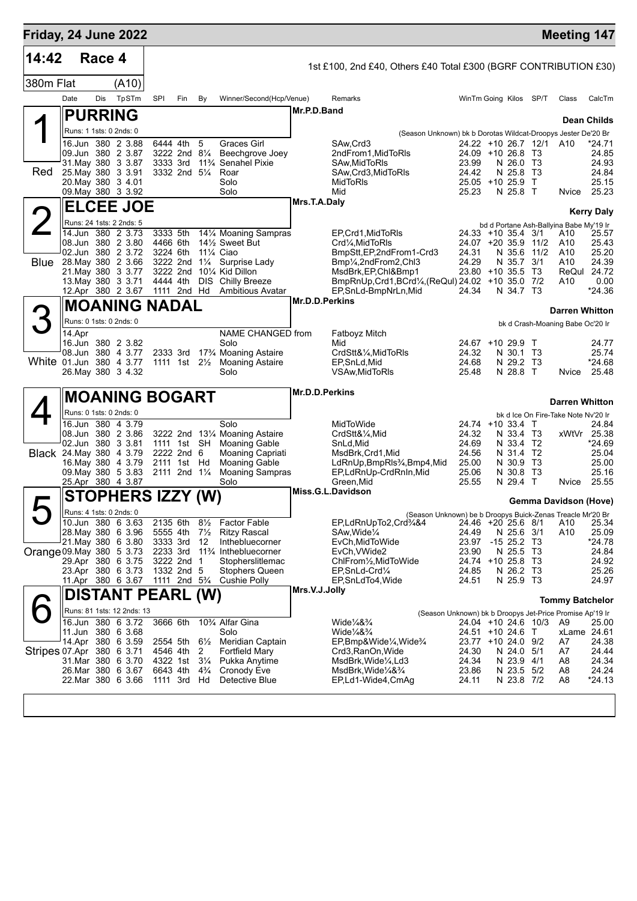| Friday, 24 June 2022      |        |        |                                                 |     |                                        |                                  |                                                                          |                |                                                                                                |                              |                          |          | <b>Meeting 147</b>                      |                      |
|---------------------------|--------|--------|-------------------------------------------------|-----|----------------------------------------|----------------------------------|--------------------------------------------------------------------------|----------------|------------------------------------------------------------------------------------------------|------------------------------|--------------------------|----------|-----------------------------------------|----------------------|
| 14:42                     |        | Race 4 |                                                 |     |                                        |                                  |                                                                          |                | 1st £100, 2nd £40, Others £40 Total £300 (BGRF CONTRIBUTION £30)                               |                              |                          |          |                                         |                      |
| 380m Flat                 |        |        | (A10)                                           |     |                                        |                                  |                                                                          |                |                                                                                                |                              |                          |          |                                         |                      |
|                           | Date   | Dis    | TpSTm                                           | SPI | Fin                                    | By                               | Winner/Second(Hcp/Venue)                                                 |                | Remarks                                                                                        | WinTm Going Kilos SP/T       |                          |          | Class                                   | CalcTm               |
|                           |        |        | <b>PURRING</b>                                  |     |                                        |                                  |                                                                          | Mr.P.D.Band    |                                                                                                |                              |                          |          |                                         |                      |
|                           |        |        | Runs: 1 1sts: 0 2nds: 0                         |     |                                        |                                  |                                                                          |                | (Season Unknown) bk b Dorotas Wildcat-Droopys Jester De'20 Br                                  |                              |                          |          |                                         | <b>Dean Childs</b>   |
|                           |        |        | 16.Jun 380 2 3.88                               |     | 6444 4th                               | 5                                | Graces Girl                                                              |                | SAw, Crd3                                                                                      | 24.22 +10 26.7 12/1          |                          |          | A10                                     | *24.71               |
|                           |        |        | 09.Jun 380 2 3.87<br>31. May 380 3 3.87         |     | 3222 2nd $8\frac{1}{4}$<br>3333 3rd    |                                  | Beechgrove Joey<br>11% Senahel Pixie                                     |                | 2ndFrom1, MidToRIs<br>SAw, Mid To RIs                                                          | 24.09 +10 26.8<br>23.99      | N 26.0                   | Т3<br>Т3 |                                         | 24.85<br>24.93       |
| Red                       |        |        | 25. May 380 3 3.91                              |     | 3332 2nd 51/4                          |                                  | Roar                                                                     |                | SAw, Crd3, MidToRIs                                                                            | 24.42                        | N 25.8                   | - T3     |                                         | 24.84                |
|                           |        |        | 20. May 380 3 4.01<br>09. May 380 3 3.92        |     |                                        |                                  | Solo<br>Solo                                                             |                | <b>MidToRIs</b><br>Mid                                                                         | 25.05 +10 25.9<br>25.23      | N 25.8 T                 | $\top$   |                                         | 25.15<br>Nvice 25.23 |
|                           |        |        | <b>ELCEE JOE</b>                                |     |                                        |                                  |                                                                          | Mrs.T.A.Daly   |                                                                                                |                              |                          |          |                                         |                      |
|                           |        |        | Runs: 24 1sts: 2 2nds: 5                        |     |                                        |                                  |                                                                          |                |                                                                                                |                              |                          |          | bd d Portane Ash-Ballyina Babe My'19 Ir | <b>Kerry Daly</b>    |
|                           |        |        | 14.Jun 380 2 3.73                               |     | 3333 5th                               |                                  | 141⁄4 Moaning Sampras                                                    |                | EP, Crd1, MidToRIs                                                                             | 24.33 +10 35.4 3/1           |                          |          | A10                                     | 25.57                |
|                           |        |        | 108.Jun 380 2 3.80<br>02.Jun 380 2 3.72         |     | 4466 6th<br>3224 6th                   |                                  | $14\frac{1}{2}$ Sweet But<br>11 <sup>/4</sup> Ciao                       |                | Crd1⁄4, MidToRIs<br>BmpStt, EP, 2nd From 1-Crd3                                                | 24.07 +20 35.9 11/2<br>24.31 | N 35.6                   | 11/2     | A10<br>A10                              | 25.43<br>25.20       |
| Blue                      |        |        | 28. May 380 2 3.66                              |     |                                        |                                  | 3222 2nd 11/4 Surprise Lady                                              |                | Bmp1/ <sub>4</sub> ,2ndFrom2,Chl3                                                              | 24.29                        | N 35.7 3/1               |          | A10                                     | 24.39                |
|                           |        |        | 21. May 380 3 3.77<br>13. May 380 3 3.71        |     | 3222 2nd<br>4444 4th                   | <b>DIS</b>                       | 10¼ Kid Dillon<br>Chilly Breeze                                          |                | MsdBrk, EP, Chl&Bmp1<br>BmpRnUp, Crd1, BCrd1/ <sub>4</sub> , (ReQuI) 24.02 +10 35.0 7/2        | 23.80 +10 35.5               |                          | Т3       | A10                                     | ReQul 24.72<br>0.00  |
|                           |        |        | 12.Apr 380 2 3.67                               |     | 1111 2nd Hd                            |                                  | <b>Ambitious Avatar</b>                                                  | Mr.D.D.Perkins | EP, SnLd-BmpNrLn, Mid                                                                          | 24.34                        | N 34.7 T3                |          |                                         | *24.36               |
|                           |        |        | <b>MOANING NADAL</b>                            |     |                                        |                                  |                                                                          |                |                                                                                                |                              |                          |          | <b>Darren Whitton</b>                   |                      |
|                           | 14.Apr |        | Runs: 0 1sts: 0 2nds: 0                         |     |                                        |                                  | NAME CHANGED from                                                        |                |                                                                                                |                              |                          |          | bk d Crash-Moaning Babe Oc'20 Ir        |                      |
|                           |        |        | 16.Jun 380 2 3.82                               |     |                                        |                                  | Solo                                                                     |                | Fatboyz Mitch<br>Mid                                                                           | 24.67 +10 29.9               |                          | $\top$   |                                         | 24.77                |
| White 01.Jun 380 4 3.77   |        |        | 08.Jun 380 4 3.77                               |     | 2333 3rd<br>1111 1st $2\frac{1}{2}$    |                                  | 17 <sup>3</sup> / <sub>4</sub> Moaning Astaire<br><b>Moaning Astaire</b> |                | CrdStt&1/ <sub>4</sub> , MidToRIs<br>EP, SnLd, Mid                                             | 24.32<br>24.68               | N 30.1<br>N 29.2 T3      | ТЗ       |                                         | 25.74<br>*24.68      |
|                           |        |        | 26. May 380 3 4.32                              |     |                                        |                                  | Solo                                                                     |                | VSAw, MidToRIs                                                                                 | 25.48                        | N 28.8 T                 |          | Nvice                                   | 25.48                |
|                           |        |        |                                                 |     |                                        |                                  |                                                                          | Mr.D.D.Perkins |                                                                                                |                              |                          |          |                                         |                      |
|                           |        |        | ∥MOANING BOGART                                 |     |                                        |                                  |                                                                          |                |                                                                                                |                              |                          |          | <b>Darren Whitton</b>                   |                      |
|                           |        |        | Runs: 0 1sts: 0 2nds: 0<br>16.Jun 380 4 3.79    |     |                                        |                                  | Solo                                                                     |                | MidToWide                                                                                      | 24.74 +10 33.4 T             |                          |          | bk d Ice On Fire-Take Note Nv'20 Ir     | 24.84                |
|                           |        |        | 08.Jun 380 2 3.86                               |     |                                        |                                  | 3222 2nd 131/4 Moaning Astaire                                           |                | CrdStt&1⁄4,Mid                                                                                 | 24.32                        | N 33.4 T3                |          | xWtVr 25.38                             |                      |
| Black 24. May 380 4 3.79  |        |        | 02.Jun 380 3 3.81                               |     | 1111 1st SH<br>2222 2nd 6              |                                  | <b>Moaning Gable</b><br>Moaning Capriati                                 |                | SnLd, Mid<br>MsdBrk, Crd1, Mid                                                                 | 24.69<br>24.56               | N 33.4<br>N 31.4         | T2<br>T2 |                                         | *24.69<br>25.04      |
|                           |        |        | 16. May 380 4 3.79                              |     | 2111 1st Hd                            |                                  | <b>Moaning Gable</b>                                                     |                | LdRnUp,BmpRIs <sup>3</sup> / <sub>4</sub> ,Bmp4,Mid                                            | 25.00                        | N 30.9                   | Т3       |                                         | 25.00                |
|                           |        |        | 09. May 380 5 3.83<br>25.Apr 380 4 3.87         |     | 2111 2nd 11/4                          |                                  | <b>Moaning Sampras</b><br>Solo                                           |                | EP,LdRnUp-CrdRnIn,Mid<br>Green, Mid                                                            | 25.06<br>25.55               | N 30.8 T3<br>N 29.4 T    |          | Nvice                                   | 25.16<br>25.55       |
|                           |        |        | <b>STOPHERS IZZY (W)</b>                        |     |                                        |                                  |                                                                          |                | Miss.G.L.Davidson                                                                              |                              |                          |          | Gemma Davidson (Hove)                   |                      |
|                           |        |        | Runs: 4 1sts: 0 2nds: 0                         |     |                                        |                                  |                                                                          |                | (Season Unknown) be b Droopys Buick-Zenas Treacle Mr'20 Br                                     |                              |                          |          |                                         |                      |
|                           |        |        | 10.Jun 380 6 3.63<br>28. May 380 6 3.96         |     | 2135 6th<br>5555 4th                   | $8\frac{1}{2}$<br>$7\frac{1}{2}$ | <b>Factor Fable</b><br><b>Ritzy Rascal</b>                               |                | EP,LdRnUpTo2,Crd34&4<br>SAw, Wide <sup>1</sup> / <sub>4</sub>                                  | 24.46 +20 25.6 8/1<br>24.49  | N 25.6 3/1               |          | A10<br>A10                              | 25.34<br>25.09       |
|                           |        |        | 21. May 380 6 3.80                              |     | 3333 3rd                               | 12                               | Inthebluecorner                                                          |                | EvCh, MidToWide                                                                                | 23.97                        | $-15$ 25.2 T3            |          |                                         | $*24.78$             |
| Orange 09. May 380 5 3.73 |        |        | 29.Apr 380 6 3.75                               |     | 2233 3rd<br>3222 2nd 1                 |                                  | 11 <sup>3</sup> / <sub>4</sub> Inthebluecorner<br>Stopherslitlemac       |                | EvCh, VWide2<br>ChlFrom½, MidToWide                                                            | 23.90<br>24.74 +10 25.8 T3   | N 25.5 T3                |          |                                         | 24.84<br>24.92       |
|                           |        |        | 23.Apr 380 6 3.73                               |     | 1332 2nd 5                             |                                  | Stophers Queen                                                           |                | EP, SnLd-Crd1/4                                                                                | 24.85                        | N 26.2 T3                |          |                                         | 25.26                |
|                           |        |        | 11.Apr 380 6 3.67                               |     | 1111 2nd 5 <sup>3</sup> / <sub>4</sub> |                                  | Cushie Polly                                                             | Mrs.V.J.Jolly  | EP,SnLdTo4,Wide                                                                                | 24.51                        | N 25.9 T3                |          |                                         | 24.97                |
|                           |        |        | DISTANT PEARL (W)                               |     |                                        |                                  |                                                                          |                |                                                                                                |                              |                          |          | <b>Tommy Batchelor</b>                  |                      |
|                           |        |        | Runs: 81 1sts: 12 2nds: 13<br>16.Jun 380 6 3.72 |     | 3666 6th                               |                                  | 10% Alfar Gina                                                           |                | (Season Unknown) bk b Droopys Jet-Price Promise Ap'19 Ir<br>Wide $\frac{1}{4}$ & $\frac{3}{4}$ | 24.04 +10 24.6 10/3          |                          |          | A9                                      | 25.00                |
|                           |        |        | 11.Jun 380 6 3.68                               |     |                                        |                                  | Solo                                                                     |                | Wide $\frac{1}{4}$ & $\frac{3}{4}$                                                             | 24.51 +10 24.6 T             |                          |          | xLame 24.61                             |                      |
| Stripes 07.Apr 380 6 3.71 |        |        | 14.Apr 380 6 3.59                               |     | 2554 5th<br>4546 4th                   | $6\frac{1}{2}$<br>2              | Meridian Captain<br>Fortfield Mary                                       |                | EP,Bmp&Wide¼,Wide¾<br>Crd3, RanOn, Wide                                                        | 23.77 +10 24.0 9/2<br>24.30  | N 24.0 5/1               |          | A7<br>A7                                | 24.38<br>24.44       |
|                           |        |        | 31.Mar 380 6 3.70<br>26.Mar 380 6 3.67          |     | 4322 1st<br>6643 4th                   | $3\frac{1}{4}$<br>$4\frac{3}{4}$ | Pukka Anytime                                                            |                | MsdBrk, Wide <sup>1</sup> / <sub>4</sub> , Ld <sup>3</sup>                                     | 24.34<br>23.86               | N 23.9 4/1               |          | A8                                      | 24.34<br>24.24       |
|                           |        |        | 22.Mar 380 6 3.66                               |     | 1111 3rd Hd                            |                                  | Cronody Eve<br>Detective Blue                                            |                | MsdBrk, Wide 1⁄4& 3⁄4<br>EP,Ld1-Wide4,CmAg                                                     | 24.11                        | N 23.5 5/2<br>N 23.8 7/2 |          | A8<br>A8                                | $*24.13$             |
|                           |        |        |                                                 |     |                                        |                                  |                                                                          |                |                                                                                                |                              |                          |          |                                         |                      |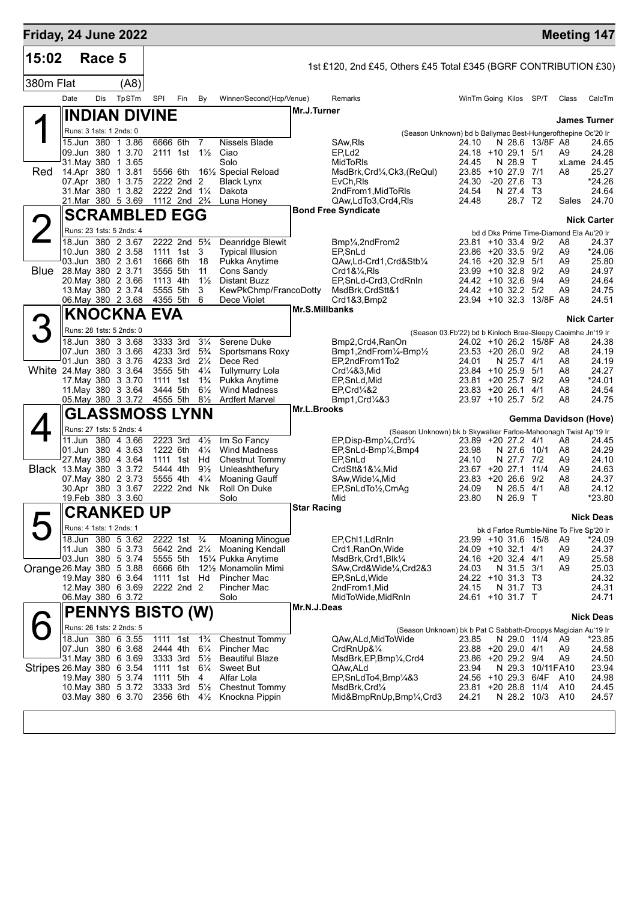|             | Friday, 24 June 2022                                |               |                                        |                                  |                                                         |                       |                                                                                                                                  |                                                             |                         |                         |                                                | <b>Meeting 147</b>   |
|-------------|-----------------------------------------------------|---------------|----------------------------------------|----------------------------------|---------------------------------------------------------|-----------------------|----------------------------------------------------------------------------------------------------------------------------------|-------------------------------------------------------------|-------------------------|-------------------------|------------------------------------------------|----------------------|
| 15:02       |                                                     | Race 5        |                                        |                                  |                                                         |                       | 1st £120, 2nd £45, Others £45 Total £345 (BGRF CONTRIBUTION £30)                                                                 |                                                             |                         |                         |                                                |                      |
| 380m Flat   |                                                     | (AB)          |                                        |                                  |                                                         |                       |                                                                                                                                  |                                                             |                         |                         |                                                |                      |
|             | Dis<br>Date                                         | TpSTm         | SPI<br>Fin                             | By                               | Winner/Second(Hcp/Venue)                                |                       | Remarks                                                                                                                          | WinTm Going Kilos SP/T                                      |                         |                         | Class                                          | CalcTm               |
|             | <b>INDIAN DIVINE</b>                                |               |                                        |                                  |                                                         | Mr.J.Turner           |                                                                                                                                  |                                                             |                         |                         |                                                |                      |
|             | Runs: 3 1sts: 1 2nds: 0                             |               |                                        |                                  |                                                         |                       | (Season Unknown) bd b Ballymac Best-Hungerofthepine Oc'20 Ir                                                                     |                                                             |                         |                         |                                                | <b>James Turner</b>  |
|             | 15.Jun 380 1 3.86                                   |               | 6666 6th                               | 7                                | Nissels Blade                                           |                       | SAw, RIs                                                                                                                         | 24.10                                                       |                         | N 28.6 13/8F A8         |                                                | 24.65                |
|             | 09.Jun 380 1 3.70<br>31.May 380                     | 1 3.65        | 2111 1st                               | $1\frac{1}{2}$                   | Ciao<br>Solo                                            |                       | EP,Ld2<br>MidToRIs                                                                                                               | $24.18$ +10 29.1<br>24.45                                   | N 28.9                  | 5/1<br>$\top$           | A9                                             | 24.28<br>xLame 24.45 |
| Red         | 14.Apr 380                                          | 1 3.81        | 5556 6th                               |                                  | 161/ <sub>2</sub> Special Reload                        |                       | MsdBrk, Crd1/4, Ck3, (ReQul)                                                                                                     | 23.85                                                       | +10 27.9 7/1            |                         | A8                                             | 25.27                |
|             | 07.Apr 380 1 3.75<br>31.Mar 380 1 3.82              |               | 2222 2nd 2<br>2222 2nd 11/4            |                                  | <b>Black Lynx</b><br>Dakota                             |                       | EvCh, Ris<br>2ndFrom1, MidToRIs                                                                                                  | 24.30<br>24.54                                              | $-20$ 27.6<br>N 27.4 T3 | Т3                      |                                                | $*24.26$<br>24.64    |
|             | 21.Mar 380 5 3.69                                   |               | 1112 2nd 2 <sup>3</sup> / <sub>4</sub> |                                  | Luna Honey                                              |                       | QAw,LdTo3,Crd4,RIs                                                                                                               | 24.48                                                       | 28.7 T2                 |                         | Sales                                          | 24.70                |
|             | <b>SCRAMBLED EGG</b>                                |               |                                        |                                  |                                                         |                       | <b>Bond Free Syndicate</b>                                                                                                       |                                                             |                         |                         |                                                | <b>Nick Carter</b>   |
|             | Runs: 23 1sts: 5 2nds: 4                            |               |                                        |                                  |                                                         |                       |                                                                                                                                  |                                                             |                         |                         | bd d Dks Prime Time-Diamond Ela Au'20 Ir       |                      |
|             | 18.Jun 380 2 3.67                                   |               | 2222 2nd 5 <sup>3</sup> / <sub>4</sub> |                                  | Deanridge Blewit                                        |                       | Bmp <sup>1</sup> / <sub>4</sub> ,2ndFrom2                                                                                        | 23.81 +10 33.4 9/2                                          |                         |                         | A8                                             | 24.37                |
|             | 10.Jun 380 2 3.58<br>03.Jun 380 2 3.61              |               | 1111 1st<br>1666 6th                   | 3<br>18                          | <b>Typical Illusion</b><br>Pukka Anytime                |                       | EP, SnLd<br>QAw,Ld-Crd1,Crd&Stb1/4                                                                                               | 23.86 +20 33.5<br>24.16 +20 32.9                            |                         | 9/2<br>5/1              | A9<br>A9                                       | *24.06<br>25.80      |
| <b>Blue</b> | 28. May 380 2 3.71                                  |               | 3555 5th                               | 11                               | Cons Sandy                                              |                       | $Crd1&V4$ , RIs                                                                                                                  | $23.99 + 10.32.8$                                           |                         | 9/2                     | A9                                             | 24.97                |
|             | 20. May 380 2 3.66<br>13 May 380 2 3.74             |               | 1113 4th<br>5555 5th                   | $1\frac{1}{2}$<br>3              | <b>Distant Buzz</b><br>KewPkChmp/FrancoDotty            |                       | EP, SnLd-Crd3, CrdRnIn<br>MsdBrk,CrdStt&1                                                                                        | $24.42 + 10.326$<br>24.42 +10 32.2 5/2                      |                         | 9/4                     | A9<br>A9                                       | 24.64<br>24.75       |
|             | 06. May 380 2 3.68                                  |               | 4355 5th                               | 6                                | Dece Violet                                             |                       | Crd1&3,Bmp2                                                                                                                      | $23.94$ +10 32.3                                            |                         | 13/8F A8                |                                                | 24.51                |
|             | KNOCKNA EVA                                         |               |                                        |                                  |                                                         | <b>Mr.S.Millbanks</b> |                                                                                                                                  |                                                             |                         |                         |                                                | <b>Nick Carter</b>   |
|             | Runs: 28 1sts: 5 2nds: 0                            |               |                                        |                                  |                                                         |                       |                                                                                                                                  | (Season 03.Fb'22) bd b Kinloch Brae-Sleepy Caoimhe Jn'19 Ir |                         |                         |                                                |                      |
|             | 18.Jun 380 3 3.68                                   |               | 3333 3rd<br>4233 3rd                   | $3\frac{1}{4}$                   | Serene Duke                                             |                       | Bmp2,Crd4,RanOn                                                                                                                  |                                                             |                         | 24.02 +10 26.2 15/8F A8 |                                                | 24.38<br>24.19       |
|             | 07.Jun 380 3 3.66<br>01.Jun 380 3 3.76              |               | 4233 3rd                               | $5\frac{3}{4}$<br>$2\frac{1}{4}$ | Sportsmans Roxy<br>Dece Red                             |                       | Bmp1,2ndFrom1/4-Bmp1/2<br>EP,2ndFrom1To2                                                                                         | $23.53 + 20.26.0$<br>24.01                                  | N 25.7                  | 9/2<br>4/1              | A8<br>A8                                       | 24.19                |
|             | White 24 May 380 3 3.64                             |               | 3555 5th                               | $4\frac{1}{4}$                   | <b>Tullymurry Lola</b>                                  |                       | $Crd$ <sup><math>483</math></sup> <i>Mid</i>                                                                                     | 23.84 +10 25.9                                              |                         | 5/1                     | A8                                             | 24.27                |
|             | 17 May 380 3 3.70<br>11. May 380 3 3.64             |               | 1111 1st<br>3444 5th                   | $1\frac{3}{4}$<br>$6\frac{1}{2}$ | Pukka Anytime<br><b>Wind Madness</b>                    |                       | EP, SnLd, Mid<br>EP.Crd <sup>1</sup> /4&2                                                                                        | 23.81<br>23.83 +20 26.1                                     | $+2025.7$               | 9/2<br>4/1              | A9<br>A8                                       | *24.01<br>24.54      |
|             | 05. May 380 3 3.72                                  |               | 4555 5th                               | $8\frac{1}{2}$                   | <b>Ardfert Marvel</b>                                   |                       | Bmp1, Crd <sub>4</sub> 83                                                                                                        | 23.97 +10 25.7                                              |                         | 5/2                     | A8                                             | 24.75                |
|             | <b>GLASSMOSS LYNN</b>                               |               |                                        |                                  |                                                         | Mr.L.Brooks           |                                                                                                                                  |                                                             |                         |                         | <b>Gemma Davidson (Hove)</b>                   |                      |
|             | Runs: 27 1sts: 5 2nds: 4<br>11.Jun                  | 380<br>4 3.66 | 2223 3rd                               | $4\frac{1}{2}$                   | Im So Fancy                                             |                       | (Season Unknown) bk b Skywalker Farloe-Mahoonagh Twist Ap'19 Ir<br>EP, Disp-Bmp1/ <sub>4</sub> , Crd <sup>3</sup> / <sub>4</sub> | 23.89 +20 27.2 4/1                                          |                         |                         | A8                                             | 24.45                |
|             | 01.Jun 380 4 3.63                                   |               | 1222 6th                               | $4\frac{1}{4}$                   | <b>Wind Madness</b>                                     |                       | EP, SnLd-Bmp1/ <sub>4</sub> , Bmp4                                                                                               | 23.98                                                       | N 27.6                  | 10/1                    | A8                                             | 24.29                |
|             | 27. May 380 4 3.64                                  |               | 1111 1st Hd<br>5444 4th                | $9\frac{1}{2}$                   | Chestnut Tommy<br>Unleashthefury                        |                       | EP, SnLd<br>CrdStt&1&1⁄4, Mid                                                                                                    | 24.10<br>23.67 +20 27.1                                     | N 27.7 7/2              | 11/4                    | A9<br>A9                                       | 24.10<br>24.63       |
|             | <b>Black</b> 13 May 380 3 3.72<br>07 May 380 2 3.73 |               | 5555 4th                               | $4\frac{1}{4}$                   | Moaning Gauff                                           |                       | SAw, Wide <sup>1</sup> / <sub>4</sub> , Mid                                                                                      | $23.83 + 20.26.6$                                           |                         | 9/2                     | A8                                             | 24.37                |
|             | 30.Apr 380 3 3.67<br>19. Feb 380 3 3.60             |               | 2222 2nd Nk                            |                                  | Roll On Duke<br>Solo                                    |                       | EP, SnLdTo <sup>1</sup> / <sub>2</sub> , CmAg<br>Mid                                                                             | 24.09<br>23.80                                              | N 26.5<br>N 26.9 T      | 4/1                     | A8                                             | 24.12<br>*23.80      |
|             |                                                     |               |                                        |                                  |                                                         | <b>Star Racing</b>    |                                                                                                                                  |                                                             |                         |                         |                                                |                      |
|             | ∥CRANKED UP                                         |               |                                        |                                  |                                                         |                       |                                                                                                                                  |                                                             |                         |                         |                                                | <b>Nick Deas</b>     |
|             | Runs: 4 1sts: 1 2nds: 1<br>18.Jun 380 5 3.62        |               | 2222 1st                               | $\frac{3}{4}$                    | <b>Moaning Minogue</b>                                  |                       | EP, Chl1, LdRnIn                                                                                                                 | 23.99 +10 31.6 15/8                                         |                         |                         | bk d Farloe Rumble-Nine To Five Sp'20 Ir<br>A9 | $*24.09$             |
|             | 11.Jun 380 5 3.73                                   |               | 5642 2nd 21/4                          |                                  | <b>Moaning Kendall</b>                                  |                       | Crd1, RanOn, Wide                                                                                                                | 24.09 +10 32.1 4/1                                          |                         |                         | A9                                             | 24.37                |
|             | 03.Jun 380 5 3.74<br>Orange 26. May 380 5 3.88      |               | 5555 5th<br>6666 6th                   |                                  | 151⁄4 Pukka Anytime<br>121/ <sub>2</sub> Monamolin Mimi |                       | MsdBrk, Crd1, Blk1/4<br>SAw,Crd&Wide¼,Crd2&3                                                                                     | 24.16 +20 32.4 4/1<br>24.03                                 | N 31.5 3/1              |                         | A9<br>A9                                       | 25.58<br>25.03       |
|             | 19 May 380 6 3.64                                   |               | 1111 1st Hd                            |                                  | Pincher Mac                                             |                       | EP, SnLd, Wide                                                                                                                   | 24.22 +10 31.3 T3                                           |                         |                         |                                                | 24.32                |
|             | 12. May 380 6 3.69                                  |               | 2222 2nd 2                             |                                  | Pincher Mac                                             |                       | 2ndFrom1, Mid                                                                                                                    | 24.15                                                       | N 31.7 T3               |                         |                                                | 24.31                |
|             | 06. May 380 6 3.72                                  |               |                                        |                                  | Solo                                                    | Mr.N.J.Deas           | MidToWide, MidRnIn                                                                                                               | 24.61 +10 31.7 T                                            |                         |                         |                                                | 24.71                |
|             | <b>PENNYS BISTO (W)</b>                             |               |                                        |                                  |                                                         |                       |                                                                                                                                  |                                                             |                         |                         |                                                | <b>Nick Deas</b>     |
|             | Runs: 26 1sts: 2 2nds: 5<br>18.Jun 380 6 3.55       |               | 1111 1st                               | $1\frac{3}{4}$                   | <b>Chestnut Tommy</b>                                   |                       | (Season Unknown) bk b Pat C Sabbath-Droopys Magician Au'19 Ir<br>QAw, ALd, MidToWide                                             | 23.85                                                       | N 29.0 11/4             |                         | A9                                             | *23.85               |
|             | 07.Jun 380 6 3.68                                   |               | 2444 4th                               | $6\frac{1}{4}$                   | Pincher Mac                                             |                       | CrdRnUp&1/4                                                                                                                      | 23.88 +20 29.0 4/1                                          |                         |                         | A9                                             | 24.58                |
|             | 31 May 380 6 3.69<br>Stripes 26. May 380 6 3.54     |               | 3333 3rd<br>1111 1st 61/4              | $5\frac{1}{2}$                   | <b>Beautiful Blaze</b><br>Sweet But                     |                       | MsdBrk, EP, Bmp <sup>1</sup> / <sub>4</sub> , Crd4<br>QAw,ALd                                                                    | 23.86 +20 29.2 9/4<br>23.94                                 | N 29.3                  | 10/11FA10               | A9                                             | 24.50<br>23.94       |
|             | 19. May 380 5 3.74                                  |               | 1111 5th                               | 4                                | Alfar Lola                                              |                       | EP, SnLdTo4, Bmp1/4&3                                                                                                            | 24.56 +10 29.3 6/4F                                         |                         |                         | A10                                            | 24.98                |
|             | 10. May 380 5 3.72                                  |               | 3333 3rd                               | $5\frac{1}{2}$                   | <b>Chestnut Tommy</b>                                   |                       | MsdBrk,Crd1⁄4                                                                                                                    | 23.81 +20 28.8                                              |                         | 11/4                    | A10                                            | 24.45                |
|             | 03. May 380 6 3.70 2356 6th 41/2                    |               |                                        |                                  | Knockna Pippin                                          |                       | Mid&BmpRnUp,Bmp1/4,Crd3                                                                                                          | 24.21                                                       |                         | N 28.2 10/3             | A10                                            | 24.57                |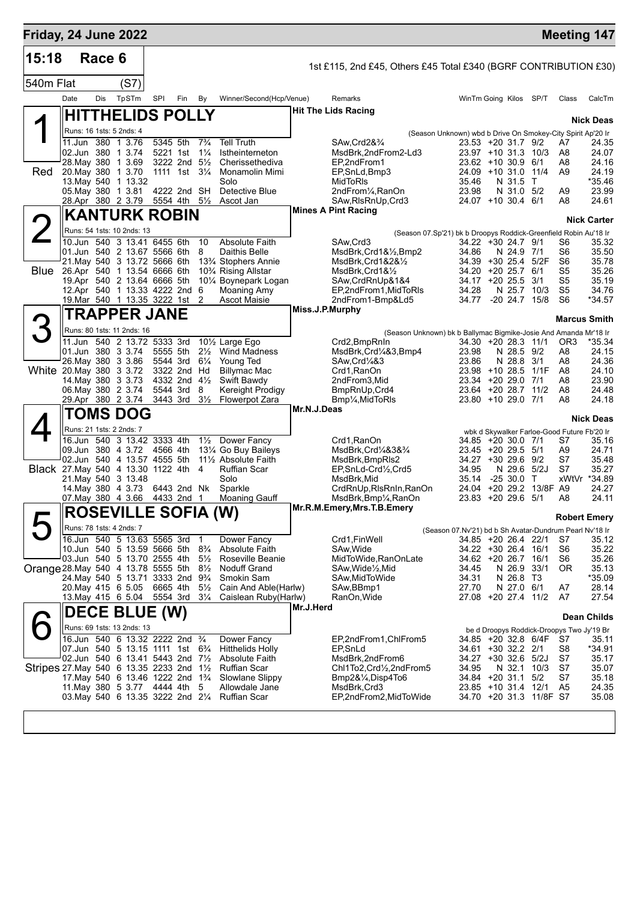| Friday, 24 June 2022                   |                            |        |                                                                                              |                      |               |                                  |                                                |                 |                                                                                   |                                                             |                         |                         |                         |                                             | <b>Meeting 147</b>  |
|----------------------------------------|----------------------------|--------|----------------------------------------------------------------------------------------------|----------------------|---------------|----------------------------------|------------------------------------------------|-----------------|-----------------------------------------------------------------------------------|-------------------------------------------------------------|-------------------------|-------------------------|-------------------------|---------------------------------------------|---------------------|
| 15:18                                  |                            | Race 6 |                                                                                              |                      |               |                                  |                                                |                 | 1st £115, 2nd £45, Others £45 Total £340 (BGRF CONTRIBUTION £30)                  |                                                             |                         |                         |                         |                                             |                     |
| 540m Flat                              |                            |        | (S7)                                                                                         |                      |               |                                  |                                                |                 |                                                                                   |                                                             |                         |                         |                         |                                             |                     |
|                                        | Date                       | Dis    | TpSTm                                                                                        | SPI                  | Fin           | By                               | Winner/Second(Hcp/Venue)                       |                 | Remarks                                                                           | WinTm Going Kilos SP/T                                      |                         |                         |                         | Class                                       | CalcTm              |
|                                        |                            |        | <b>HITTHELIDS POLLY</b>                                                                      |                      |               |                                  |                                                |                 | <b>Hit The Lids Racing</b>                                                        |                                                             |                         |                         |                         |                                             | <b>Nick Deas</b>    |
|                                        |                            |        | Runs: 16 1sts: 5 2nds: 4                                                                     |                      |               |                                  |                                                |                 |                                                                                   | (Season Unknown) wbd b Drive On Smokey-City Spirit Ap'20 Ir |                         |                         |                         |                                             |                     |
|                                        | 11.Jun<br>02.Jun 380       | 380    | 1 3.76<br>1 3 74                                                                             | 5345 5th<br>5221 1st |               | $7\frac{3}{4}$<br>$1\frac{1}{4}$ | <b>Tell Truth</b><br>Istheinterneton           |                 | SAw, Crd2&3/4<br>MsdBrk,2ndFrom2-Ld3                                              | 23.53 +20 31.7 9/2<br>23.97 +10 31.3                        |                         |                         | 10/3                    | A7<br>A8                                    | 24.35<br>24.07      |
|                                        | 28. May 380                |        | 1 3.69                                                                                       |                      | 3222 2nd      | $5\frac{1}{2}$                   | Cherissethediva                                |                 | EP.2ndFrom1                                                                       | $23.62 + 10.30.9$                                           |                         |                         | 6/1                     | A8                                          | 24.16               |
| Red                                    | 20. May 380<br>13. May 540 |        | 1 3.70<br>1 13.32                                                                            |                      | 1111 1st      | $3\frac{1}{4}$                   | Monamolin Mimi<br>Solo                         |                 | EP, SnLd, Bmp3<br>MidToRIs                                                        | 24.09 +10 31.0<br>35.46                                     |                         | N 31.5                  | 11/4<br>T               | A9                                          | 24.19<br>$*35.46$   |
|                                        | 05. May 380                |        | 1 3.81                                                                                       |                      | 4222 2nd      | SH                               | Detective Blue                                 |                 | 2ndFrom1/ <sub>4</sub> , RanOn                                                    | 23.98                                                       |                         | N 31.0                  | 5/2                     | A9                                          | 23.99               |
|                                        |                            |        | 28.Apr 380 2 3.79                                                                            |                      | 5554 4th 51/2 |                                  | Ascot Jan                                      |                 | SAw, RIs RnUp, Crd3<br><b>Mines A Pint Racing</b>                                 | 24.07 +10 30.4 6/1                                          |                         |                         |                         | A8                                          | 24.61               |
|                                        |                            |        | <b>KANTURK ROBIN</b>                                                                         |                      |               |                                  |                                                |                 |                                                                                   |                                                             |                         |                         |                         |                                             | <b>Nick Carter</b>  |
| $\angle$                               |                            |        | Runs: 54 1sts: 10 2nds: 13<br>10.Jun 540 3 13.41 6455 6th                                    |                      |               | 10                               | <b>Absolute Faith</b>                          |                 | (Season 07.Sp'21) bk b Droopys Roddick-Greenfield Robin Au'18 Ir<br>SAw, Crd3     | 34.22 +30 24.7 9/1                                          |                         |                         |                         | S6                                          | 35.32               |
|                                        |                            |        | 01.Jun 540 2 13.67 5566 6th                                                                  |                      |               | 8                                | Daithis Belle                                  |                 | MsdBrk, Crd1&1/2, Bmp2                                                            | 34.86                                                       |                         | N 24.9                  | 7/1                     | S <sub>6</sub>                              | 35.50               |
| <b>Blue</b>                            |                            |        | 21. May 540 3 13.72 5666 6th<br>26.Apr 540 1 13.54 6666 6th                                  |                      |               |                                  | 13% Stophers Annie<br>10% Rising Allstar       |                 | MsdBrk,Crd1&2&1/2<br>MsdBrk, Crd1&1/2                                             | 34.39<br>34.20                                              | +30 25.4<br>$+20, 25.7$ |                         | 5/2F<br>6/1             | S6<br>S <sub>5</sub>                        | 35.78<br>35.26      |
|                                        |                            |        | 19.Apr 540 2 13.64 6666 5th                                                                  |                      |               |                                  | 101/4 Boynepark Logan                          |                 | SAw, CrdRnUp&1&4                                                                  | 34.17                                                       | $+20, 25.5$             |                         | 3/1                     | S <sub>5</sub>                              | 35.19               |
|                                        |                            |        | 12.Apr 540 1 13.33 4222 2nd                                                                  |                      |               | 6<br>2                           | Moaning Amy                                    |                 | EP,2ndFrom1,MidToRIs                                                              | 34.28                                                       |                         | N 25.7<br>$-20, 24.7$   | 10/3                    | S <sub>5</sub><br>S <sub>6</sub>            | 34.76               |
|                                        |                            |        | 19. Mar 540 1 13.35 3222 1st<br><b>TRAPPER JANE</b>                                          |                      |               |                                  | Ascot Maisie                                   | Miss.J.P.Murphy | 2ndFrom1-Bmp&Ld5                                                                  | 34.77                                                       |                         |                         | 15/8                    |                                             | *34.57              |
|                                        |                            |        |                                                                                              |                      |               |                                  |                                                |                 |                                                                                   |                                                             |                         |                         |                         |                                             | <b>Marcus Smith</b> |
|                                        |                            |        | Runs: 80 1sts: 11 2nds: 16<br>11.Jun 540 2 13.72 5333 3rd                                    |                      |               |                                  | 101/2 Large Ego                                |                 | (Season Unknown) bk b Ballymac Bigmike-Josie And Amanda Mr'18 Ir<br>Crd2, BmpRnIn | 34.30 +20 28.3 11/1                                         |                         |                         |                         | OR <sub>3</sub>                             | $*35.34$            |
|                                        |                            |        | 01.Jun 380 3 3.74                                                                            | 5555 5th             |               | $2\frac{1}{2}$                   | <b>Wind Madness</b>                            |                 | MsdBrk, Crd1/4&3, Bmp4                                                            | 23.98                                                       |                         | N 28.5                  | 9/2                     | A8                                          | 24.15               |
| White 20. May 380 3 3.72               |                            |        | 26. May 380 3 3.86                                                                           | 5544 3rd             | 3322 2nd      | $6\frac{1}{4}$<br>Hd             | Young Ted<br><b>Billymac Mac</b>               |                 | SAw, Crd <sup>1</sup> / <sub>4</sub> &3<br>Crd1, RanOn                            | 23.86<br>23.98 +10 28.5                                     |                         | N 28.8                  | 3/1<br>1/1F             | A8<br>A8                                    | 24.36<br>24.10      |
|                                        |                            |        | 14. May 380 3 3.73                                                                           |                      | 4332 2nd      | $4\frac{1}{2}$                   | Swift Bawdy                                    |                 | 2ndFrom3, Mid                                                                     | 23.34 +20 29.0                                              |                         |                         | 7/1                     | A8                                          | 23.90               |
|                                        |                            |        | 06. May 380 2 3.74<br>29.Apr 380 2 3.74                                                      | 5544 3rd<br>3443 3rd |               | 8<br>$3\frac{1}{2}$              | Kereight Prodigy<br>Flowerpot Zara             |                 | BmpRnUp, Crd4<br>Bmp1/ <sub>4</sub> , MidToRIs                                    | 23.64 +20 28.7<br>23.80 +10 29.0 7/1                        |                         |                         | 11/2                    | A8<br>A8                                    | 24.48<br>24.18      |
|                                        |                            |        | <b>TOMS DOG</b>                                                                              |                      |               |                                  |                                                | Mr.N.J.Deas     |                                                                                   |                                                             |                         |                         |                         |                                             |                     |
|                                        |                            |        | Runs: 21 1sts: 2 2nds: 7                                                                     |                      |               |                                  |                                                |                 |                                                                                   |                                                             |                         |                         |                         | wbk d Skywalker Farloe-Good Future Fb'20 Ir | <b>Nick Deas</b>    |
|                                        |                            |        | 16.Jun 540 3 13.42 3333 4th                                                                  |                      |               | $1\frac{1}{2}$                   | Dower Fancy                                    |                 | Crd1, RanOn                                                                       | 34.85                                                       | +20 30.0 7/1            |                         |                         | S7                                          | 35.16               |
|                                        |                            |        | 09.Jun 380 4 3.72<br>02.Jun 540 4 13.57 4555 5th                                             | 4566 4th             |               |                                  | 131⁄4 Go Buy Baileys<br>11½ Absolute Faith     |                 | MsdBrk,Crd¼&3&¾<br>MsdBrk, BmpRIs2                                                | 23.45 +20 29.5 5/1<br>$34.27 + 3029.6$                      |                         |                         | 9/2                     | A9<br>S7                                    | 24.71<br>35.48      |
| Black 27. May 540 4 13.30 1122 4th     |                            |        |                                                                                              |                      |               | $\overline{4}$                   | <b>Ruffian Scar</b>                            |                 | EP, SnLd-Crd1/2, Crd5                                                             | 34.95                                                       |                         |                         | N 29.6 5/2J             | S7                                          | 35.27               |
|                                        |                            |        | 21. May 540 3 13.48<br>14 May 380 4 3.73                                                     |                      | 6443 2nd Nk   |                                  | Solo<br>Sparkle                                |                 | MsdBrk, Mid<br>CrdRnUp, RIsRnIn, RanOn                                            | 35.14<br>24.04                                              | $-2530.0$               |                         | Т<br>+20 29.2 13/8F A9  | xWtVr                                       | *34.89<br>24.27     |
|                                        |                            |        | 07. May 380 4 3.66                                                                           |                      | 4433 2nd      | $\mathbf{1}$                     | Moaning Gauff                                  |                 | MsdBrk, Bmp <sup>1</sup> / <sub>4</sub> , RanOn                                   | 23.83 +20 29.6 5/1                                          |                         |                         |                         | A8                                          | 24.11               |
|                                        |                            |        | <b>ROSEVILLE SOFIA (W)</b>                                                                   |                      |               |                                  |                                                |                 | Mr.R.M.Emery, Mrs.T.B.Emery                                                       |                                                             |                         |                         |                         |                                             | <b>Robert Emery</b> |
|                                        |                            |        | Runs: 78 1sts: 4 2nds: 7                                                                     |                      |               |                                  |                                                |                 |                                                                                   | (Season 07.Nv'21) bd b Sh Avatar-Dundrum Pearl Nv'18 Ir     |                         |                         |                         |                                             |                     |
|                                        |                            |        | 16.Jun 540 5 13.63 5565 3rd<br>10.Jun 540 5 13.59 5666 5th                                   |                      |               | $\mathbf 1$<br>$8\frac{3}{4}$    | Dower Fancy<br><b>Absolute Faith</b>           |                 | Crd1,FinWell<br>SAw, Wide                                                         | 34.85 +20 26.4 22/1<br>34.22 +30 26.4 16/1                  |                         |                         |                         | S7<br>S6                                    | 35.12<br>35.22      |
|                                        |                            |        | 03.Jun 540 5 13.70 2555 4th                                                                  |                      |               |                                  | 5 <sup>1</sup> / <sub>2</sub> Roseville Beanie |                 | MidToWide, RanOnLate                                                              | 34.62 +20 26.7 16/1                                         |                         |                         |                         | S6                                          | 35.26               |
| Orange 28. May 540 4 13.78 5555 5th    |                            |        |                                                                                              |                      |               | $8\frac{1}{2}$                   | <b>Noduff Grand</b>                            |                 | SAw,Wide½,Mid                                                                     | 34.45                                                       |                         |                         | N 26.9 33/1             | 0R                                          | 35.13               |
|                                        |                            |        | 24. May 540 5 13.71 3333 2nd<br>20. May 415 6 5.05                                           | 6665 4th             |               | 9¾<br>$5\frac{1}{2}$             | Smokin Sam<br>Cain And Able(Harlw)             |                 | SAw, Mid To Wide<br>SAw, BBmp1                                                    | 34.31<br>27.70                                              |                         | N 26.8 T3<br>N 27.0 6/1 |                         | A7                                          | *35.09<br>28.14     |
|                                        |                            |        | 13. May 415 6 5.04                                                                           | 5554 3rd             |               | $3\frac{1}{4}$                   | Caislean Ruby(Harlw)                           |                 | RanOn,Wide                                                                        | 27.08 +20 27.4 11/2                                         |                         |                         |                         | A7                                          | 27.54               |
|                                        |                            |        | <b>DECE BLUE (W)</b>                                                                         |                      |               |                                  |                                                | Mr.J.Herd       |                                                                                   |                                                             |                         |                         |                         |                                             | <b>Dean Childs</b>  |
|                                        |                            |        | Runs: 69 1sts: 13 2nds: 13                                                                   |                      |               |                                  |                                                |                 |                                                                                   |                                                             |                         |                         |                         | be d Droopys Roddick-Droopys Two Jy'19 Br   |                     |
|                                        |                            |        | 16.Jun 540 6 13.32 2222 2nd 3/4<br>07.Jun 540 5 13.15 1111 1st 6 <sup>3</sup> / <sub>4</sub> |                      |               |                                  | Dower Fancy<br><b>Hitthelids Holly</b>         |                 | EP,2ndFrom1,ChlFrom5<br>EP, SnLd                                                  | 34.85 +20 32.8 6/4F<br>34.61 +30 32.2 2/1                   |                         |                         |                         | S7<br>S8                                    | 35.11<br>*34.91     |
|                                        |                            |        | 02.Jun 540 6 13.41 5443 2nd 71/2                                                             |                      |               |                                  | <b>Absolute Faith</b>                          |                 | MsdBrk,2ndFrom6                                                                   | 34.27 +30 32.6 5/2J                                         |                         |                         |                         | S7                                          | 35.17               |
| Stripes 27 May 540 6 13.35 2233 2nd 1½ |                            |        |                                                                                              |                      |               |                                  | <b>Ruffian Scar</b>                            |                 | Chl1To2,Crd½,2ndFrom5                                                             | 34.95                                                       |                         |                         | N 32.1 10/3             | S7<br>S7                                    | 35.07               |
|                                        |                            |        | 17. May 540 6 13.46 1222 2nd 1 <sup>3</sup> / <sub>4</sub><br>11. May 380 5 3.77 4444 4th    |                      |               | 5                                | Slowlane Slippy<br>Allowdale Jane              |                 | Bmp2&¼,Disp4To6<br>MsdBrk, Crd3                                                   | 34.84 +20 31.1 5/2<br>23.85 +10 31.4 12/1                   |                         |                         |                         | A <sub>5</sub>                              | 35.18<br>24.35      |
|                                        |                            |        | 03. May 540 6 13.35 3222 2nd 21/4                                                            |                      |               |                                  | <b>Ruffian Scar</b>                            |                 | EP,2ndFrom2,MidToWide                                                             |                                                             |                         |                         | 34.70 +20 31.3 11/8F S7 |                                             | 35.08               |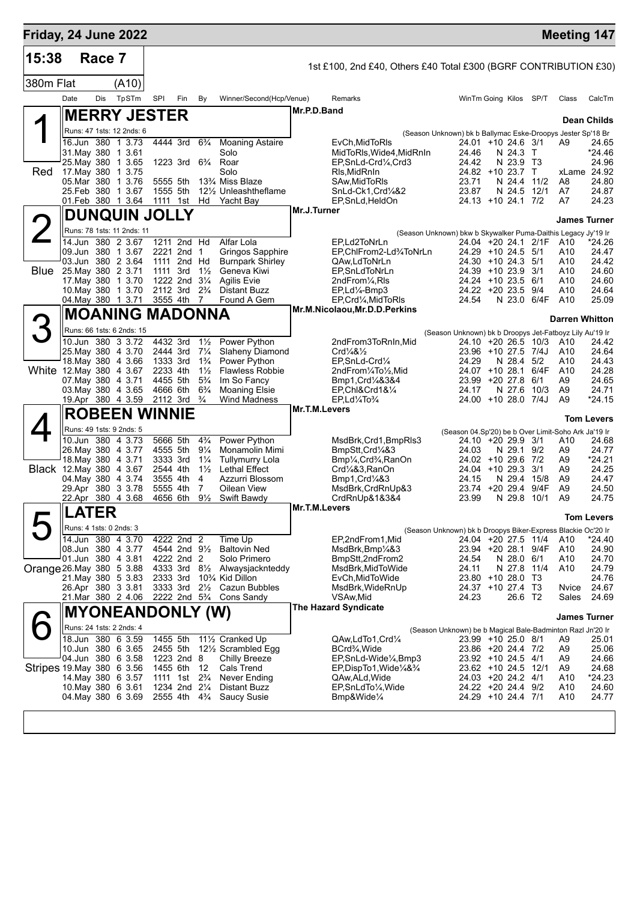| Friday, 24 June 2022      |                                          |                                              |        |                           |     |                                  |                                                            |               |                                                                                          |                                                                                     |             |              |                       | <b>Meeting 147</b>   |
|---------------------------|------------------------------------------|----------------------------------------------|--------|---------------------------|-----|----------------------------------|------------------------------------------------------------|---------------|------------------------------------------------------------------------------------------|-------------------------------------------------------------------------------------|-------------|--------------|-----------------------|----------------------|
| 15:38                     |                                          | Race 7                                       |        |                           |     |                                  |                                                            |               | 1st £100, 2nd £40, Others £40 Total £300 (BGRF CONTRIBUTION £30)                         |                                                                                     |             |              |                       |                      |
| 380m Flat                 |                                          |                                              | (A10)  |                           |     |                                  |                                                            |               |                                                                                          |                                                                                     |             |              |                       |                      |
|                           | Date                                     | Dis                                          | TpSTm  | SPI                       | Fin | By                               | Winner/Second(Hcp/Venue)                                   |               | Remarks                                                                                  | WinTm Going Kilos SP/T                                                              |             |              | Class                 | CalcTm               |
|                           |                                          |                                              |        | <b>MERRY JESTER</b>       |     |                                  |                                                            | Mr.P.D.Band   |                                                                                          |                                                                                     |             |              |                       | Dean Childs          |
|                           |                                          | Runs: 47 1sts: 12 2nds: 6                    |        |                           |     |                                  |                                                            |               |                                                                                          |                                                                                     |             |              |                       |                      |
|                           |                                          | 16.Jun 380 1 3.73                            |        | 4444 3rd                  |     | $6\frac{3}{4}$                   | <b>Moaning Astaire</b>                                     |               | EvCh, MidToRIs                                                                           | (Season Unknown) bk b Ballymac Eske-Droopys Jester Sp'18 Br<br>24.01 +10 24.6 3/1   |             |              | A9                    | 24.65                |
|                           | 31 May 380 1 3.61                        |                                              |        |                           |     |                                  | Solo                                                       |               | MidToRls, Wide4, MidRnIn                                                                 | 24.46                                                                               | N 24.3 T    |              |                       | *24.46               |
| Red                       | 25. May 380 1 3.65<br>17. May 380 1 3.75 |                                              |        | 1223 3rd                  |     | $6\frac{3}{4}$                   | Roar<br>Solo                                               |               | EP, SnLd-Crd1/4, Crd3<br>Rls, MidRnIn                                                    | 24.42<br>24.82 +10 23.7 T                                                           | N 23.9 T3   |              |                       | 24.96<br>xLame 24.92 |
|                           | 05.Mar 380                               |                                              | 1 3.76 | 5555 5th                  |     |                                  | 13 <sup>3</sup> / <sub>4</sub> Miss Blaze                  |               | SAw, Mid To RIs                                                                          | 23.71                                                                               | N 24.4      | 11/2         | A8                    | 24.80                |
|                           | 25. Feb 380 1 3.67                       |                                              |        | 1555 5th                  |     |                                  | 121/ <sub>2</sub> Unleashtheflame                          |               | SnLd-Ck1,Crd¼&2                                                                          | 23.87                                                                               | N 24.5 12/1 |              | A7                    | 24.87                |
|                           | 01.Feb 380 1 3.64                        |                                              |        | 1111 1st                  |     | Hd                               | Yacht Bay                                                  | Mr.J.Turner   | EP,SnLd,HeldOn                                                                           | 24.13 +10 24.1 7/2                                                                  |             |              | A7                    | 24.23                |
|                           |                                          |                                              |        | <b>DUNQUIN JOLLY</b>      |     |                                  |                                                            |               |                                                                                          |                                                                                     |             |              | <b>James Turner</b>   |                      |
|                           |                                          | Runs: 78 1sts: 11 2nds: 11                   |        |                           |     |                                  |                                                            |               |                                                                                          | (Season Unknown) bkw b Skywalker Puma-Daithis Legacy Jy'19 Ir                       |             |              |                       |                      |
|                           | 09.Jun 380 1 3.67                        | 14.Jun 380 2 3.67                            |        | 1211 2nd Hd<br>2221 2nd 1 |     |                                  | Alfar Lola<br>Gringos Sapphire                             |               | EP,Ld2ToNrLn<br>EP, ChlFrom 2-Ld34ToNrLn                                                 | 24.04 +20 24.1 2/1F<br>24.29 +10 24.5 5/1                                           |             |              | A10<br>A10            | *24.26<br>24.47      |
|                           | 03.Jun 380 2 3.64                        |                                              |        | 1111 2nd Hd               |     |                                  | <b>Burnpark Shirley</b>                                    |               | QAw,LdToNrLn                                                                             | $24.30 + 10.24.3$                                                                   |             | 5/1          | A10                   | 24.42                |
| <b>Blue</b>               | 25. May 380 2 3.71                       |                                              |        | 1111 3rd                  |     | $1\frac{1}{2}$                   | Geneva Kiwi                                                |               | EP, SnLdToNrLn                                                                           | 24.39 +10 23.9                                                                      |             | 3/1          | A10                   | 24.60                |
|                           | 17. May 380 1 3.70<br>10. May 380 1 3.70 |                                              |        | 1222 2nd 31/4<br>2112 3rd |     | $2\frac{3}{4}$                   | <b>Agilis Evie</b><br><b>Distant Buzz</b>                  |               | 2ndFrom¼,RIs<br>EP,Ld1/4-Bmp3                                                            | 24.24 +10 23.5 6/1<br>24.22 +20 23.5 9/4                                            |             |              | A10<br>A10            | 24.60<br>24.64       |
|                           | 04. May 380 1 3.71                       |                                              |        | 3555 4th                  |     | 7                                | Found A Gem                                                |               | EP, Crd1/4, MidToRIs                                                                     | 24.54                                                                               | N 23.0 6/4F |              | A10                   | 25.09                |
|                           |                                          |                                              |        | <b>MOANING MADONNA</b>    |     |                                  |                                                            |               | Mr.M.Nicolaou, Mr.D.D.Perkins                                                            |                                                                                     |             |              |                       |                      |
| 3                         |                                          | Runs: 66 1sts: 6 2nds: 15                    |        |                           |     |                                  |                                                            |               |                                                                                          |                                                                                     |             |              | <b>Darren Whitton</b> |                      |
|                           |                                          | 10.Jun 380 3 3.72                            |        | 4432 3rd                  |     | $1\frac{1}{2}$                   | Power Python                                               |               | 2ndFrom3ToRnIn, Mid                                                                      | (Season Unknown) bk b Droopys Jet-Fatboyz Lily Au'19 Ir<br>24.10 +20 26.5 10/3      |             |              | A10                   | 24.42                |
|                           | 25. May 380 4 3.70                       |                                              |        | 2444 3rd                  |     | $7\frac{1}{4}$                   | <b>Slaheny Diamond</b>                                     |               | $Crd$ <sup><math>\frac{1}{4}</math>&amp;<math>\frac{1}{2}</math></sup>                   | 23.96 +10 27.5 7/4J                                                                 |             |              | A10                   | 24.64                |
|                           | 18. May 380 4 3.66                       |                                              |        | 1333 3rd                  |     | $1\frac{3}{4}$                   | Power Python                                               |               | EP,SnLd-Crd1/4                                                                           | 24.29                                                                               | N 28.4      | 5/2          | A10                   | 24.43                |
| White 12. May 380 4 3.67  | 07 May 380 4 3.71                        |                                              |        | 2233 4th<br>4455 5th      |     | $1\frac{1}{2}$<br>$5\frac{3}{4}$ | <b>Flawless Robbie</b><br>Im So Fancy                      |               | 2ndFrom1⁄4To1⁄2,Mid<br>Bmp1, Crd <sup>1</sup> / <sub>4</sub> & 3& 4                      | 24.07 +10 28.1<br>23.99                                                             | $+20$ 27.8  | 6/4F<br>6/1  | A10<br>A9             | 24.28<br>24.65       |
|                           | 03 May 380 4 3.65                        |                                              |        | 4666 6th                  |     | $6\frac{3}{4}$                   | Moaning Elsie                                              |               | EP,Chl&Crd1&1/4                                                                          | 24.17                                                                               | N 27.6      | 10/3         | A9                    | 24.71                |
|                           | 19.Apr 380 4 3.59                        |                                              |        | 2112 3rd                  |     | $\frac{3}{4}$                    | <b>Wind Madness</b>                                        |               | $EP, Ld$ <sup><math>\frac{7}{4}To\%</math></sup>                                         | 24.00 +10 28.0 7/4J                                                                 |             |              | A <sub>9</sub>        | $*24.15$             |
|                           |                                          |                                              |        | <b>ROBEEN WINNIE</b>      |     |                                  |                                                            | Mr.T.M.Levers |                                                                                          |                                                                                     |             |              |                       | <b>Tom Levers</b>    |
|                           |                                          | Runs: 49 1sts: 9 2nds: 5                     |        |                           |     |                                  |                                                            |               |                                                                                          | (Season 04.Sp'20) be b Over Limit-Soho Ark Ja'19 Ir                                 |             |              |                       |                      |
|                           |                                          | 10.Jun 380 4 3.73                            |        | 5666 5th                  |     | $4\frac{3}{4}$                   | Power Python                                               |               | MsdBrk, Crd1, BmpRIs3                                                                    | 24.10 +20 29.9 3/1                                                                  |             |              | A10                   | 24.68                |
|                           | 26. May 380 4 3.77<br>18. May 380 4 3.71 |                                              |        | 4555 5th<br>3333 3rd      |     | $9\frac{1}{4}$<br>$1\frac{1}{4}$ | Monamolin Mimi<br><b>Tullymurry Lola</b>                   |               | BmpStt,Crd¼&3<br>Bmp <sup>1</sup> / <sub>4</sub> ,Crd <sup>3</sup> / <sub>4</sub> ,RanOn | 24.03<br>24.02 +10 29.6                                                             | N 29.1 9/2  | 7/2          | A9<br>A9              | 24.77<br>*24.21      |
| Black 12 May 380 4 3.67   |                                          |                                              |        | 2544 4th                  |     | $1\frac{1}{2}$                   | Lethal Effect                                              |               | Crd¼&3,RanOn                                                                             | 24.04 +10 29.3                                                                      |             | 3/1          | A9                    | 24.25                |
|                           | 04 May 380 4 3.74                        |                                              |        | 3555 4th                  |     | 4                                | Azzurri Blossom                                            |               | Bmp1, Crd <sub>4</sub> 83                                                                | 24.15                                                                               | N 29.4      | 15/8         | A9                    | 24.47                |
|                           | 29.Apr 380 3 3.78<br>22.Apr 380 4 3.68   |                                              |        | 5555 4th<br>4656 6th      |     | 7<br>$9\frac{1}{2}$              | Oilean View<br>Swift Bawdy                                 |               | MsdBrk, CrdRnUp&3<br>CrdRnUp&1&3&4                                                       | 23.74 +20 29.4<br>23.99                                                             | N 29.8      | 9/4F<br>10/1 | A9<br>A9              | 24.50<br>24.75       |
|                           | <b>LATER</b>                             |                                              |        |                           |     |                                  |                                                            | Mr.T.M.Levers |                                                                                          |                                                                                     |             |              |                       |                      |
|                           |                                          |                                              |        |                           |     |                                  |                                                            |               |                                                                                          |                                                                                     |             |              |                       | <b>Tom Levers</b>    |
|                           |                                          | Runs: 4 1sts: 0 2nds: 3<br>14.Jun 380 4 3.70 |        | 4222 2nd 2                |     |                                  | Time Up                                                    |               | EP,2ndFrom1,Mid                                                                          | (Season Unknown) bk b Droopys Biker-Express Blackie Oc'20 Ir<br>24.04 +20 27.5 11/4 |             |              | A10                   | *24.40               |
|                           | 08.Jun 380 4 3.77                        |                                              |        | 4544 2nd 91/2             |     |                                  | <b>Baltovin Ned</b>                                        |               | MsdBrk, Bmp <sup>1</sup> / <sub>4</sub> &3                                               | 23.94 +20 28.1 9/4F                                                                 |             |              | A10                   | 24.90                |
|                           | 01.Jun 380 4 3.81                        |                                              |        | 4222 2nd 2                |     |                                  | Solo Primero                                               |               | BmpStt,2ndFrom2                                                                          | 24.54                                                                               | N 28.0 6/1  |              | A10                   | 24.70                |
| Orange 26. May 380 5 3.88 |                                          |                                              |        | 4333 3rd                  |     | $8\frac{1}{2}$                   | Alwaysjacknteddy                                           |               | MsdBrk, MidToWide                                                                        | 24.11                                                                               | N 27.8 11/4 |              | A10                   | 24.79                |
|                           | 21. May 380 5 3.83<br>26.Apr 380 3 3.81  |                                              |        | 2333 3rd<br>3333 3rd      |     | $2\frac{1}{2}$                   | 10 <sup>3</sup> / <sub>4</sub> Kid Dillon<br>Cazun Bubbles |               | EvCh, MidTo Wide<br>MsdBrk, WideRnUp                                                     | 23.80 +10 28.0 T3<br>24.37 +10 27.4 T3                                              |             |              | Nvice                 | 24.76<br>24.67       |
|                           | 21.Mar 380 2 4.06                        |                                              |        |                           |     |                                  | 2222 2nd 5 <sup>3</sup> / <sub>4</sub> Cons Sandy          |               | VSAw, Mid                                                                                | 24.23                                                                               | 26.6 T2     |              | Sales                 | 24.69                |
|                           |                                          |                                              |        | <b>MYONEANDONLY (W)</b>   |     |                                  |                                                            |               | <b>The Hazard Syndicate</b>                                                              |                                                                                     |             |              |                       |                      |
|                           |                                          | Runs: 24 1sts: 2 2nds: 4                     |        |                           |     |                                  |                                                            |               |                                                                                          | (Season Unknown) be b Magical Bale-Badminton Razl Jn'20 Ir                          |             |              | James Turner          |                      |
|                           |                                          | 18.Jun 380 6 3.59                            |        | 1455 5th                  |     |                                  | 111/2 Cranked Up                                           |               | QAw,LdTo1,Crd1/4                                                                         | 23.99 +10 25.0 8/1                                                                  |             |              | A9                    | 25.01                |
|                           | 10.Jun 380 6 3.65                        |                                              |        | 2455 5th                  |     |                                  | 12 <sup>1</sup> / <sub>2</sub> Scrambled Egg               |               | BCrd <sup>3</sup> / <sub>4</sub> , Wide                                                  | 23.86 +20 24.4 7/2                                                                  |             |              | A9                    | 25.06                |
|                           | 04.Jun 380 6 3.58                        |                                              |        | 1223 2nd 8                |     |                                  | Chilly Breeze                                              |               | EP, SnLd-Wide <sup>1</sup> / <sub>4</sub> , Bmp3                                         | 23.92 +10 24.5 4/1                                                                  |             |              | A9                    | 24.66                |
| Stripes 19 May 380 6 3.56 | 14 May 380 6 3.57                        |                                              |        | 1455 6th<br>1111 1st      |     | - 12<br>$2\frac{3}{4}$           | Cals Trend<br>Never Ending                                 |               | EP, DispTo1, Wide 1/4& 3/4<br>QAw,ALd,Wide                                               | 23.62 +10 24.5 12/1<br>24.03 +20 24.2 4/1                                           |             |              | A9<br>A10             | 24.68<br>$*24.23$    |
|                           | 10. May 380 6 3.61                       |                                              |        | 1234 2nd 21/4             |     |                                  | Distant Buzz                                               |               | EP, SnLdTo / 4, Wide                                                                     | 24.22 +20 24.4 9/2                                                                  |             |              | A10                   | 24.60                |
|                           | 04. May 380 6 3.69                       |                                              |        | 2555 4th                  |     | $4\frac{3}{4}$                   | Saucy Susie                                                |               | Bmp&Wide1/4                                                                              | 24.29 +10 24.4 7/1                                                                  |             |              | A10                   | 24.77                |
|                           |                                          |                                              |        |                           |     |                                  |                                                            |               |                                                                                          |                                                                                     |             |              |                       |                      |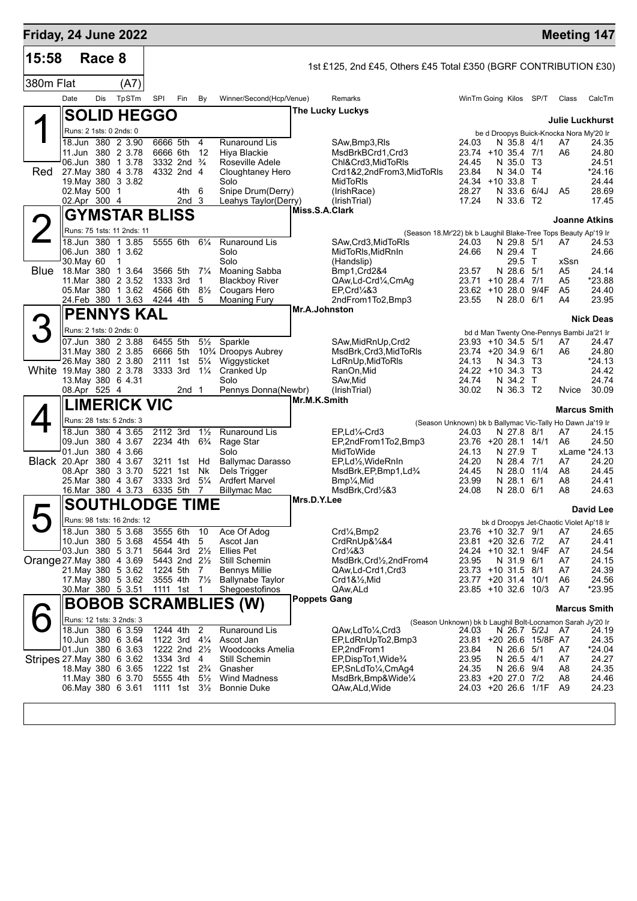| <b>Friday, 24 June 2022</b> |                                               |            |                      |                           |                  |                                  |                                                          |                     |                                                                              |                                                           |                          |                         | <b>Meeting 147</b>                            |                  |
|-----------------------------|-----------------------------------------------|------------|----------------------|---------------------------|------------------|----------------------------------|----------------------------------------------------------|---------------------|------------------------------------------------------------------------------|-----------------------------------------------------------|--------------------------|-------------------------|-----------------------------------------------|------------------|
| 15:58                       |                                               | Race 8     |                      |                           |                  |                                  |                                                          |                     | 1st £125, 2nd £45, Others £45 Total £350 (BGRF CONTRIBUTION £30)             |                                                           |                          |                         |                                               |                  |
| 380m Flat                   |                                               |            | (A7)                 |                           |                  |                                  |                                                          |                     |                                                                              |                                                           |                          |                         |                                               |                  |
|                             | Date                                          | <b>Dis</b> | TpSTm                | SPI                       | Fin              | By                               | Winner/Second(Hcp/Venue)                                 |                     | Remarks                                                                      | WinTm Going Kilos SP/T                                    |                          |                         | Class                                         | CalcTm           |
|                             | <b>SOLID HEGGO</b>                            |            |                      |                           |                  |                                  |                                                          |                     | <b>The Lucky Luckys</b>                                                      |                                                           |                          |                         |                                               |                  |
|                             | Runs: 2 1sts: 0 2nds: 0                       |            |                      |                           |                  |                                  |                                                          |                     |                                                                              |                                                           |                          |                         | <b>Julie Luckhurst</b>                        |                  |
|                             | 18.Jun 380 2 3.90                             |            |                      | 6666 5th                  |                  | 4                                | <b>Runaround Lis</b>                                     |                     | SAw,Bmp3,RIs                                                                 | 24.03                                                     | N 35.8 4/1               |                         | be d Droopys Buick-Knocka Nora My'20 Ir<br>A7 | 24.35            |
|                             | 11.Jun 380 2 3.78<br>06.Jun 380 1 3.78        |            |                      | 6666 6th<br>3332 2nd      |                  | 12<br>$\frac{3}{4}$              | Hiya Blackie<br>Roseville Adele                          |                     | MsdBrkBCrd1,Crd3<br>Chl&Crd3, MidToRIs                                       | 23.74 +10 35.4 7/1<br>24.45                               | N 35.0                   | T3                      | A6                                            | 24.80<br>24.51   |
| Red                         | 27. May 380 4 3.78                            |            |                      | 4332 2nd 4                |                  |                                  | Cloughtaney Hero                                         |                     | Crd1&2,2ndFrom3,MidToRIs                                                     | 23.84                                                     | N 34.0 T4                |                         |                                               | $*24.16$         |
|                             | 19. May 380 3 3.82<br>02. May 500 1           |            |                      |                           | 4th -            | 6                                | Solo<br>Snipe Drum(Derry)                                |                     | MidToRIs<br>(IrishRace)                                                      | 24.34 +10 33.8<br>28.27                                   | N 33.6 6/4J              | т                       | A <sub>5</sub>                                | 24.44<br>28.69   |
|                             | 02.Apr 300 4                                  |            |                      |                           | 2nd <sub>3</sub> |                                  | Leahys Taylor(Derry)                                     |                     | (IrishTrial)                                                                 | 17.24                                                     | N 33.6                   | T <sub>2</sub>          |                                               | 17.45            |
|                             | <b>GYMSTAR BLISS</b>                          |            |                      |                           |                  |                                  |                                                          | Miss.S.A.Clark      |                                                                              |                                                           |                          |                         | <b>Joanne Atkins</b>                          |                  |
|                             | Runs: 75 1sts: 11 2nds: 11                    |            |                      |                           |                  |                                  |                                                          |                     | (Season 18.Mr'22) bk b Laughil Blake-Tree Tops Beauty Ap'19 Ir               |                                                           |                          |                         |                                               |                  |
|                             | 18.Jun                                        | 380        | 3.85<br>$\mathbf{1}$ | 5555 6th                  |                  | $6\frac{1}{4}$                   | <b>Runaround Lis</b>                                     |                     | SAw, Crd3, MidToRIs                                                          | 24.03                                                     | N 29.8 5/1               |                         | A7                                            | 24.53            |
|                             | 06.Jun 380 1 3.62<br>30. May 60               |            | 1                    |                           |                  |                                  | Solo<br>Solo                                             |                     | MidToRIs, MidRnIn<br>(Handslip)                                              | 24.66                                                     | N 29.4<br>29.5           | T<br>T                  | xSsn                                          | 24.66            |
| <b>Blue</b>                 | 18.Mar 380 1 3.64<br>11. Mar 380 2 3.52       |            |                      | 3566 5th                  |                  | $7\frac{1}{4}$<br>1              | <b>Moaning Sabba</b><br><b>Blackboy River</b>            |                     | Bmp1, Crd2&4                                                                 | 23.57<br>23.71 +10 28.4                                   | N 28.6                   | 5/1                     | A5                                            | 24.14<br>*23.88  |
|                             | 05.Mar 380 1 3.62                             |            |                      | 1333 3rd<br>4566 6th      |                  | $8\frac{1}{2}$                   | Cougars Hero                                             |                     | QAw,Ld-Crd1/4,CmAg<br>EP, Crd <sup>1</sup> / <sub>4</sub> &3                 | $23.62 + 10.28.0$                                         |                          | 7/1<br>9/4F             | A5<br>A5                                      | 24.40            |
|                             | 24.Feb 380 1 3.63                             |            |                      | 4244 4th                  |                  | 5                                | <b>Moaning Fury</b>                                      |                     | 2ndFrom1To2,Bmp3                                                             | 23.55                                                     | N 28.0 6/1               |                         | A4                                            | 23.95            |
|                             | <b>PENNYS KAL</b>                             |            |                      |                           |                  |                                  |                                                          | Mr.A.Johnston       |                                                                              |                                                           |                          |                         |                                               | <b>Nick Deas</b> |
|                             | Runs: 2 1sts: 0 2nds: 0                       |            |                      |                           |                  |                                  |                                                          |                     |                                                                              |                                                           |                          |                         | bd d Man Twenty One-Pennys Bambi Ja'21 Ir     |                  |
|                             | 07.Jun 380 2 3.88<br>31. May 380 2 3.85       |            |                      | 6455 5th<br>6666 5th      |                  | $5\frac{1}{2}$                   | Sparkle<br>10 <sup>3</sup> / <sub>4</sub> Droopys Aubrey |                     | SAw, MidRnUp, Crd2<br>MsdBrk, Crd3, MidToRIs                                 | 23.93<br>23.74 +20 34.9 6/1                               | $+10$ 34.5 5/1           |                         | A7<br>A6                                      | 24.47<br>24.80   |
|                             | 26. May 380 2 3.80                            |            |                      | 2111 1st                  |                  | $5\frac{1}{4}$                   | Wiggysticket                                             |                     | LdRnUp, MidToRIs                                                             | 24.13                                                     | N 34.3                   | T3                      |                                               | *24.13           |
|                             | White 19. May 380 2 3.78<br>13 May 380 6 4.31 |            |                      | 3333 3rd                  |                  | $1\frac{1}{4}$                   | Cranked Up<br>Solo                                       |                     | RanOn, Mid<br>SAw, Mid                                                       | $24.22 + 10.34.3$<br>24.74                                | N 34.2                   | Т3<br>T                 |                                               | 24.42<br>24.74   |
|                             | 08.Apr 525 4                                  |            |                      |                           | 2nd 1            |                                  | Pennys Donna(Newbr)                                      |                     | (IrishTrial)                                                                 | 30.02                                                     | N 36.3 T2                |                         | Nvice                                         | 30.09            |
|                             | <b>LIMERICK VIC</b>                           |            |                      |                           |                  |                                  |                                                          | Mr.M.K.Smith        |                                                                              |                                                           |                          |                         | <b>Marcus Smith</b>                           |                  |
|                             | Runs: 28 1sts: 5 2nds: 3                      |            |                      |                           |                  |                                  |                                                          |                     |                                                                              | (Season Unknown) bk b Ballymac Vic-Tally Ho Dawn Ja'19 Ir |                          |                         |                                               |                  |
|                             | 18.Jun 380 4 3.65<br>09.Jun 380 4 3.67        |            |                      | 2112 3rd<br>2234 4th      |                  | $1\frac{1}{2}$<br>$6\frac{3}{4}$ | Runaround Lis                                            |                     | EP.Ld <sup>1</sup> / <sub>4</sub> -Crd3<br>EP,2ndFrom1To2,Bmp3               | 24.03<br>23.76 +20 28.1 14/1                              | N 27.8 8/1               |                         | A7                                            | 24.15            |
|                             | 01.Jun 380 4 3.66                             |            |                      |                           |                  |                                  | Rage Star<br>Solo                                        |                     | MidToWide                                                                    | 24.13                                                     | N 27.9                   | T                       | A6<br>xLame *24.13                            | 24.50            |
|                             | Black 20.Apr 380 4 3.67                       |            |                      | 3211 1st<br>5221 1st      |                  | Hd                               | <b>Ballymac Darasso</b>                                  |                     | EP,Ld½,WideRnIn                                                              | 24.20                                                     | N 28.4 7/1               |                         | A7                                            | 24.20            |
|                             | 08.Apr 380 3 3.70<br>25.Mar 380 4 3.67        |            |                      | 3333 3rd                  |                  | Nk<br>$5\frac{1}{4}$             | Dels Trigger<br>Ardfert Marvel                           |                     | MsdBrk, EP, Bmp1, Ld <sup>3</sup> / <sub>4</sub><br>Bmp1/ <sub>4</sub> , Mid | 24.45<br>23.99                                            | N 28.0<br>N 28.1 6/1     | 11/4                    | A8<br>A8                                      | 24.45<br>24.41   |
|                             | 16.Mar 380 4 3.73                             |            |                      | 6335 5th                  |                  | 7                                | <b>Billymac Mac</b>                                      | Mrs.D.Y.Lee         | MsdBrk,Crd½&3                                                                | 24.08                                                     | N 28.0 6/1               |                         | A8                                            | 24.63            |
|                             | SOUTHLODGE TIME                               |            |                      |                           |                  |                                  |                                                          |                     |                                                                              |                                                           |                          |                         |                                               | <b>David Lee</b> |
|                             | Runs: 98 1sts: 16 2nds: 12                    |            |                      |                           |                  |                                  |                                                          |                     |                                                                              |                                                           |                          |                         | bk d Droopys Jet-Chaotic Violet Ap'18 Ir      |                  |
|                             | 18.Jun 380 5 3.68<br>10.Jun 380 5 3.68        |            |                      | 3555 6th<br>4554 4th      |                  | 10<br>5                          | Ace Of Adog<br>Ascot Jan                                 |                     | Crd¼,Bmp2<br>CrdRnUp&1/4&4                                                   | 23.76 +10 32.7 9/1<br>23.81 +20 32.6 7/2                  |                          |                         | A7<br>A7                                      | 24.65<br>24.41   |
|                             | 03.Jun 380 5 3.71                             |            |                      | 5644 3rd                  |                  | $2\frac{1}{2}$                   | <b>Ellies Pet</b>                                        |                     | Crd1⁄4&3                                                                     | 24.24 +10 32.1 9/4F                                       |                          |                         | A7                                            | 24.54            |
| Orange 27. May 380 4 3.69   | 21. May 380 5 3.62                            |            |                      | 5443 2nd 21/2<br>1224 5th |                  | 7                                | Still Schemin<br>Bennys Millie                           |                     | MsdBrk, Crd1/2, 2ndFrom4<br>QAw,Ld-Crd1,Crd3                                 | 23.95<br>23.73 +10 31.5 8/1                               | N 31.9 6/1               |                         | A7<br>A7                                      | 24.15<br>24.39   |
|                             | 17 May 380 5 3.62                             |            |                      | 3555 4th                  |                  | $7\frac{1}{2}$                   | <b>Ballynabe Taylor</b>                                  |                     | Crd1&½,Mid                                                                   | 23.77 +20 31.4 10/1                                       |                          |                         | A6                                            | 24.56            |
|                             | 30. Mar 380 5 3.51                            |            |                      | 1111 1st                  |                  | -1                               | Shegoestofinos                                           |                     | QAw, ALd                                                                     | 23.85 +10 32.6 10/3                                       |                          |                         | A7                                            | *23.95           |
|                             |                                               |            |                      |                           |                  |                                  | <b>BOBOB SCRAMBLIES (W)</b>                              | <b>Poppets Gang</b> |                                                                              |                                                           |                          |                         | <b>Marcus Smith</b>                           |                  |
|                             | Runs: 12 1sts: 3 2nds: 3                      |            |                      |                           |                  |                                  |                                                          |                     | (Season Unknown) bk b Laughil Bolt-Locnamon Sarah Jy'20 Ir                   |                                                           |                          |                         |                                               |                  |
|                             | 18.Jun 380 6 3.59<br>10.Jun 380 6 3.64        |            |                      | 1244 4th<br>1122 3rd      |                  | $\overline{2}$<br>$4\frac{1}{4}$ | Runaround Lis<br>Ascot Jan                               |                     | QAw,LdTo1/4,Crd3<br>EP,LdRnUpTo2,Bmp3                                        | 24.03                                                     | N 26.7 5/2J              | 23.81 +20 26.6 15/8F A7 | A7                                            | 24.19<br>24.35   |
|                             | 01.Jun 380 6 3.63                             |            |                      | 1222 2nd $2\frac{1}{2}$   |                  |                                  | Woodcocks Amelia                                         |                     | EP,2ndFrom1                                                                  | 23.84                                                     | N 26.6 5/1               |                         | A7                                            | *24.04           |
| Stripes 27 May 380 6 3.62   | 18. May 380 6 3.65                            |            |                      | 1334 3rd<br>1222 1st      |                  | $\overline{4}$<br>$2\frac{3}{4}$ | Still Schemin<br>Gnasher                                 |                     | EP,DispTo1,Wide%<br>EP, SnLdTo <sup>1</sup> / <sub>4</sub> , CmAg4           | 23.95<br>24.35                                            | N 26.5 4/1<br>N 26.6 9/4 |                         | A7<br>A8                                      | 24.27<br>24.35   |
|                             | 11 May 380 6 3.70                             |            |                      | 5555 4th                  |                  | $5\frac{1}{2}$                   | <b>Wind Madness</b>                                      |                     | MsdBrk, Bmp&Wide1/4                                                          | 23.83 +20 27.0 7/2                                        |                          |                         | A8                                            | 24.46            |
|                             | 06. May 380 6 3.61                            |            |                      | 1111 1st                  |                  | $3\frac{1}{2}$                   | <b>Bonnie Duke</b>                                       |                     | QAw,ALd,Wide                                                                 | 24.03 +20 26.6 1/1F                                       |                          |                         | A9                                            | 24.23            |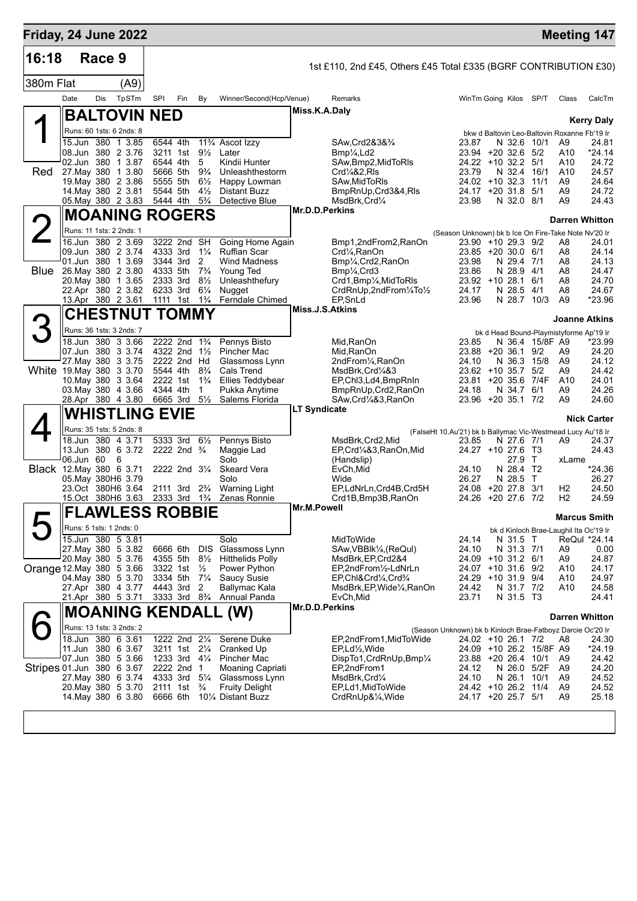| Friday, 24 June 2022            |                         |        |                                               |                      |                                                      |                                  |                                                      |                     |                                                                                           |                                                                                  |                         |                          |                      | <b>Meeting 147</b>                                |
|---------------------------------|-------------------------|--------|-----------------------------------------------|----------------------|------------------------------------------------------|----------------------------------|------------------------------------------------------|---------------------|-------------------------------------------------------------------------------------------|----------------------------------------------------------------------------------|-------------------------|--------------------------|----------------------|---------------------------------------------------|
| 16:18                           |                         | Race 9 |                                               |                      |                                                      |                                  |                                                      |                     | 1st £110, 2nd £45, Others £45 Total £335 (BGRF CONTRIBUTION £30)                          |                                                                                  |                         |                          |                      |                                                   |
| 380m Flat                       |                         |        | (A9)                                          |                      |                                                      |                                  |                                                      |                     |                                                                                           |                                                                                  |                         |                          |                      |                                                   |
|                                 | Date                    | Dis    | TpSTm                                         | SPI                  | Fin                                                  | By                               | Winner/Second(Hcp/Venue)                             |                     | Remarks                                                                                   | WinTm Going Kilos SP/T                                                           |                         |                          | Class                | CalcTm                                            |
|                                 |                         |        | <b>BALTOVIN NED</b>                           |                      |                                                      |                                  |                                                      | Miss.K.A.Daly       |                                                                                           |                                                                                  |                         |                          |                      | <b>Kerry Daly</b>                                 |
|                                 |                         |        | Runs: 60 1sts: 6 2nds: 8                      |                      |                                                      |                                  |                                                      |                     |                                                                                           |                                                                                  |                         |                          |                      | bkw d Baltovin Leo-Baltovin Roxanne Fb'19 Ir      |
|                                 |                         |        | 15.Jun 380 1 3.85                             | 6544 4th             |                                                      |                                  | 11 <sup>3</sup> / <sub>4</sub> Ascot Izzy            |                     | SAw, Crd 2& 3& 3/4                                                                        | 23.87                                                                            | N 32.6 10/1             |                          | A9                   | 24.81                                             |
|                                 |                         |        | 08.Jun 380 2 3.76<br>02.Jun 380 1 3.87        |                      | 3211 1st<br>6544 4th                                 | $9\frac{1}{2}$<br>5              | Later<br>Kindii Hunter                               |                     | Bmp <sup>1</sup> / <sub>4</sub> , Ld <sub>2</sub><br>SAw, Bmp2, MidToRIs                  | $23.94 + 20.326$<br>24.22 +10 32.2                                               |                         | 5/2<br>5/1               | A10<br>A10           | *24.14<br>24.72                                   |
| Red                             |                         |        | 27. May 380 1 3.80<br>19. May 380 2 3.86      | 5555 5th             | 5666 5th                                             | $9\frac{3}{4}$<br>$6\frac{1}{2}$ | Unleashthestorm                                      |                     | Crd1/4&2, RIs                                                                             | 23.79<br>$24.02 + 10.32.3$                                                       | N 32.4                  | 16/1<br>11/1             | A10<br>A9            | 24.57<br>24.64                                    |
|                                 |                         |        | 14. May 380 2 3.81                            | 5544 5th             |                                                      | $4\frac{1}{2}$                   | Happy Lowman<br><b>Distant Buzz</b>                  |                     | SAw, Mid To RIs<br>BmpRnUp, Crd3&4, RIs                                                   | 24.17 +20 31.8                                                                   |                         | 5/1                      | A9                   | 24.72                                             |
|                                 |                         |        | 05. May 380 2 3.83                            | 5444 4th             |                                                      | $5\frac{3}{4}$                   | Detective Blue                                       | Mr.D.D.Perkins      | MsdBrk, Crd1/4                                                                            | 23.98                                                                            | N 32.0 8/1              |                          | A9                   | 24.43                                             |
|                                 |                         |        | <b>MOANING ROGERS</b>                         |                      |                                                      |                                  |                                                      |                     |                                                                                           |                                                                                  |                         |                          |                      | <b>Darren Whitton</b>                             |
|                                 |                         |        | Runs: 11 1sts: 2 2nds: 1<br>16.Jun 380 2 3.69 |                      | 3222 2nd SH                                          |                                  |                                                      |                     |                                                                                           | (Season Unknown) bk b Ice On Fire-Take Note Nv'20 Ir                             |                         |                          |                      |                                                   |
|                                 |                         |        | 09.Jun 380 2 3.74                             |                      | 4333 3rd                                             | $1\frac{1}{4}$                   | Going Home Again<br><b>Ruffian Scar</b>              |                     | Bmp1,2ndFrom2,RanOn<br>Crd1/ <sub>4</sub> , RanOn                                         | 23.90 +10 29.3 9/2<br>23.85 +20 30.0 6/1                                         |                         |                          | A8<br>A8             | 24.01<br>24.14                                    |
|                                 |                         |        | 01.Jun 380 1 3.69                             |                      | 3344 3rd                                             | 2<br>$7\frac{3}{4}$              | <b>Wind Madness</b>                                  |                     | Bmp <sup>1</sup> / <sub>4</sub> , Crd2, RanOn                                             | 23.98                                                                            | N 29.4 7/1              |                          | A8                   | 24.13                                             |
| <b>Blue</b>                     |                         |        | 26. May 380 2 3.80<br>20. May 380 1 3.65      |                      | 4333 5th<br>2333 3rd                                 | $8\frac{1}{2}$                   | Young Ted<br>Unleashthefury                          |                     | Bmp <sup>1</sup> / <sub>4</sub> , Crd <sub>3</sub><br>Crd1, Bmp1/ <sub>4</sub> , MidToRIs | 23.86<br>$23.92 + 10.28.1$                                                       | N 28.9                  | 4/1<br>6/1               | A8<br>A8             | 24.47<br>24.70                                    |
|                                 |                         |        | 22.Apr 380 2 3.82                             | 6233 3rd             | 1111 1st                                             | $6\frac{1}{4}$<br>$1\frac{3}{4}$ | Nugget<br>Ferndale Chimed                            |                     | CrdRnUp,2ndFrom1/4To1/2<br>EP.SnLd                                                        | 24.17<br>23.96                                                                   | N 28.5<br>N 28.7 10/3   | 4/1                      | A8<br>A <sub>9</sub> | 24.67<br>*23.96                                   |
|                                 |                         |        | 13.Apr 380 2 3.61<br><b>CHESTNUT TOMMY</b>    |                      |                                                      |                                  |                                                      | Miss.J.S.Atkins     |                                                                                           |                                                                                  |                         |                          |                      |                                                   |
|                                 |                         |        | Runs: 36 1sts: 3 2nds: 7                      |                      |                                                      |                                  |                                                      |                     |                                                                                           |                                                                                  |                         |                          |                      | <b>Joanne Atkins</b>                              |
|                                 |                         |        | 18.Jun 380 3 3.66                             |                      | 2222 2nd                                             | $1\frac{3}{4}$                   | Pennys Bisto                                         |                     | Mid, RanOn                                                                                | 23.85                                                                            |                         | N 36.4 15/8F A9          |                      | bk d Head Bound-Playmistyforme Ap'19 Ir<br>*23.99 |
|                                 |                         |        | 07.Jun 380 3 3.74                             |                      | 4322 2nd 1 <sup>1</sup> / <sub>2</sub>               |                                  | Pincher Mac                                          |                     | Mid, RanOn                                                                                | 23.88                                                                            | $+20.36.1$              | 9/2                      | A9                   | 24.20                                             |
| White 19. May 380 3 3.70        |                         |        | 27 May 380 3 3.75                             |                      | 2222 2nd Hd<br>5544 4th                              | $8\frac{3}{4}$                   | Glassmoss Lynn<br><b>Cals Trend</b>                  |                     | 2ndFrom¼,RanOn<br>MsdBrk,Crd¼&3                                                           | 24.10<br>$23.62 + 10.35.7$                                                       | N 36.3                  | 15/8<br>5/2              | A9<br>A9             | 24.12<br>24.42                                    |
|                                 |                         |        | 10. May 380 3 3.64                            |                      | 2222 1st                                             | $1\frac{3}{4}$                   | <b>Ellies Teddybear</b>                              |                     | EP, Chl3, Ld4, BmpRnIn                                                                    | 23.81                                                                            | $+20,35.6$              | 7/4F                     | A10                  | 24.01                                             |
|                                 |                         |        | 03 May 380 4 3.66<br>28.Apr 380 4 3.80        | 4344 4th             | 6665 3rd                                             | 1<br>$5\frac{1}{2}$              | Pukka Anytime<br>Salems Florida                      |                     | BmpRnUp, Crd2, RanOn<br>SAw, Crd <sup>1</sup> / <sub>4</sub> &3, RanOn                    | 24.18<br>23.96 +20 35.1 7/2                                                      | N 34.7 6/1              |                          | A9<br>A9             | 24.26<br>24.60                                    |
|                                 |                         |        | <b>WHISTLING EVIE</b>                         |                      |                                                      |                                  |                                                      | <b>LT Syndicate</b> |                                                                                           |                                                                                  |                         |                          |                      | <b>Nick Carter</b>                                |
|                                 |                         |        | Runs: 35 1sts: 5 2nds: 8                      |                      |                                                      |                                  |                                                      |                     |                                                                                           | (FalseHt 10.Au'21) bk b Ballymac Vic-Westmead Lucy Au'18 Ir                      |                         |                          |                      |                                                   |
|                                 |                         |        | 18.Jun 380 4 3.71<br>13.Jun 380 6 3.72        |                      | 5333 3rd 61/2<br>2222 2nd $\frac{3}{4}$              |                                  | Pennys Bisto                                         |                     | MsdBrk,Crd2,Mid<br>EP,Crd1/4&3,RanOn,Mid                                                  | 23.85<br>$24.27 + 10.276$                                                        | N 27.6 7/1              | T3                       | A9                   | 24.37<br>24.43                                    |
|                                 | 06.Jun 60               |        | - 6                                           |                      |                                                      |                                  | Maggie Lad<br>Solo                                   |                     | (Handslip)                                                                                |                                                                                  | 27.9                    | $\top$                   | xLame                |                                                   |
| <b>Black</b> 12. May 380 6 3.71 |                         |        | 05. May 380H6 3.79                            |                      | 2222 2nd 31/4                                        |                                  | <b>Skeard Vera</b><br>Solo                           |                     | EvCh, Mid<br>Wide                                                                         | 24.10<br>26.27                                                                   | N 28.4<br>N 28.5        | T <sub>2</sub><br>$\top$ |                      | $*24.36$<br>26.27                                 |
|                                 |                         |        | 23.Oct 380H6 3.64                             |                      | 2111 3rd                                             | $2\frac{3}{4}$                   | Warning Light                                        |                     | EP,LdNrLn,Crd4B,Crd5H                                                                     | 24.08                                                                            | +20 27.8                | 3/1                      | H <sub>2</sub>       | 24.50                                             |
|                                 |                         |        | 15.Oct 380H6 3.63                             |                      | 2333 3rd 1 <sup>3</sup> / <sub>4</sub>               |                                  | Zenas Ronnie                                         | Mr.M.Powell         | Crd1B, Bmp3B, RanOn                                                                       | 24.26 +20 27.6 7/2                                                               |                         |                          | H2                   | 24.59                                             |
|                                 |                         |        | <b>FLAWLESS ROBBIE</b>                        |                      |                                                      |                                  |                                                      |                     |                                                                                           |                                                                                  |                         |                          |                      | <b>Marcus Smith</b>                               |
|                                 | Runs: 5 1sts: 1 2nds: 0 |        | 15.Jun 380 5 3.81                             |                      |                                                      |                                  | Solo                                                 |                     | MidToWide                                                                                 |                                                                                  |                         |                          |                      | bk d Kinloch Brae-Laughil Ita Oc'19 Ir            |
|                                 |                         |        | 27. May 380 5 3.82                            | 6666 6th             |                                                      | <b>DIS</b>                       | Glassmoss Lynn                                       |                     | SAw, VBBlk <sup>1/4</sup> , (ReQul)                                                       | 24.14<br>24.10                                                                   | N 31.5 T<br>N 31.3 7/1  |                          | A9                   | ReQul *24.14<br>0.00                              |
| Orange 12. May 380 5 3.66       |                         |        | 20. May 380 5 3.76                            | 4355 5th<br>3322 1st |                                                      | $8\frac{1}{2}$                   | <b>Hitthelids Polly</b>                              |                     | MsdBrk, EP, Crd2&4                                                                        | 24.09 +10 31.2 6/1                                                               |                         |                          | A9                   | 24.87                                             |
|                                 |                         |        | 04. May 380 5 3.70                            | 3334 5th             |                                                      | $\frac{1}{2}$<br>$7\frac{1}{4}$  | Power Python<br><b>Saucy Susie</b>                   |                     | EP,2ndFrom1/2-LdNrLn<br>EP, Chl&Crd1/4, Crd3/4                                            | 24.07 +10 31.6 9/2<br>24.29 +10 31.9 9/4                                         |                         |                          | A10<br>A10           | 24.17<br>24.97                                    |
|                                 |                         |        | 27.Apr 380 4 3.77<br>21.Apr 380 5 3.71        |                      | 4443 3rd 2<br>3333 3rd 8 <sup>3</sup> / <sub>4</sub> |                                  | Ballymac Kala                                        |                     | MsdBrk, EP, Wide 1/4, RanOn                                                               | 24.42<br>23.71                                                                   | N 31.7 7/2<br>N 31.5 T3 |                          | A10                  | 24.58<br>24.41                                    |
|                                 |                         |        | <b>MOANING KENDALL</b>                        |                      |                                                      |                                  | Annual Panda<br>(W)                                  | Mr.D.D.Perkins      | EvCh, Mid                                                                                 |                                                                                  |                         |                          |                      |                                                   |
|                                 |                         |        | Runs: 13 1sts: 3 2nds: 2                      |                      |                                                      |                                  |                                                      |                     |                                                                                           |                                                                                  |                         |                          |                      | <b>Darren Whitton</b>                             |
|                                 |                         |        | 18.Jun 380 6 3.61                             |                      | 1222 2nd 21/4                                        |                                  | Serene Duke                                          |                     | EP,2ndFrom1,MidToWide                                                                     | (Season Unknown) bk b Kinloch Brae-Fatboyz Darcie Oc'20 Ir<br>24.02 +10 26.1 7/2 |                         |                          | A8                   | 24.30                                             |
|                                 |                         |        | 11.Jun 380 6 3.67                             |                      | 3211 1st 21/4                                        |                                  | Cranked Up                                           |                     | $EP, Ld\frac{1}{2}$ , Wide                                                                |                                                                                  |                         | 24.09 +10 26.2 15/8F A9  |                      | $*24.19$                                          |
| Stripes 01.Jun 380 6 3.67       |                         |        | 07.Jun 380 5 3.66                             |                      | 1233 3rd 41/4<br>2222 2nd 1                          |                                  | Pincher Mac<br>Moaning Capriati                      |                     | DispTo1, CrdRnUp, Bmp1/4<br>EP,2ndFrom1                                                   | 23.88 +20 26.4 10/1<br>24.12                                                     | N 26.0 5/2F             |                          | A9<br>A9             | 24.42<br>24.20                                    |
|                                 |                         |        | 27. May 380 6 3.74                            |                      | 4333 3rd 51/4                                        |                                  | Glassmoss Lynn                                       |                     | MsdBrk, Crd1/4                                                                            | 24.10                                                                            | N 26.1 10/1             |                          | A9                   | 24.52                                             |
|                                 |                         |        | 20. May 380 5 3.70<br>14 May 380 6 3.80       |                      | 2111 1st                                             | $\frac{3}{4}$                    | <b>Fruity Delight</b><br>6666 6th 101/4 Distant Buzz |                     | EP,Ld1,MidToWide<br>CrdRnUp&1/ <sub>4</sub> , Wide                                        | 24.42 +10 26.2 11/4<br>24.17 +20 25.7 5/1                                        |                         |                          | A9<br>A <sub>9</sub> | 24.52<br>25.18                                    |
|                                 |                         |        |                                               |                      |                                                      |                                  |                                                      |                     |                                                                                           |                                                                                  |                         |                          |                      |                                                   |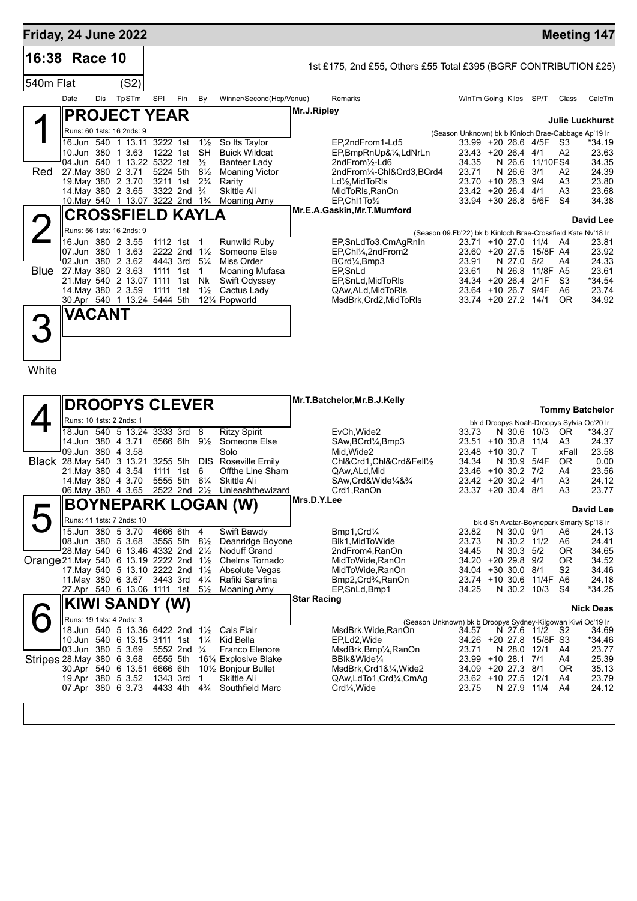## **Friday, 24 June 2022 Meeting 147**

| 16:38 Race 10 |             |               |                                   |                                      |     |                |                          |             | 1st £175, 2nd £55, Others £55 Total £395 (BGRF CONTRIBUTION £25) |                                                              |             |          |                |                        |
|---------------|-------------|---------------|-----------------------------------|--------------------------------------|-----|----------------|--------------------------|-------------|------------------------------------------------------------------|--------------------------------------------------------------|-------------|----------|----------------|------------------------|
| 540m Flat     |             |               | (S2)                              |                                      |     |                |                          |             |                                                                  |                                                              |             |          |                |                        |
|               | Date        | Dis           | TpSTm                             | SPI                                  | Fin | By             | Winner/Second(Hcp/Venue) |             | Remarks                                                          | WinTm Going Kilos                                            |             | SP/T     | Class          | CalcTm                 |
|               |             |               | <b>PROJECT YEAR</b>               |                                      |     |                |                          | Mr.J.Ripley |                                                                  |                                                              |             |          |                |                        |
|               |             |               |                                   |                                      |     |                |                          |             |                                                                  |                                                              |             |          |                | <b>Julie Luckhurst</b> |
|               |             |               | Runs: 60 1sts: 16 2nds: 9         |                                      |     |                |                          |             |                                                                  | (Season Unknown) bk b Kinloch Brae-Cabbage Ap'19 Ir          |             |          |                |                        |
|               |             |               | 16.Jun 540 1 13.11                | 3222 1st                             |     | $1\frac{1}{2}$ | So Its Taylor            |             | EP.2ndFrom1-Ld5                                                  | $33.99 + 2026.6$                                             |             | 4/5F     | S <sub>3</sub> | *34.19                 |
|               |             | 10.Jun 380    | 1 3.63                            | 1222 1st                             |     | <b>SH</b>      | <b>Buick Wildcat</b>     |             | EP,BmpRnUp&1/4,LdNrLn                                            | 23.43                                                        | $+2026.4$   | 4/1      | A <sub>2</sub> | 23.63                  |
|               | 04.Jun 540  |               | 1 13.22 5322 1st                  |                                      |     | $\frac{1}{2}$  | <b>Banteer Ladv</b>      |             | 2ndFrom <sup>1</sup> / <sub>2</sub> -Ld6                         | 34.35                                                        | $N$ 26.6    | 11/10FS4 |                | 34.35                  |
| Red           | 27. May 380 |               | 2 3.71                            | 5224 5th                             |     | $8\frac{1}{2}$ | <b>Moaning Victor</b>    |             | 2ndFrom1/4-Chl&Crd3,BCrd4                                        | 23.71                                                        | $N$ 26.6    | 3/1      | A <sub>2</sub> | 24.39                  |
|               |             |               | 19. May 380 2 3.70                | 3211 1st                             |     | $2\frac{3}{4}$ | Rarity                   |             | $Ld\frac{1}{2}$ , MidToRIs                                       | 23.70                                                        | $+10, 26.3$ | 9/4      | A <sub>3</sub> | 23.80                  |
|               |             |               | 14. May 380 2 3.65                | 3322 2nd <sup>3</sup> / <sub>4</sub> |     |                | Skittle Ali              |             | MidToRIs, RanOn                                                  | 23.42                                                        | $+2026.4$   | 4/1      | A <sub>3</sub> | 23.68                  |
|               |             |               | 10. May 540 1 13.07 3222 2nd 13/4 |                                      |     |                | Moaning Amy              |             | $EP$ Chl1To $\frac{1}{2}$                                        | $33.94 + 30.26.8$                                            |             | 5/6F     | S4             | 34.38                  |
|               |             |               | <b>CROSSFIELD KAYLA</b>           |                                      |     |                |                          |             | Mr.E.A.Gaskin, Mr.T.Mumford                                      |                                                              |             |          |                |                        |
|               |             |               |                                   |                                      |     |                |                          |             |                                                                  |                                                              |             |          |                | David Lee              |
|               |             |               | Runs: 56 1sts: 16 2nds: 9         |                                      |     |                |                          |             |                                                                  | (Season 09.Fb'22) bk b Kinloch Brae-Crossfield Kate Nv'18 Ir |             |          |                |                        |
|               |             |               | 16.Jun 380 2 3.55                 | 1112                                 | 1st |                | Runwild Ruby             |             | EP, SnLdTo3, CmAgRnIn                                            | 23.71                                                        | +10 27.0    | 11/4     | - A4           | 23.81                  |
|               |             |               | 07.Jun 380 1 3.63                 | 2222 2nd                             |     | $1\frac{1}{2}$ | Someone Else             |             | EP, Chl <sup>1</sup> / <sub>4</sub> , 2nd From 2                 | 23.60                                                        | $+20$ 27.5  | 15/8F A4 |                | 23.92                  |
|               |             |               | 02.Jun 380 2 3.62                 | 4443 3rd                             |     | $5\frac{1}{4}$ | Miss Order               |             | BCrd1/ <sub>4</sub> ,Bmp3                                        | 23.91                                                        | N 27.0      | 5/2      | A4             | 24.33                  |
| <b>Blue</b>   |             |               | 27. May 380 2 3.63                | 1111                                 | 1st | 1              | Moaning Mufasa           |             | EP, SnLd                                                         | 23.61                                                        | $N$ 26.8    | 11/8F    | A5             | 23.61                  |
|               |             |               | 21. May 540 2 13.07               | 1111                                 | 1st | Nk             | Swift Odyssey            |             | EP.SnLd.MidToRIs                                                 | 34.34                                                        | $+20, 26.4$ | 2/1F     | S <sub>3</sub> | *34.54                 |
|               |             |               | 14. May 380 2 3.59                | 1111                                 | 1st | $1\frac{1}{2}$ | Cactus Lady              |             | QAw, ALd, MidToRIs                                               | 23.64                                                        | $+1026.7$   | 9/4F     | A6             | 23.74                  |
|               |             |               | 30.Apr 540 1 13.24 5444 5th       |                                      |     |                | 121/4 Popworld           |             | MsdBrk, Crd2, MidToRIs                                           | 33.74                                                        | $+2027.2$   | 14/1     | 0 <sub>R</sub> | 34.92                  |
|               |             | <b>VACANT</b> |                                   |                                      |     |                |                          |             |                                                                  |                                                              |             |          |                |                        |
|               |             |               |                                   |                                      |     |                |                          |             |                                                                  |                                                              |             |          |                |                        |
|               |             |               |                                   |                                      |     |                |                          |             |                                                                  |                                                              |             |          |                |                        |
|               |             |               |                                   |                                      |     |                |                          |             |                                                                  |                                                              |             |          |                |                        |

White

|                                     | <b>DROOPYS CLEVER</b>                  |     |                  |      |                  |                                  |                                                           |                    | Mr.T.Batchelor,Mr.B.J.Kelly                 |                                                             |                         |                  |                         |                                           |
|-------------------------------------|----------------------------------------|-----|------------------|------|------------------|----------------------------------|-----------------------------------------------------------|--------------------|---------------------------------------------|-------------------------------------------------------------|-------------------------|------------------|-------------------------|-------------------------------------------|
|                                     | Runs: 10 1sts: 2 2nds: 1               |     |                  |      |                  |                                  |                                                           |                    |                                             |                                                             |                         |                  |                         | <b>Tommy Batchelor</b>                    |
|                                     |                                        |     |                  |      |                  |                                  |                                                           |                    |                                             |                                                             |                         |                  |                         | bk d Droopys Noah-Droopys Sylvia Oc'20 Ir |
|                                     | 18.Jun 540 5 13.24 3333 3rd            |     |                  |      |                  | 8                                | <b>Ritzy Spirit</b>                                       |                    | EvCh.Wide2                                  | 33.73                                                       | N 30.6                  | 10/3             | OR.                     | $*34.37$                                  |
|                                     | 14.Jun 380<br>09.Jun 380               |     | 4 3.71<br>4 3.58 |      | 6566 6th         | $9\frac{1}{2}$                   | Someone Else<br>Solo                                      |                    | SAw.BCrd1/4.Bmp3                            | 23.51<br>23.48                                              | $+10.30.8$              | 11/4             | A <sub>3</sub><br>xFall | 24.37                                     |
|                                     | 28. May 540                            |     | 3 13.21          |      | 3255 5th         | <b>DIS</b>                       | <b>Roseville Emily</b>                                    |                    | Mid.Wide2                                   | 34.34                                                       | $+10.30.7$<br>N 30.9    | 5/4F             | 0R                      | 23.58<br>0.00                             |
| Black                               | 21. May 380 4 3.54                     |     |                  | 1111 | 1st              | 6                                | Offthe Line Sham                                          |                    | Chl&Crd1,Chl&Crd&Fell1/2<br>QAw.ALd.Mid     | 23.46                                                       | $+10.30.2$              | 7/2              | A4                      | 23.56                                     |
|                                     | 14. May 380 4 3.70                     |     |                  |      | 5555 5th         | $6\frac{1}{4}$                   | Skittle Ali                                               |                    | SAw.Crd&Wide1/4&3/4                         | 23.42                                                       | $+20.30.2$              | 4/1              | A <sub>3</sub>          | 24.12                                     |
|                                     | 06. May 380 4 3.65                     |     |                  |      | 2522 2nd         | $2\frac{1}{2}$                   | Unleashthewizard                                          |                    | Crd1, RanOn                                 | 23.37                                                       | $+20$ 30.4 8/1          |                  | A <sub>3</sub>          | 23.77                                     |
|                                     |                                        |     |                  |      |                  |                                  |                                                           | Mrs.D.Y.Lee        |                                             |                                                             |                         |                  |                         |                                           |
|                                     |                                        |     |                  |      |                  |                                  | <b>BOYNEPARK LOGAN (W)</b>                                |                    |                                             |                                                             |                         |                  |                         | David Lee                                 |
|                                     | Runs: 41 1sts: 7 2nds: 10              |     |                  |      |                  |                                  |                                                           |                    |                                             |                                                             |                         |                  |                         |                                           |
|                                     |                                        |     |                  |      |                  |                                  |                                                           |                    |                                             |                                                             |                         |                  |                         | bk d Sh Avatar-Boynepark Smarty Sp'18 Ir  |
|                                     | 15.Jun 380 5 3.70<br>08.Jun 380 5 3.68 |     |                  |      | 4666 6th         | 4                                | Swift Bawdy                                               |                    | Bmp1, Crd1/4                                | 23.82                                                       | N 30.0 9/1              | 11/2             | A6                      | 24.13                                     |
|                                     |                                        |     |                  |      | 3555 5th         | $8\frac{1}{2}$                   | Deanridge Boyone<br>Noduff Grand                          |                    | Blk1.MidToWide                              | 23.73                                                       | N 30.2                  |                  | A6                      | 24.41<br>34.65                            |
|                                     | 28.May 540                             |     |                  |      | 6 13.46 4332 2nd | $2\frac{1}{2}$                   |                                                           |                    | 2ndFrom4, RanOn                             | 34.45                                                       | N 30.3                  | 5/2<br>9/2       | 0R<br><b>OR</b>         |                                           |
| Orange 21. May 540 6 13.19 2222 2nd | 17. May 540 5 13.10 2222 2nd           |     |                  |      |                  | $1\frac{1}{2}$                   | Chelms Tornado                                            |                    | MidToWide.RanOn<br>MidToWide.RanOn          | 34.20<br>34.04                                              | $+2029.8$<br>$+30.30.0$ | 8/1              | S <sub>2</sub>          | 34.52<br>34.46                            |
|                                     |                                        |     |                  |      | 3443 3rd         | $1\frac{1}{2}$<br>$4\frac{1}{4}$ | Absolute Vegas<br>Rafiki Sarafina                         |                    |                                             | 23.74                                                       | $+10.30.6$              | 11/4F            | A <sub>6</sub>          | 24.18                                     |
|                                     | 11. May 380 6 3.67                     |     |                  |      | 1st              | $5\frac{1}{2}$                   |                                                           |                    | Bmp2,Crd <sup>3</sup> / <sub>4</sub> ,RanOn | 34.25                                                       | N 30.2                  | 10/3             | S4                      | $*34.25$                                  |
|                                     | 27.Apr 540 6 13.06 1111                |     |                  |      |                  |                                  | Moaning Amy                                               | <b>Star Racing</b> | EP, SnLd, Bmp1                              |                                                             |                         |                  |                         |                                           |
|                                     | KIWI SANDY (W)                         |     |                  |      |                  |                                  |                                                           |                    |                                             |                                                             |                         |                  |                         | <b>Nick Deas</b>                          |
|                                     | Runs: 19 1sts: 4 2nds: 3               |     |                  |      |                  |                                  |                                                           |                    |                                             |                                                             |                         |                  |                         |                                           |
|                                     | 18.Jun 540                             |     |                  |      | 5 13.36 6422 2nd |                                  | Cals Flair                                                |                    |                                             | (Season Unknown) bk b Droopys Sydney-Kilgowan Kiwi Oc'19 Ir |                         |                  | S <sub>2</sub>          | 34.69                                     |
|                                     | 10.Jun 540                             |     | 6 13.15 3111     |      | 1st              | $1\frac{1}{2}$<br>$1\frac{1}{4}$ | Kid Bella                                                 |                    | MsdBrk, Wide, RanOn<br>EP.Ld2.Wide          | 34.57<br>34.26                                              | N 27.6<br>$+20$ 27.8    | 11/2<br>15/8F S3 |                         | $*34.46$                                  |
|                                     | 03.Jun                                 | 380 | 5 3.69           |      | 5552 2nd         | $\frac{3}{4}$                    | Franco Elenore                                            |                    |                                             | 23.71                                                       | N 28.0                  | 12/1             |                         | 23.77                                     |
|                                     |                                        |     | 6 3.68           |      | 6555 5th         |                                  |                                                           |                    | MsdBrk, Bmp1/4, RanOn<br>BBlk&Wide1/4       | 23.99                                                       | $+10, 28.1$             | 7/1              | A4<br>A4                | 25.39                                     |
| Stripes 28.May 380                  | 30.Apr 540                             |     | 6 13.51          |      | 6666 6th         |                                  | 161/4 Explosive Blake<br>101/ <sub>2</sub> Bonjour Bullet |                    | MsdBrk.Crd1&1/4.Wide2                       | 34.09                                                       | $+2027.3$               | 8/1              | 0R                      | 35.13                                     |
|                                     | 19.Apr 380 5 3.52                      |     |                  |      | 1343 3rd         | 1                                | Skittle Ali                                               |                    | QAw,LdTo1,Crd1/4,CmAq                       | 23.62                                                       | $+10, 27.5$             | 12/1             | A4                      | 23.79                                     |
|                                     | 07.Apr                                 | 380 | 6 3.73           |      | 4433 4th         | $4\frac{3}{4}$                   | Southfield Marc                                           |                    | Crd1⁄4, Wide                                | 23.75                                                       | N 27.9                  | 11/4             | A <sub>4</sub>          | 24.12                                     |
|                                     |                                        |     |                  |      |                  |                                  |                                                           |                    |                                             |                                                             |                         |                  |                         |                                           |
|                                     |                                        |     |                  |      |                  |                                  |                                                           |                    |                                             |                                                             |                         |                  |                         |                                           |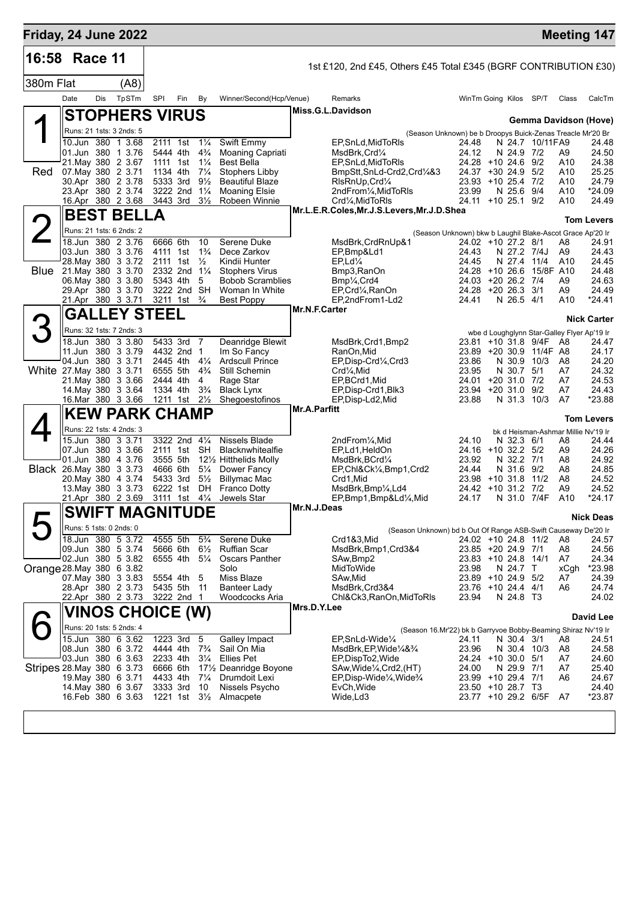| Friday, 24 June 2022       |                         |     |                                               |                         |     |                                  |                                           |                     |                                                                                                                                    |                                                           |                                           |                  |                                             | <b>Meeting 147</b>    |
|----------------------------|-------------------------|-----|-----------------------------------------------|-------------------------|-----|----------------------------------|-------------------------------------------|---------------------|------------------------------------------------------------------------------------------------------------------------------------|-----------------------------------------------------------|-------------------------------------------|------------------|---------------------------------------------|-----------------------|
| 16:58                      | Race 11                 |     |                                               |                         |     |                                  |                                           |                     | 1st £120, 2nd £45, Others £45 Total £345 (BGRF CONTRIBUTION £30)                                                                   |                                                           |                                           |                  |                                             |                       |
| 380m Flat                  |                         |     | (A8)                                          |                         |     |                                  |                                           |                     |                                                                                                                                    |                                                           |                                           |                  |                                             |                       |
|                            | Date                    | Dis | TpSTm                                         | SPI                     | Fin | By                               | Winner/Second(Hcp/Venue)                  |                     | Remarks                                                                                                                            |                                                           | WinTm Going Kilos SP/T                    |                  | Class                                       | CalcTm                |
|                            |                         |     | <b>STOPHERS VIRUS</b>                         |                         |     |                                  |                                           |                     | Miss.G.L.Davidson                                                                                                                  |                                                           |                                           |                  |                                             |                       |
|                            |                         |     | Runs: 21 1sts: 3 2nds: 5                      |                         |     |                                  |                                           |                     |                                                                                                                                    |                                                           |                                           |                  |                                             | Gemma Davidson (Hove) |
|                            | 10.Jun 380              |     | 1 3.68                                        | 2111 1st                |     | $1\frac{1}{4}$                   | Swift Emmy                                |                     | (Season Unknown) be b Droopys Buick-Zenas Treacle Mr'20 Br<br>EP, SnLd, MidToRIs                                                   | 24.48                                                     |                                           | N 24.7 10/11 FA9 |                                             | 24.48                 |
|                            |                         |     | 01.Jun 380 1 3.76                             | 5444 4th                |     | $4\frac{3}{4}$                   | Moaning Capriati                          |                     | MsdBrk,Crd1⁄4                                                                                                                      | 24.12                                                     | N 24.9 7/2                                |                  | A9                                          | 24.50                 |
| Red                        |                         |     | 21. May 380 2 3.67<br>07. May 380 2 3.71      | 1111 1st<br>1134 4th    |     | $1\frac{1}{4}$<br>$7\frac{1}{4}$ | <b>Best Bella</b><br>Stophers Libby       |                     | EP, SnLd, MidToRIs<br>BmpStt,SnLd-Crd2,Crd¼&3                                                                                      | 24.28 +10 24.6                                            | 24.37 +30 24.9                            | 9/2<br>5/2       | A10<br>A10                                  | 24.38<br>25.25        |
|                            |                         |     | 30.Apr 380 2 3.78                             | 5333 3rd                |     | $9\frac{1}{2}$                   | <b>Beautiful Blaze</b>                    |                     | RIsRnUp, Crd1/4                                                                                                                    |                                                           | 23.93 +10 25.4                            | 7/2              | A10                                         | 24.79                 |
|                            |                         |     | 23.Apr 380 2 3.74                             | 3222 2nd                |     | $1\frac{1}{4}$                   | <b>Moaning Elsie</b>                      |                     | 2ndFrom1/ <sub>4</sub> , MidToRIs                                                                                                  | 23.99                                                     | N 25.6                                    | 9/4              | A10                                         | *24.09                |
|                            |                         |     | 16.Apr 380 2 3.68                             | 3443 3rd                |     | $3\frac{1}{2}$                   | Robeen Winnie                             |                     | Crd1⁄4, MidToRIs<br>Mr.L.E.R.Coles, Mr.J.S.Levers, Mr.J.D.Shea                                                                     | 24.11                                                     | $+10$ 25.1 $9/2$                          |                  | A10                                         | 24.49                 |
|                            |                         |     | <b>BEST BELLA</b>                             |                         |     |                                  |                                           |                     |                                                                                                                                    |                                                           |                                           |                  |                                             | Tom Levers            |
|                            |                         |     | Runs: 21 1sts: 6 2nds: 2                      |                         |     |                                  |                                           |                     |                                                                                                                                    | (Season Unknown) bkw b Laughil Blake-Ascot Grace Ap'20 Ir |                                           |                  |                                             |                       |
|                            |                         |     | 18.Jun 380 2 3.76<br>03.Jun 380 3 3.76        | 6666 6th                |     | 10<br>$1\frac{3}{4}$             | Serene Duke                               |                     | MsdBrk, CrdRnUp&1<br>EP,Bmp&Ld1                                                                                                    |                                                           | 24.02 +10 27.2 8/1<br>N 27.2 7/4J         |                  | A8                                          | 24.91<br>24.43        |
|                            |                         |     | 28. May 380 3 3.72                            | 4111 1st<br>2111 1st    |     | $\frac{1}{2}$                    | Dece Zarkov<br>Kindii Hunter              |                     | $EP, Ld\frac{1}{4}$                                                                                                                | 24.43<br>24.45                                            | N 27.4                                    | 11/4             | A9<br>A10                                   | 24.45                 |
| Blue                       |                         |     | 21. May 380 3 3.70                            | 2332 2nd                |     | $1\frac{1}{4}$                   | <b>Stophers Virus</b>                     |                     | Bmp3, RanOn                                                                                                                        |                                                           | 24.28 +10 26.6                            | 15/8F A10        |                                             | 24.48                 |
|                            |                         |     | 06. May 380 3 3.80<br>29.Apr 380 3 3.70       | 5343 4th<br>3222 2nd SH |     | 5                                | <b>Bobob Scramblies</b><br>Woman In White |                     | Bmp <sup>1</sup> / <sub>4</sub> , Crd4<br>EP, Crd <sup>1</sup> / <sub>4</sub> , RanOn                                              | 24.03<br>24.28                                            | $+2026.27/4$<br>$+2026.331$               |                  | A9<br>A9                                    | 24.63<br>24.49        |
|                            |                         |     | 21.Apr 380 3 3.71                             | 3211 1st                |     | $\frac{3}{4}$                    | Best Poppy                                |                     | EP,2ndFrom1-Ld2                                                                                                                    | 24.41                                                     | N 26.5 4/1                                |                  | A10                                         | *24.41                |
|                            |                         |     | <b>GALLEY STEEL</b>                           |                         |     |                                  |                                           | Mr.N.F.Carter       |                                                                                                                                    |                                                           |                                           |                  |                                             |                       |
|                            |                         |     | Runs: 32 1sts: 7 2nds: 3                      |                         |     |                                  |                                           |                     |                                                                                                                                    |                                                           |                                           |                  | wbe d Loughglynn Star-Galley Flyer Ap'19 Ir | <b>Nick Carter</b>    |
|                            |                         |     | 18.Jun 380 3 3.80                             | 5433 3rd                |     | 7                                | Deanridge Blewit                          |                     | MsdBrk, Crd1, Bmp2                                                                                                                 |                                                           | 23.81 +10 31.8 9/4F                       |                  | - A8                                        | 24.47                 |
|                            |                         |     | 11.Jun 380 3 3.79                             | 4432 2nd                |     | $\mathbf 1$                      | Im So Fancy                               |                     | RanOn,Mid                                                                                                                          |                                                           | 23.89 +20 30.9                            | 11/4F A8         |                                             | 24.17                 |
| White 27. May 380 3 3.71   |                         |     | 04.Jun 380 3 3.71                             | 2445 4th<br>6555 5th    |     | $4\frac{1}{4}$<br>$4\frac{3}{4}$ | <b>Ardscull Prince</b><br>Still Schemin   |                     | EP, Disp-Crd <sup>1</sup> / <sub>4</sub> , Crd3<br>Crd1⁄4, Mid                                                                     | 23.86<br>23.95                                            | N 30.9<br>N 30.7 5/1                      | 10/3             | A8<br>A7                                    | 24.20<br>24.32        |
|                            |                         |     | 21. May 380 3 3.66                            | 2444 4th                |     | 4                                | Rage Star                                 |                     | EP,BCrd1,Mid                                                                                                                       | 24.01 +20 31.0                                            |                                           | 7/2              | A7                                          | 24.53                 |
|                            |                         |     | 14. May 380 3 3.64                            | 1334 4th                |     | $3\frac{3}{4}$                   | <b>Black Lynx</b>                         |                     | EP, Disp-Crd1, Blk3                                                                                                                | 23.94                                                     | $+20.31.0$                                | 9/2              | A7                                          | 24.43                 |
|                            |                         |     | 16.Mar 380 3 3.66                             | 1211 1st                |     | $2\frac{1}{2}$                   | Shegoestofinos                            | <b>Mr.A.Parfitt</b> | EP, Disp-Ld2, Mid                                                                                                                  | 23.88                                                     | N 31.3                                    | 10/3             | A7                                          | *23.88                |
|                            |                         |     | <b>KEW PARK CHAMP</b>                         |                         |     |                                  |                                           |                     |                                                                                                                                    |                                                           |                                           |                  |                                             | Tom Levers            |
|                            |                         |     | Runs: 22 1sts: 4 2nds: 3<br>15.Jun 380 3 3.71 | 3322 2nd 41/4           |     |                                  | Nissels Blade                             |                     | 2ndFrom <sup>1</sup> / <sub>4</sub> , Mid                                                                                          | 24.10                                                     |                                           |                  | bk d Heisman-Ashmar Millie Nv'19 Ir         | 24.44                 |
|                            |                         |     | 07.Jun 380 3 3.66                             | 2111 1st SH             |     |                                  | <b>Blacknwhitealfie</b>                   |                     | EP,Ld1,HeldOn                                                                                                                      |                                                           | N 32.3 6/1<br>24.16 +10 32.2 5/2          |                  | A8<br>A9                                    | 24.26                 |
|                            |                         |     | 01.Jun 380 4 3.76                             | 3555 5th                |     |                                  | 12½ Hitthelids Molly                      |                     | MsdBrk, BCrd1/4                                                                                                                    | 23.92                                                     | N 32.2 7/1                                |                  | A8                                          | 24.92                 |
| Black 26. May 380 3 3.73   |                         |     | 20. May 380 4 3.74                            | 4666 6th<br>5433 3rd    |     | $5\frac{1}{4}$<br>$5\frac{1}{2}$ | Dower Fancy<br><b>Billymac Mac</b>        |                     | EP, Chl&Ck1/ <sub>4</sub> , Bmp1, Crd2<br>Crd1,Mid                                                                                 | 24.44                                                     | N 31.6 9/2<br>23.98 +10 31.8              | 11/2             | A8<br>A8                                    | 24.85<br>24.52        |
|                            |                         |     | 13 May 380 3 3.73                             | 6222 1st                |     | DH                               | <b>Franco Dotty</b>                       |                     | MsdBrk,Bmp¼,Ld4                                                                                                                    |                                                           | 24.42 +10 31.2 7/2                        |                  | A9                                          | 24.52                 |
|                            |                         |     | 21.Apr 380 2 3.69                             | 3111 1st                |     | $4\frac{1}{4}$                   | Jewels Star                               |                     | EP,Bmp1,Bmp&Ld¼,Mid                                                                                                                | 24.17                                                     | N 31.0 7/4F                               |                  | A10                                         | *24.17                |
|                            |                         |     | $\blacksquare$<br><b>SWIFT MAGNITUDE</b>      |                         |     |                                  |                                           | Mr.N.J.Deas         |                                                                                                                                    |                                                           |                                           |                  |                                             | <b>Nick Deas</b>      |
|                            | Runs: 5 1sts: 0 2nds: 0 |     |                                               |                         |     |                                  |                                           |                     | (Season Unknown) bd b Out Of Range ASB-Swift Causeway De'20 Ir                                                                     |                                                           |                                           |                  |                                             |                       |
|                            |                         |     | 18.Jun 380 5 3.72<br>09.Jun 380 5 3.74        | 4555 5th                |     | $5\frac{3}{4}$                   | Serene Duke                               |                     | Crd1&3,Mid                                                                                                                         |                                                           | 24.02 +10 24.8 11/2                       |                  | A8                                          | 24.57                 |
|                            |                         |     | 02.Jun 380 5 3.82                             | 5666 6th<br>6555 4th    |     | $6\frac{1}{2}$<br>$5\frac{1}{4}$ | <b>Ruffian Scar</b><br>Oscars Panther     |                     | MsdBrk,Bmp1,Crd3&4<br>SAw, Bmp2                                                                                                    |                                                           | 23.85 +20 24.9 7/1<br>23.83 +10 24.8 14/1 |                  | A8<br>A7                                    | 24.56<br>24.34        |
| Orange 28. May 380 6 3.82  |                         |     |                                               |                         |     |                                  | Solo                                      |                     | MidToWide                                                                                                                          | 23.98                                                     | N 24.7 T                                  |                  | xCgh                                        | *23.98                |
|                            |                         |     | 07. May 380 3 3.83                            | 5554 4th                |     | 5                                | Miss Blaze                                |                     | SAw,Mid                                                                                                                            |                                                           | 23.89 +10 24.9 5/2                        |                  | A7                                          | 24.39                 |
|                            |                         |     | 28.Apr 380 2 3.73<br>22.Apr 380 2 3.73        | 5435 5th<br>3222 2nd 1  |     | -11                              | Banteer Lady<br>Woodcocks Aria            |                     | MsdBrk,Crd3&4<br>Chl&Ck3, RanOn, MidToRIs                                                                                          | 23.94                                                     | 23.76 +10 24.4 4/1<br>N 24.8 T3           |                  | A6                                          | 24.74<br>24.02        |
|                            |                         |     | <b>VINOS CHOICE (W)</b>                       |                         |     |                                  |                                           | Mrs.D.Y.Lee         |                                                                                                                                    |                                                           |                                           |                  |                                             |                       |
|                            |                         |     | Runs: 20 1sts: 5 2nds: 4                      |                         |     |                                  |                                           |                     |                                                                                                                                    |                                                           |                                           |                  |                                             | David Lee             |
|                            |                         |     | 15.Jun 380 6 3.62                             | 1223 3rd                |     | 5                                | Galley Impact                             |                     | (Season 16.Mr'22) bk b Garryvoe Bobby-Beaming Shiraz Nv'19 Ir<br>EP,SnLd-Wide1/4                                                   | 24.11                                                     | N 30.4 3/1                                |                  | A8                                          | 24.51                 |
|                            |                         |     | 08.Jun 380 6 3.72                             | 4444 4th                |     | $7\frac{3}{4}$                   | Sail On Mia                               |                     | MsdBrk,EP,Wide¼&¾                                                                                                                  | 23.96                                                     | N 30.4 10/3                               |                  | A8                                          | 24.58                 |
|                            |                         |     | 03.Jun 380 6 3.63                             | 2233 4th                |     | $3\frac{1}{4}$                   | <b>Ellies Pet</b>                         |                     | EP, Disp To 2, Wide                                                                                                                |                                                           | 24.24 +10 30.0 5/1                        |                  | A7                                          | 24.60                 |
| Stripes 28. May 380 6 3.73 |                         |     | 19. May 380 6 3.71                            | 6666 6th<br>4433 4th    |     | $7\frac{1}{4}$                   | 17½ Deanridge Boyone<br>Drumdoit Lexi     |                     | SAw, Wide <sup>1</sup> / <sub>4</sub> , Crd2, (HT)<br>EP, Disp-Wide <sup>1</sup> / <sub>4</sub> , Wide <sup>3</sup> / <sub>4</sub> | 24.00                                                     | N 29.9 7/1<br>23.99 +10 29.4 7/1          |                  | A7<br>A6                                    | 25.40<br>24.67        |
|                            |                         |     | 14. May 380 6 3.67                            | 3333 3rd                |     | 10                               | Nissels Psycho                            |                     | EvCh, Wide                                                                                                                         |                                                           | 23.50 +10 28.7 T3                         |                  |                                             | 24.40                 |
|                            |                         |     | 16. Feb 380 6 3.63                            | 1221 1st 3½             |     |                                  | Almacpete                                 |                     | Wide, Ld3                                                                                                                          |                                                           | 23.77 +10 29.2 6/5F                       |                  | A7                                          | $*23.87$              |
|                            |                         |     |                                               |                         |     |                                  |                                           |                     |                                                                                                                                    |                                                           |                                           |                  |                                             |                       |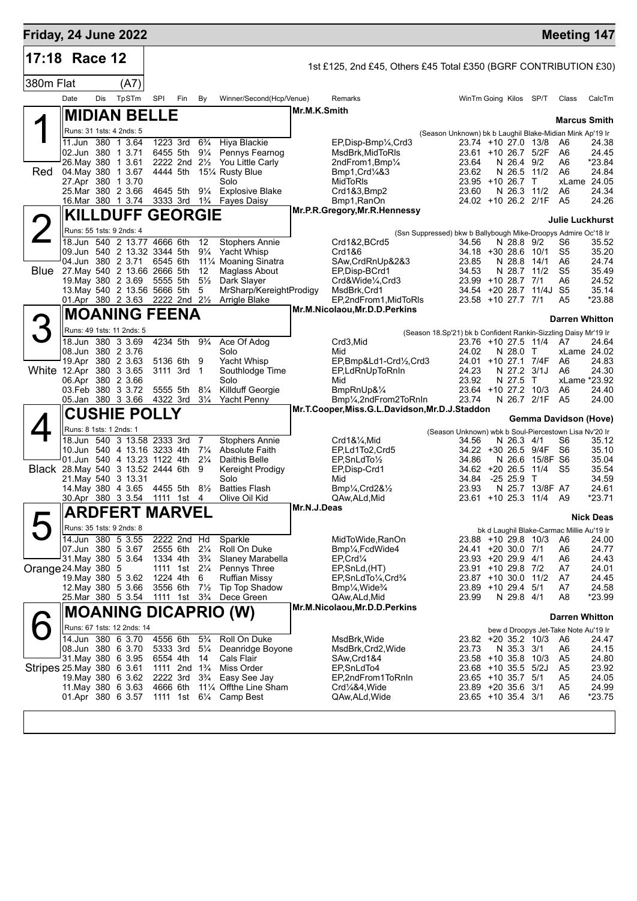|           | <b>Friday, 24 June 2022</b>                                     |        |                                                         |     |                     |                                                    |              |                                                                                   |                                                                 |  |                                          |                      |                                                 | <b>Meeting 147</b>    |
|-----------|-----------------------------------------------------------------|--------|---------------------------------------------------------|-----|---------------------|----------------------------------------------------|--------------|-----------------------------------------------------------------------------------|-----------------------------------------------------------------|--|------------------------------------------|----------------------|-------------------------------------------------|-----------------------|
| 17:18     | Race 12                                                         |        |                                                         |     |                     |                                                    |              | 1st £125, 2nd £45, Others £45 Total £350 (BGRF CONTRIBUTION £30)                  |                                                                 |  |                                          |                      |                                                 |                       |
| 380m Flat |                                                                 | (A7)   |                                                         |     |                     |                                                    |              |                                                                                   |                                                                 |  |                                          |                      |                                                 |                       |
|           | Dis<br>Date                                                     | TpSTm  | SPI                                                     | Fin | By                  | Winner/Second(Hcp/Venue)                           |              | Remarks                                                                           |                                                                 |  | WinTm Going Kilos SP/T                   |                      | Class                                           | CalcTm                |
|           | <b>MIDIAN BELLE</b>                                             |        |                                                         |     |                     |                                                    | Mr.M.K.Smith |                                                                                   |                                                                 |  |                                          |                      |                                                 |                       |
|           | Runs: 31 1sts: 4 2nds: 5                                        |        |                                                         |     |                     |                                                    |              |                                                                                   | (Season Unknown) bk b Laughil Blake-Midian Mink Ap'19 Ir        |  |                                          |                      | <b>Marcus Smith</b>                             |                       |
|           | 11.Jun 380 1 3.64                                               |        | 1223 3rd                                                |     | $6\frac{3}{4}$      | Hiya Blackie                                       |              | EP,Disp-Bmp1/4,Crd3                                                               |                                                                 |  |                                          | 23.74 +10 27.0 13/8  | A6                                              | 24.38                 |
|           | 02.Jun 380 1 3.71<br>26. May 380 1 3.61                         |        | 6455 5th<br>2222 2nd 21/2                               |     | $9\frac{1}{4}$      | Pennys Fearnog<br>You Little Carly                 |              | MsdBrk.MidToRIs<br>2ndFrom1,Bmp1/4                                                | 23.64                                                           |  | N 26.4 9/2                               | 23.61 +10 26.7 5/2F  | A6<br>A6                                        | 24.45<br>*23.84       |
| Red       | 04. May 380                                                     | 1 3.67 | 4444 5th                                                |     |                     | 151⁄4 Rusty Blue                                   |              | Bmp1, Crd/483                                                                     | 23.62                                                           |  | N 26.5                                   | 11/2                 | A6                                              | 24.84                 |
|           | 27.Apr 380 1 3.70<br>25. Mar 380 2 3.66                         |        | 4645 5th                                                |     |                     | Solo<br>91/4 Explosive Blake                       |              | MidToRIs<br>Crd1&3,Bmp2                                                           | 23.60                                                           |  | $23.95 + 10.26.7$<br>N 26.3              | $\mathsf{T}$<br>11/2 | A6                                              | xLame 24.05<br>24.34  |
|           | 16.Mar 380 1 3.74                                               |        |                                                         |     |                     | 3333 3rd 1 <sup>3</sup> / <sub>4</sub> Fayes Daisy |              | Bmp1, RanOn                                                                       |                                                                 |  |                                          | 24.02 +10 26.2 2/1F  | A <sub>5</sub>                                  | 24.26                 |
|           | <b>KILLDUFF GEORGIE</b>                                         |        |                                                         |     |                     |                                                    |              | Mr.P.R.Gregory, Mr.R.Hennessy                                                     |                                                                 |  |                                          |                      | Julie Luckhurst                                 |                       |
|           | Runs: 55 1sts: 9 2nds: 4                                        |        |                                                         |     |                     |                                                    |              |                                                                                   | (Ssn Suppressed) bkw b Ballybough Mike-Droopys Admire Oc'18 Ir  |  |                                          |                      |                                                 |                       |
|           | 18.Jun 540 2 13.77 4666 6th                                     |        |                                                         |     | 12                  | <b>Stophers Annie</b>                              |              | Crd1&2,BCrd5                                                                      | 34.56                                                           |  | N 28.8 9/2                               |                      | S6                                              | 35.52                 |
|           | 09.Jun 540 2 13.32 3344 5th<br>04.Jun 380 2 3.71                |        | 6545 6th                                                |     | $9\frac{1}{4}$      | Yacht Whisp<br>11% Moaning Sinatra                 |              | Crd1&6<br>SAw, CrdRnUp&2&3                                                        | 23.85                                                           |  | 34.18 +30 28.6 10/1<br>N 28.8            | 14/1                 | S5<br>A6                                        | 35.20<br>24.74        |
|           | <b>Blue</b> 27. May 540 2 13.66 2666 5th                        |        |                                                         |     | 12                  | Maglass About                                      |              | EP, Disp-BCrd1                                                                    | 34.53                                                           |  | N 28.7                                   | 11/2                 | S5                                              | 35.49                 |
|           | 19. May 380 2 3.69<br>13. May 540 2 13.56 5666 5th              |        | 5555 5th                                                |     | $5\frac{1}{2}$<br>5 | Dark Slayer<br>MrSharp/KereightProdigy             |              | Crd&Wide1/4,Crd3<br>MsdBrk, Crd1                                                  |                                                                 |  | 23.99 +10 28.7 7/1<br>$34.54$ +20 28.7   | 11/4J                | A6<br>S5                                        | 24.52<br>35.14        |
|           | 01.Apr 380 2 3.63 2222 2nd 21/2                                 |        |                                                         |     |                     | Arrigle Blake                                      |              | EP,2ndFrom1,MidToRIs                                                              |                                                                 |  | 23.58 +10 27.7 7/1                       |                      | A5                                              | *23.88                |
|           | <b>MOANING FEENA</b>                                            |        |                                                         |     |                     |                                                    |              | Mr.M.Nicolaou, Mr.D.D.Perkins                                                     |                                                                 |  |                                          |                      | <b>Darren Whitton</b>                           |                       |
|           | Runs: 49 1sts: 11 2nds: 5                                       |        |                                                         |     |                     |                                                    |              |                                                                                   | (Season 18.Sp'21) bk b Confident Rankin-Sizzling Daisy Mr'19 Ir |  |                                          |                      |                                                 |                       |
|           | 18.Jun 380 3 3.69                                               |        | 4234 5th                                                |     | $9\frac{3}{4}$      | Ace Of Adog                                        |              | Crd3, Mid                                                                         |                                                                 |  |                                          | 23.76 +10 27.5 11/4  | A7                                              | 24.64                 |
|           | 08.Jun 380 2 3.76<br>19.Apr 380 2 3.63                          |        | 5136 6th                                                |     | 9                   | Solo<br>Yacht Whisp                                |              | Mid<br>EP,Bmp&Ld1-Crd1/2,Crd3                                                     | 24.02                                                           |  | N 28.0 T<br>$24.01 + 10.27.1$            | 7/4F                 | A6                                              | xLame 24.02<br>24.83  |
|           | White 12.Apr 380 3 3.65                                         |        | 3111 3rd 1                                              |     |                     | Southlodge Time                                    |              | EP,LdRnUpToRnIn                                                                   | 24.23                                                           |  | N 27.2 3/1J                              |                      | A6                                              | 24.30                 |
|           | 06.Apr 380 2 3.66<br>03.Feb 380 3 3.72                          |        | 5555 5th                                                |     | $8\frac{1}{4}$      | Solo<br>Killduff Georgie                           |              | Mid<br>BmpRnUp&1/4                                                                | 23.92                                                           |  | N 27.5<br>23.64 +10 27.2 10/3            | T                    | A6                                              | xLame *23.92<br>24.40 |
|           | 05.Jan 380 3 3.66                                               |        | 4322 3rd                                                |     | $3\frac{1}{4}$      | Yacht Penny                                        |              | Bmp1/ <sub>4</sub> ,2ndFrom2ToRnIn                                                | 23.74                                                           |  |                                          | N 26.7 2/1F          | A <sub>5</sub>                                  | 24.00                 |
|           | <b>CUSHIE POLLY</b>                                             |        |                                                         |     |                     |                                                    |              | Mr.T.Cooper, Miss.G.L.Davidson, Mr.D.J.Staddon                                    |                                                                 |  |                                          |                      | Gemma Davidson (Hove)                           |                       |
|           | Runs: 8 1sts: 1 2nds: 1                                         |        |                                                         |     |                     |                                                    |              |                                                                                   | (Season Unknown) wbk b Soul-Piercestown Lisa Nv'20 Ir           |  |                                          |                      |                                                 |                       |
|           | 18.Jun 540 3 13.58 2333 3rd<br>10.Jun 540 4 13.16 3233 4th 71/4 |        |                                                         |     | 7                   | Stophers Annie<br>Absolute Faith                   |              | Crd1&1/ <sub>4</sub> , Mid<br>EP,Ld1To2,Crd5                                      | 34.56                                                           |  | N 26.3 4/1                               | 34.22 +30 26.5 9/4F  | S6<br>S6                                        | 35.12<br>35.10        |
|           | 01.Jun 540 4 13.23 1122 4th 21/4                                |        |                                                         |     |                     | Daithis Belle                                      |              | $EP, ShLdTo\frac{1}{2}$                                                           | 34.86                                                           |  |                                          | N 26.6 15/8F S6      |                                                 | 35.04                 |
|           | Black 28. May 540 3 13.52 2444 6th 9<br>21. May 540 3 13.31     |        |                                                         |     |                     | Kereight Prodigy<br>Solo                           |              | EP, Disp-Crd1<br>Mid                                                              | 34.84                                                           |  | $34.62 + 20.26.5$<br>$-2525.9$ T         | 11/4                 | -S5                                             | 35.54<br>34.59        |
|           | 14 May 380 4 3.65                                               |        | 4455 5th                                                |     | $8\frac{1}{2}$      | <b>Batties Flash</b>                               |              | $Bmp\frac{1}{4}$ , Crd $28\frac{1}{2}$                                            | 23.93                                                           |  | N 25.7                                   | 13/8F A7             |                                                 | 24.61                 |
|           | 30.Apr 380 3 3.54                                               |        | 1111 1st                                                |     | 4                   | Olive Oil Kid                                      | Mr.N.J.Deas  | QAw,ALd,Mid                                                                       |                                                                 |  |                                          | 23.61 +10 25.3 11/4  | A9                                              | *23.71                |
|           | <b>ARDFERT MARVEL</b>                                           |        |                                                         |     |                     |                                                    |              |                                                                                   |                                                                 |  |                                          |                      |                                                 | <b>Nick Deas</b>      |
|           | Runs: 35 1sts: 9 2nds: 8<br>14.Jun 380 5 3.55                   |        | 2222 2nd Hd                                             |     |                     | Sparkle                                            |              | MidToWide, RanOn                                                                  |                                                                 |  |                                          | 23.88 +10 29.8 10/3  | bk d Laughil Blake-Carmac Millie Au'19 Ir<br>A6 | 24.00                 |
|           | 07.Jun 380 5 3.67                                               |        | 2555 6th 21/4                                           |     |                     | Roll On Duke                                       |              | Bmp1/ <sub>4</sub> , FcdWide4                                                     |                                                                 |  | 24.41 +20 30.0 7/1                       |                      | A6                                              | 24.77                 |
|           | 31. May 380 5 3.64<br>Orange 24. May 380 5                      |        | 1334 4th<br>1111 1st 21/ <sub>4</sub>                   |     | $3\frac{3}{4}$      | Slaney Marabella<br>Pennys Three                   |              | $EP, Crd\frac{1}{4}$<br>EP, SnLd, (HT)                                            |                                                                 |  | 23.93 +20 29.9 4/1<br>23.91 +10 29.8 7/2 |                      | A6<br>A7                                        | 24.43<br>24.01        |
|           | 19. May 380 5 3.62                                              |        | 1224 4th 6                                              |     |                     | <b>Ruffian Missy</b>                               |              | EP, SnLdTo <sup>1/4</sup> , Crd <sup>3/4</sup>                                    |                                                                 |  | 23.87 +10 30.0 11/2                      |                      | A7                                              | 24.45                 |
|           | 12. May 380 5 3.66<br>25.Mar 380 5 3.54                         |        | 3556 6th 71/2<br>1111 1st 3 <sup>3</sup> / <sub>4</sub> |     |                     | Tip Top Shadow<br>Dece Green                       |              | Bmp <sup>1</sup> / <sub>4</sub> , Wide <sup>3</sup> / <sub>4</sub><br>QAw,ALd,Mid | 23.99                                                           |  | 23.89 +10 29.4 5/1<br>N 29.8 4/1         |                      | A7<br>A <sub>8</sub>                            | 24.58<br>*23.99       |
|           | <b>MOANING DICAPRIO (W)</b>                                     |        |                                                         |     |                     |                                                    |              | Mr.M.Nicolaou, Mr.D.D.Perkins                                                     |                                                                 |  |                                          |                      |                                                 |                       |
|           | Runs: 67 1sts: 12 2nds: 14                                      |        |                                                         |     |                     |                                                    |              |                                                                                   |                                                                 |  |                                          |                      | <b>Darren Whitton</b>                           |                       |
|           | 14.Jun 380 6 3.70                                               |        | 4556 6th                                                |     | $5\frac{3}{4}$      | Roll On Duke                                       |              | MsdBrk, Wide                                                                      |                                                                 |  |                                          | 23.82 +20 35.2 10/3  | bew d Droopys Jet-Take Note Au'19 Ir<br>A6      | 24.47                 |
|           | 08.Jun 380 6 3.70                                               |        | 5333 3rd                                                |     | $5\frac{1}{4}$      | Deanridge Boyone                                   |              | MsdBrk,Crd2,Wide                                                                  | 23.73                                                           |  | N 35.3 3/1                               |                      | A6                                              | 24.15                 |
|           | 31 May 380 6 3.95<br>Stripes 25 May 380 6 3.61                  |        | 6554 4th<br>1111 2nd 1 <sup>3</sup> / <sub>4</sub>      |     | - 14                | Cals Flair<br>Miss Order                           |              | SAw, Crd 1&4<br>EP, SnLdTo4                                                       |                                                                 |  | 23.68 +10 35.5 5/2J                      | 23.58 +10 35.8 10/3  | A5<br>A5                                        | 24.80<br>23.92        |
|           | 19. May 380 6 3.62                                              |        | 2222 3rd                                                |     | $3\frac{3}{4}$      | Easy See Jay                                       |              | EP,2ndFrom1ToRnIn                                                                 |                                                                 |  | 23.65 +10 35.7 5/1                       |                      | A5                                              | 24.05                 |
|           | 11. May 380 6 3.63<br>01.Apr 380 6 3.57                         |        | 4666 6th                                                |     |                     | 111⁄4 Offthe Line Sham<br>1111 1st 61/4 Camp Best  |              | Crd1/4&4, Wide<br>QAw,ALd,Wide                                                    |                                                                 |  | 23.89 +20 35.6 3/1<br>23.65 +10 35.4 3/1 |                      | A <sub>5</sub><br>A6                            | 24.99<br>*23.75       |
|           |                                                                 |        |                                                         |     |                     |                                                    |              |                                                                                   |                                                                 |  |                                          |                      |                                                 |                       |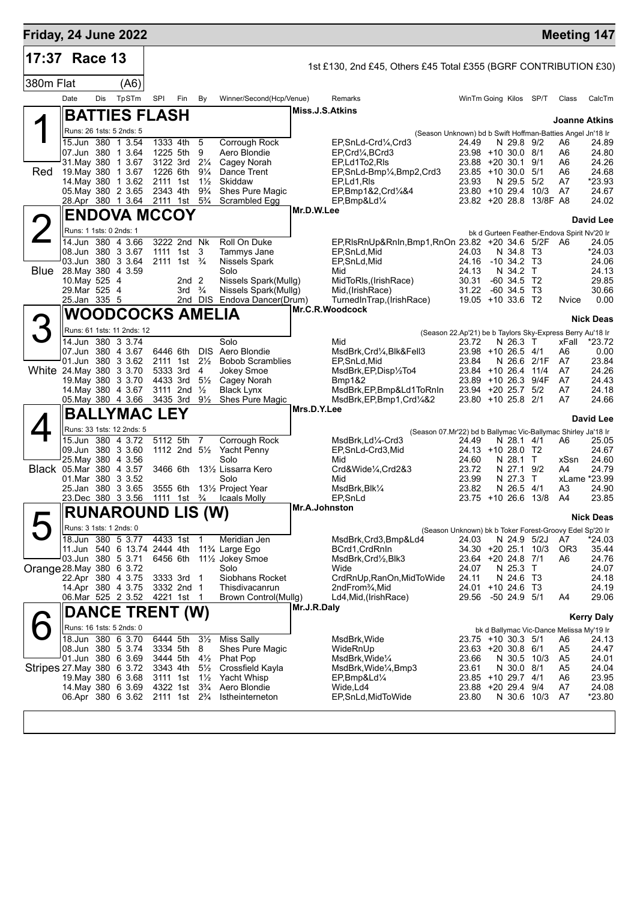| <b>Friday, 24 June 2022</b>    |                                        |     |       |                                                    |                  |                                  |                                              |                 |                                                                                     |                                    |                             |                        |                                             | <b>Meeting 147</b>    |
|--------------------------------|----------------------------------------|-----|-------|----------------------------------------------------|------------------|----------------------------------|----------------------------------------------|-----------------|-------------------------------------------------------------------------------------|------------------------------------|-----------------------------|------------------------|---------------------------------------------|-----------------------|
| 17:37 Race 13                  |                                        |     |       |                                                    |                  |                                  |                                              |                 | 1st £130, 2nd £45, Others £45 Total £355 (BGRF CONTRIBUTION £30)                    |                                    |                             |                        |                                             |                       |
| 380m Flat                      |                                        |     | (A6)  |                                                    |                  |                                  |                                              |                 |                                                                                     |                                    |                             |                        |                                             |                       |
|                                | Date                                   | Dis | TpSTm | SPI                                                | Fin              | By                               | Winner/Second(Hcp/Venue)                     |                 | Remarks                                                                             | WinTm Going Kilos SP/T             |                             |                        | Class                                       | CalcTm                |
|                                | BATTIES FLASH                          |     |       |                                                    |                  |                                  |                                              | Miss.J.S.Atkins |                                                                                     |                                    |                             |                        |                                             |                       |
|                                | Runs: 26 1sts: 5 2nds: 5               |     |       |                                                    |                  |                                  |                                              |                 |                                                                                     |                                    |                             |                        | Joanne Atkins                               |                       |
|                                | 15.Jun 380 1 3.54                      |     |       | 1333 4th                                           |                  | -5                               | Corrough Rock                                |                 | (Season Unknown) bd b Swift Hoffman-Batties Angel Jn'18 Ir<br>EP, SnLd-Crd1/4, Crd3 | 24.49                              | N 29.8 9/2                  |                        | A6                                          | 24.89                 |
|                                | 07.Jun 380 1 3.64                      |     |       | 1225 5th                                           |                  | 9                                | Aero Blondie                                 |                 | EP, Crd <sup>1</sup> / <sub>4</sub> , BCrd3                                         | 23.98 +10 30.0 8/1                 |                             |                        | A6                                          | 24.80                 |
|                                | 31. May 380 1 3.67                     |     |       | 3122 3rd                                           |                  | $2\frac{1}{4}$                   | Cagey Norah                                  |                 | EP,Ld1To2,RIs                                                                       | $23.88 + 20.30.1$                  |                             | 9/1                    | A6                                          | 24.26                 |
| Red                            | 19 May 380 1 3.67<br>14 May 380 1 3.62 |     |       | 1226 6th<br>2111 1st                               |                  | $9\frac{1}{4}$<br>$1\frac{1}{2}$ | Dance Trent<br>Skiddaw                       |                 | EP,SnLd-Bmp1/4,Bmp2,Crd3<br>EP,Ld1,RIs                                              | $23.85 + 10.30.0$<br>23.93         | N 29.5                      | 5/1<br>5/2             | A6<br>A7                                    | 24.68<br>*23.93       |
|                                | 05 May 380 2 3.65                      |     |       | 2343 4th                                           |                  | $9\frac{3}{4}$                   | Shes Pure Magic                              |                 | EP, Bmp1&2, Crd1/4&4                                                                | 23.80 +10 29.4 10/3                |                             |                        | A7                                          | 24.67                 |
|                                | 28.Apr 380 1 3.64                      |     |       | 2111 1st                                           |                  | $5\frac{3}{4}$                   | Scrambled Egg                                |                 | EP,Bmp&Ld1/4                                                                        | 23.82 +20 28.8                     |                             | 13/8F A8               |                                             | 24.02                 |
|                                | <b>ENDOVA MCCOY</b>                    |     |       |                                                    |                  |                                  |                                              | Mr.D.W.Lee      |                                                                                     |                                    |                             |                        |                                             | <b>David Lee</b>      |
|                                | Runs: 1 1sts: 0 2nds: 1                |     |       |                                                    |                  |                                  |                                              |                 |                                                                                     |                                    |                             |                        | bk d Gurteen Feather-Endova Spirit Nv'20 Ir |                       |
|                                | 14.Jun 380 4 3.66<br>08.Jun 380 3 3.67 |     |       | 3222 2nd Nk<br>1111 1st 3                          |                  |                                  | Roll On Duke<br>Tammys Jane                  |                 | EP, RIs Rn Up& Rn In, Bmp1, Rn On 23.82 + 20 34.6 5/2F A6<br>EP, SnLd, Mid          | 24.03                              | N 34.8                      | Т3                     |                                             | 24.05<br>*24.03       |
|                                | 03.Jun 380 3 3.64                      |     |       | 2111 1st 3/4                                       |                  |                                  | Nissels Spark                                |                 | EP, SnLd, Mid                                                                       | 24.16                              | $-10, 34.2, T3$             |                        |                                             | 24.06                 |
| Blue                           | 28. May 380 4 3.59                     |     |       |                                                    |                  |                                  | Solo                                         |                 | Mid                                                                                 | 24.13                              | N 34.2                      | $\top$                 |                                             | 24.13                 |
|                                | 10. May 525 4<br>29. Mar 525 4         |     |       |                                                    | 2nd <sub>2</sub> | $\frac{3}{4}$                    | Nissels Spark(Mullg)<br>Nissels Spark(Mullg) |                 | MidToRIs, (IrishRace)<br>Mid, (IrishRace)                                           | 30.31<br>31.22                     | $-60, 34.5$<br>$-60, 34.5$  | T <sub>2</sub><br>- ТЗ |                                             | 29.85<br>30.66        |
|                                | 25.Jan 335 5                           |     |       |                                                    | 3rd              |                                  | 2nd DIS Endova Dancer(Drum)                  |                 | TurnedInTrap,(IrishRace)                                                            | 19.05 +10 33.6 T2                  |                             |                        | Nvice                                       | 0.00                  |
|                                | <b>WOODCOCKS AMELIA</b>                |     |       |                                                    |                  |                                  |                                              |                 | Mr.C.R.Woodcock                                                                     |                                    |                             |                        |                                             |                       |
|                                | Runs: 61 1sts: 11 2nds: 12             |     |       |                                                    |                  |                                  |                                              |                 |                                                                                     |                                    |                             |                        |                                             | <b>Nick Deas</b>      |
|                                | 14.Jun 380 3 3.74                      |     |       |                                                    |                  |                                  | Solo                                         |                 | (Season 22.Ap'21) be b Taylors Sky-Express Berry Au'18 Ir<br>Mid                    | 23.72                              | N 26.3                      | $\top$                 | xFall                                       | *23.72                |
|                                | 07.Jun 380 4 3.67                      |     |       | 6446 6th                                           |                  | <b>DIS</b>                       | Aero Blondie                                 |                 | MsdBrk,Crd¼,Blk&Fell3                                                               | 23.98 +10 26.5 4/1                 |                             |                        | A6                                          | 0.00                  |
|                                | 01.Jun 380 3 3.62                      |     |       | 2111 1st                                           |                  | $2\frac{1}{2}$                   | <b>Bobob Scramblies</b>                      |                 | EP, SnLd, Mid                                                                       | 23.84                              | N 26.6 2/1F                 |                        | A7                                          | 23.84                 |
| White 24. May 380 3 3.70       | 19 May 380 3 3.70                      |     |       | 5333 3rd<br>4433 3rd                               |                  | 4<br>$5\frac{1}{2}$              | Jokey Smoe<br>Cagey Norah                    |                 | MsdBrk, EP, Disp1/2To4<br>Bmp1&2                                                    | $23.84$ +10 26.4<br>23.89 +10 26.3 |                             | 11/4<br>9/4F           | A7<br>A7                                    | 24.26<br>24.43        |
|                                | 14. May 380 4 3.67                     |     |       | 3111 2nd                                           |                  | $\frac{1}{2}$                    | <b>Black Lynx</b>                            |                 | MsdBrk, EP, Bmp&Ld1ToRnIn                                                           | 23.94 +20 25.7 5/2                 |                             |                        | A7                                          | 24.18                 |
|                                | 05. May 380 4 3.66                     |     |       | 3435 3rd                                           |                  | $9\frac{1}{2}$                   | Shes Pure Magic                              |                 | MsdBrk, EP, Bmp1, Crd1/4&2                                                          | $23.80 + 10.25.8$                  |                             | 2/1                    | A7                                          | 24.66                 |
|                                | <b>BALLYMAC LEY</b>                    |     |       |                                                    |                  |                                  |                                              | Mrs.D.Y.Lee     |                                                                                     |                                    |                             |                        |                                             | <b>David Lee</b>      |
|                                | Runs: 33 1sts: 12 2nds: 5              |     |       |                                                    |                  |                                  |                                              |                 | (Season 07.Mr'22) bd b Ballymac Vic-Ballymac Shirley Ja'18 Ir                       |                                    |                             |                        |                                             |                       |
|                                | 15.Jun 380 4 3.72<br>09.Jun 380 3 3.60 |     |       | 5112 5th                                           |                  | 7<br>1112 2nd $5\frac{1}{2}$     | Corrough Rock<br>Yacht Penny                 |                 | MsdBrk,Ld1/4-Crd3<br>EP, SnLd-Crd3, Mid                                             | 24.49<br>24.13 +10 28.0 T2         | N 28.1                      | 4/1                    | A6                                          | 25.05<br>24.67        |
|                                | 25.May 380 4 3.56                      |     |       |                                                    |                  |                                  | Solo                                         |                 | Mid                                                                                 | 24.60                              | N 28.1                      | T.                     | xSsn                                        | 24.60                 |
| <b>Black 05.Mar 380 4 3.57</b> |                                        |     |       | 3466 6th                                           |                  |                                  | 131/ <sub>2</sub> Lissarra Kero              |                 | Crd&Wide1/4, Crd2&3                                                                 | 23.72                              | N 27.1                      | 9/2                    | A4                                          | 24.79                 |
|                                | 01.Mar 380 3 3.52<br>25.Jan 380 3 3.65 |     |       | 3555 6th                                           |                  |                                  | Solo<br>131/ <sub>2</sub> Project Year       |                 | Mid<br>MsdBrk,Blk1⁄4                                                                | 23.99<br>23.82                     | N 27.3<br>N 26.5            | T<br>4/1               | A3                                          | xLame *23.99<br>24.90 |
|                                | 23.Dec 380 3 3.56                      |     |       | 1111 1st                                           |                  | $\frac{3}{4}$                    | Icaals Molly                                 |                 | EP, SnLd                                                                            | 23.75 +10 26.6 13/8                |                             |                        | A4                                          | 23.85                 |
|                                | <b>RUNAROUND LIS (W)</b>               |     |       |                                                    |                  |                                  |                                              | ∣Mr.A.Johnston  |                                                                                     |                                    |                             |                        |                                             | <b>Nick Deas</b>      |
|                                | Runs: 3 1sts: 1 2nds: 0                |     |       |                                                    |                  |                                  |                                              |                 | (Season Unknown) bk b Toker Forest-Groovy Edel Sp'20 Ir                             |                                    |                             |                        |                                             |                       |
|                                | 18.Jun 380 5 3.77                      |     |       | 4433 1st                                           |                  | $\overline{1}$                   | Meridian Jen                                 |                 | MsdBrk, Crd3, Bmp&Ld4                                                               | 24.03                              | N 24.9 5/2J                 |                        | A7                                          | *24.03                |
|                                | 11.Jun 540 6 13.74 2444 4th            |     |       |                                                    |                  |                                  | 11% Large Ego                                |                 | BCrd1, CrdRnIn                                                                      | 34.30 +20 25.1 10/3                |                             |                        | OR <sub>3</sub>                             | 35.44                 |
| Orange 28. May 380 6 3.72      | 03.Jun 380 5 3.71                      |     |       | 6456 6th                                           |                  |                                  | 111/ <sub>2</sub> Jokey Smoe<br>Solo         |                 | MsdBrk, Crd1/2, Blk3<br>Wide                                                        | 23.64 +20 24.8 7/1<br>24.07        | N 25.3                      | $\top$                 | A6                                          | 24.76<br>24.07        |
|                                | 22.Apr 380 4 3.75                      |     |       | 3333 3rd                                           |                  | $\overline{\phantom{1}}$         | Siobhans Rocket                              |                 | CrdRnUp, RanOn, MidToWide                                                           | 24.11                              | N 24.6 T3                   |                        |                                             | 24.18                 |
|                                | 14.Apr 380 4 3.75                      |     |       | 3332 2nd 1                                         |                  |                                  | Thisdivacanrun                               |                 | 2ndFrom¾,Mid                                                                        | 24.01 +10 24.6 T3                  |                             |                        |                                             | 24.19                 |
|                                | 06.Mar 525 2 3.52                      |     |       | 4221 1st 1                                         |                  |                                  | Brown Control(Mullg)                         |                 | Ld4, Mid, (Irish Race)                                                              | 29.56                              | -50 24.9 5/1                |                        | A4                                          | 29.06                 |
|                                | <b>DANCE TRENT (W)</b>                 |     |       |                                                    |                  |                                  |                                              | Mr.J.R.Daly     |                                                                                     |                                    |                             |                        |                                             | <b>Kerry Daly</b>     |
|                                | Runs: 16 1sts: 5 2nds: 0               |     |       |                                                    |                  |                                  |                                              |                 |                                                                                     |                                    |                             |                        | bk d Ballymac Vic-Dance Melissa My'19 Ir    |                       |
|                                | 18.Jun 380 6 3.70                      |     |       | 6444 5th                                           |                  | $3\frac{1}{2}$                   | <b>Miss Sally</b><br>Shes Pure Magic         |                 | MsdBrk, Wide                                                                        | 23.75 +10 30.3 5/1                 |                             |                        | A6                                          | 24.13                 |
|                                | 08.Jun 380 5 3.74<br>01.Jun 380 6 3.69 |     |       | 3334 5th<br>3444 5th                               |                  | 8<br>$4\frac{1}{2}$              | Phat Pop                                     |                 | WideRnUp<br>MsdBrk, Wide <sup>1</sup> / <sub>4</sub>                                | 23.63 +20 30.8 6/1<br>23.66        | N 30.5 10/3                 |                        | A5<br>A5                                    | 24.47<br>24.01        |
| Stripes 27. May 380 6 3.72     |                                        |     |       | 3343 4th                                           |                  | $5\frac{1}{2}$                   | Crossfield Kayla                             |                 | MsdBrk, Wide 1/4, Bmp3                                                              | 23.61                              | N 30.0 8/1                  |                        | A5                                          | 24.04                 |
|                                | 19 May 380 6 3.68                      |     |       | 3111 1st                                           |                  | $1\frac{1}{2}$                   | Yacht Whisp                                  |                 | EP,Bmp&Ld1/4                                                                        | 23.85 +10 29.7 4/1                 |                             |                        | A6                                          | 23.95                 |
|                                | 14 May 380 6 3.69<br>06.Apr 380 6 3.62 |     |       | 4322 1st<br>2111 1st 2 <sup>3</sup> / <sub>4</sub> |                  | $3\frac{3}{4}$                   | Aero Blondie<br>Istheinterneton              |                 | Wide,Ld4<br>EP, SnLd, MidToWide                                                     | 23.88<br>23.80                     | +20 29.4 9/4<br>N 30.6 10/3 |                        | A7<br>A7                                    | 24.08<br>*23.80       |
|                                |                                        |     |       |                                                    |                  |                                  |                                              |                 |                                                                                     |                                    |                             |                        |                                             |                       |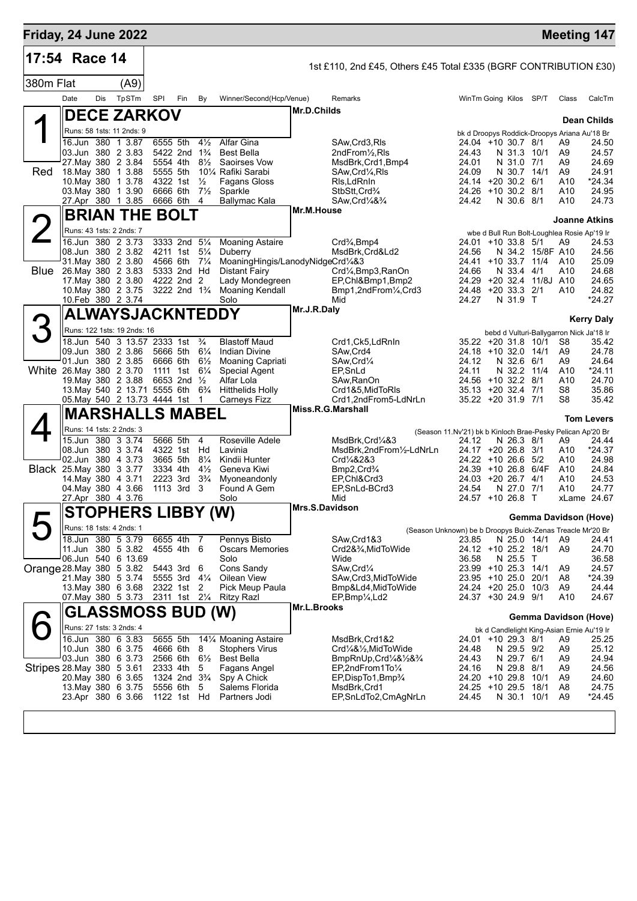| Friday, 24 June 2022 |      |                         |
|----------------------|------|-------------------------|
| $ 17:54$ Race 14     |      | 1st £110, 2nd £45, Othe |
| 380m Flat            | 'A9) |                         |

1

**DECE ZARKOV**

|  |  | 1st £110, 2nd £45, Others £45 Total £335 (BGRF CONTRIBUTION £30) |  |
|--|--|------------------------------------------------------------------|--|
|  |  |                                                                  |  |

Date Dis TpSTm SPI Fin By Winner/Second(Hcp/Venue) Remarks WinTm Going Kilos SP/T Class CalcTm

## **Dean Childs**

|          | Runs: 58 1sts: 11 2nds: 9                                    |                                                    |                                           |                |                                                                                                                          |                                          |          |                          |                  | bk d Droopys Roddick-Droopys Ariana Au'18 Br |                   |
|----------|--------------------------------------------------------------|----------------------------------------------------|-------------------------------------------|----------------|--------------------------------------------------------------------------------------------------------------------------|------------------------------------------|----------|--------------------------|------------------|----------------------------------------------|-------------------|
|          | 16.Jun 380 1 3.87                                            | 6555 5th<br>$4\frac{1}{2}$                         | Alfar Gina                                |                | SAw, Crd3, RIs                                                                                                           | 24.04 +10 30.7 8/1                       |          |                          |                  | A9                                           | 24.50             |
|          | 03.Jun 380 2 3.83                                            | 5422 2nd 1 <sup>3</sup> / <sub>4</sub>             | Best Bella                                |                | $2ndFrom\frac{1}{2}Rls$                                                                                                  | 24.43                                    |          | N 31.3 10/1              |                  | A9                                           | 24.57             |
|          | 27. May 380 2 3.84                                           | 5554 4th<br>$8\frac{1}{2}$                         | Saoirses Vow                              |                | MsdBrk, Crd1, Bmp4                                                                                                       | 24.01                                    |          | N 31.0 7/1               |                  | A9                                           | 24.69             |
| Red      | 18. May 380 1 3.88                                           | 5555 5th                                           | 101/4 Rafiki Sarabi                       |                | SAw, Crd <sup>1</sup> / <sub>4</sub> , RIs                                                                               | 24.09                                    |          | N 30.7 14/1              |                  | A9                                           | 24.91             |
|          | 10. May 380 1 3.78                                           | 4322 1st<br>$\frac{1}{2}$                          | Fagans Gloss                              |                | Ris,LdRnin                                                                                                               | 24.14 +20 30.2 6/1                       |          |                          |                  | A10                                          | *24.34            |
|          | 03. May 380 1 3.90                                           | 6666 6th<br>$7\frac{1}{2}$                         | Sparkle                                   |                | StbStt,Crd <sup>3</sup> /4                                                                                               | 24.26                                    |          | +10 30.2 8/1             |                  | A10                                          | 24.95             |
|          | 27.Apr 380 1 3.85                                            | 6666 6th<br>$\overline{4}$                         | Ballymac Kala                             |                | SAw, Crd <sup>1</sup> / <sub>4</sub> & <sup>3</sup> / <sub>4</sub>                                                       | 24.42                                    |          | N 30.6 8/1               |                  | A10                                          | 24.73             |
|          | <b>BRIAN THE BOLT</b>                                        |                                                    |                                           | Mr.M.House     |                                                                                                                          |                                          |          |                          |                  | <b>Joanne Atkins</b>                         |                   |
| $\angle$ | Runs: 43 1sts: 2 2nds: 7                                     |                                                    |                                           |                |                                                                                                                          |                                          |          |                          |                  | wbe d Bull Run Bolt-Loughlea Rosie Ap'19 Ir  |                   |
|          | 16.Jun 380 2 3.73                                            | 3333 2nd 51/4                                      | <b>Moaning Astaire</b>                    |                | Crd <sup>3</sup> / <sub>4</sub> , Bmp4                                                                                   | $24.01 + 10.33.8$ 5/1                    |          |                          |                  | A9                                           | 24.53             |
|          | 08.Jun 380 2 3.82                                            | 4211 1st<br>$5\frac{1}{4}$                         | Duberry                                   |                | MsdBrk, Crd&Ld2                                                                                                          | 24.56                                    |          |                          | N 34.2 15/8F A10 |                                              | 24.56             |
|          | 31. May 380 2 3.80                                           | 4566 6th<br>$7\frac{1}{4}$                         | MoaningHingis/LanodyNidgeCrd1/4&3         |                |                                                                                                                          | 24.41                                    |          | $+10$ 33.7 11/4          |                  | A10                                          | 25.09             |
| Blue     | 26. May 380 2 3.83<br>17. May 380 2 3.80                     | 5333 2nd Hd<br>4222 2nd 2                          | Distant Fairy                             |                | Crd1/ <sub>4</sub> , Bmp3, RanOn                                                                                         | 24.66<br>24.29                           |          | N 33.4 4/1<br>+20 32.4   | 11/8J A10        | A10                                          | 24.68<br>24.65    |
|          | 10. May 380 2 3.75                                           | 3222 2nd 1 <sup>3</sup> / <sub>4</sub>             | Lady Mondegreen<br><b>Moaning Kendall</b> |                | EP, Chl&Bmp1, Bmp2<br>Bmp1,2ndFrom1/4,Crd3                                                                               | 24.48                                    |          | +20 33.3 2/1             |                  | A10                                          | 24.82             |
|          | 10.Feb 380 2 3.74                                            |                                                    | Solo                                      |                | Mid                                                                                                                      | 24.27                                    |          | N 31.9 T                 |                  |                                              | *24.27            |
|          |                                                              |                                                    |                                           | Mr.J.R.Daly    |                                                                                                                          |                                          |          |                          |                  |                                              |                   |
|          | ALWAYSJACKNTEDDY                                             |                                                    |                                           |                |                                                                                                                          |                                          |          |                          |                  |                                              | <b>Kerry Daly</b> |
|          | Runs: 122 1sts: 19 2nds: 16                                  |                                                    |                                           |                |                                                                                                                          |                                          |          |                          |                  | bebd d Vulturi-Ballygarron Nick Ja'18 Ir     |                   |
|          | 18.Jun 540 3 13.57 2333 1st 3/4                              |                                                    | <b>Blastoff Maud</b>                      |                | Crd1,Ck5,LdRnIn                                                                                                          | 35.22 +20 31.8 10/1                      |          |                          |                  | S8                                           | 35.42             |
|          | 09.Jun 380 2 3.86                                            | 5666 5th 61/4                                      | <b>Indian Divine</b>                      |                | SAw, Crd4                                                                                                                | 24.18                                    |          | +10 32.0 14/1            |                  | A9                                           | 24.78             |
|          | 01.Jun 380 2 3.85                                            | 6666 6th<br>$6\frac{1}{2}$                         | Moaning Capriati                          |                | SAw, Crd <sup>1</sup> / <sub>4</sub>                                                                                     | 24.12                                    |          | N 32.6 6/1               |                  | A9                                           | 24.64             |
|          | White 26.May 380 2 3.70                                      | 1111 1st<br>$6\frac{1}{4}$                         | Special Agent                             |                | EP, SnLd                                                                                                                 | 24.11                                    |          | N 32.2                   | - 11/4           | A <sub>10</sub>                              | *24.11            |
|          | 19. May 380 2 3.88                                           | 6653 2nd 1/2                                       | Alfar Lola                                |                | SAw.RanOn                                                                                                                | 24.56 +10 32.2 8/1                       |          |                          |                  | A10                                          | 24.70             |
|          | 13. May 540 2 13.71 5555 6th<br>05. May 540 2 13.73 4444 1st | $6\frac{3}{4}$<br>$\overline{1}$                   | <b>Hitthelids Holly</b>                   |                | Crd1&5, MidToRIs<br>Crd1,2ndFrom5-LdNrLn                                                                                 | 35.13 +20 32.4 7/1<br>35.22 +20 31.9 7/1 |          |                          |                  | S <sub>8</sub><br>S8                         | 35.86<br>35.42    |
|          |                                                              |                                                    | Carneys Fizz                              |                | Miss.R.G.Marshall                                                                                                        |                                          |          |                          |                  |                                              |                   |
|          | <b>MARSHALLS MABEL</b>                                       |                                                    |                                           |                |                                                                                                                          |                                          |          |                          |                  |                                              | <b>Tom Levers</b> |
|          | Runs: 14 1sts: 2 2nds: 3                                     |                                                    |                                           |                | (Season 11.Nv'21) bk b Kinloch Brae-Pesky Pelican Ap'20 Br                                                               |                                          |          |                          |                  |                                              |                   |
|          | 15.Jun 380 3 3.74                                            | 5666 5th<br>4                                      | Roseville Adele                           |                | MsdBrk, Crd1/4&3                                                                                                         | 24.12                                    |          | N 26.3 8/1               |                  | A9                                           | 24.44             |
|          | 08.Jun 380 3 3.74                                            | 4322 1st<br>Hd                                     | Lavinia                                   |                | MsdBrk,2ndFrom1/2-LdNrLn                                                                                                 | 24.17 +20 26.8 3/1                       |          |                          |                  | A10                                          | *24.37            |
|          | 02.Jun 380 4 3.73                                            | 3665 5th<br>$8\frac{1}{4}$                         | Kindii Hunter                             |                | Crd1/4&2&3                                                                                                               | $24.22 + 1026.65$                        |          |                          |                  | A10                                          | 24.98             |
|          | <b>Black</b> 25. May 380 3 3.77                              | 3334 4th<br>$4\frac{1}{2}$                         | Geneva Kiwi                               |                | Bmp2, Crd <sup>3</sup> / <sub>4</sub><br>EP.Chl&Crd3                                                                     | $24.39 + 1026.8$                         |          |                          | 6/4F             | A10<br>A10                                   | 24.84<br>24.53    |
|          |                                                              |                                                    |                                           |                |                                                                                                                          |                                          |          |                          |                  |                                              | 24.77             |
|          | 14 May 380 4 3.71                                            | 2223 3rd<br>$3\frac{3}{4}$                         | Myoneandonly                              |                |                                                                                                                          | 24.03 +20 26.7 4/1                       |          |                          |                  |                                              |                   |
|          | 04. May 380 4 3.66                                           | 1113 3rd 3                                         | Found A Gem                               |                | EP, SnLd-BCrd3                                                                                                           | 24.54                                    |          | N 27.0 7/1               |                  | A10                                          |                   |
|          | 27.Apr 380 4 3.76                                            |                                                    | Solo                                      |                | Mid                                                                                                                      | 24.57 +10 26.8 T                         |          |                          |                  | xLame 24.67                                  |                   |
|          | <b>STOPHERS LIBBY (W)</b>                                    |                                                    |                                           | Mrs.S.Davidson |                                                                                                                          |                                          |          |                          |                  | Gemma Davidson (Hove)                        |                   |
|          | Runs: 18 1sts: 4 2nds: 1                                     |                                                    |                                           |                | (Season Unknown) be b Droopys Buick-Zenas Treacle Mr'20 Br                                                               |                                          |          |                          |                  |                                              |                   |
|          | 18.Jun 380 5 3.79                                            | 6655 4th<br>- 7                                    | Pennys Bisto                              |                | SAw, Crd1&3                                                                                                              | 23.85                                    |          | N 25.0 14/1              |                  | A9                                           | 24.41             |
|          | 11.Jun 380 5 3.82                                            | 4555 4th 6                                         | <b>Oscars Memories</b>                    |                | Crd2&3⁄4, MidToWide                                                                                                      | 24.12 +10 25.2 18/1                      |          |                          |                  | A <sub>9</sub>                               | 24.70             |
|          | 06.Jun 540 6 13.69                                           |                                                    | Solo                                      |                | Wide                                                                                                                     | 36.58                                    |          | N 25.5                   | $\top$           |                                              | 36.58             |
|          | Orange 28. May 380 5 3.82                                    | 5443 3rd 6                                         | Cons Sandy                                |                | SAw, Crd1/4                                                                                                              | $23.99 + 1025.3$                         |          |                          | 14/1             | A <sub>9</sub>                               | 24.57             |
|          | 21. May 380 5 3.74                                           | 5555 3rd 41/4                                      | Oilean View                               |                | SAw, Crd3, MidToWide                                                                                                     | 23.95 +10 25.0                           |          |                          | 20/1             | A8                                           | *24.39            |
|          | 13. May 380 6 3.68<br>07 May 380 5 3.73                      | 2322 1st<br>$\overline{2}$<br>2311 1st 21/4        | Pick Meup Paula<br>Ritzy Razl             |                | Bmp&Ld4,MidToWide<br>$EP,Bmp\frac{1}{4}Ld2$                                                                              | 24.24<br>24.37 +30 24.9 9/1              | +20 25.0 |                          | 10/3             | A <sub>9</sub><br>A10                        | 24.44<br>24.67    |
|          |                                                              |                                                    |                                           | Mr.L.Brooks    |                                                                                                                          |                                          |          |                          |                  |                                              |                   |
|          | <b>GLASSMOSS BUD (W)</b>                                     |                                                    |                                           |                |                                                                                                                          |                                          |          |                          |                  | <b>Gemma Davidson (Hove)</b>                 |                   |
|          | Runs: 27 1sts: 3 2nds: 4                                     |                                                    |                                           |                |                                                                                                                          |                                          |          |                          |                  | bk d Candlelight King-Asian Ernie Au'19 Ir   |                   |
|          | 16.Jun 380 6 3.83                                            | 5655 5th                                           | 141/4 Moaning Astaire                     |                | MsdBrk, Crd1&2                                                                                                           | 24.01 +10 29.3 8/1                       |          |                          |                  | A9                                           | 25.25             |
|          | 10.Jun 380 6 3.75                                            | 4666 6th<br>8                                      | <b>Stophers Virus</b>                     |                | Crd1/4&1/2, MidToWide                                                                                                    | 24.48                                    |          | N 29.5 9/2               |                  | A <sub>9</sub>                               | 25.12             |
|          | 03.Jun 380 6 3.73                                            | 2566 6th 61/2<br>5                                 | <b>Best Bella</b>                         |                | BmpRnUp, Crd <sup>1</sup> / <sub>4</sub> & <sup>1</sup> / <sub>2</sub> & <sup>3</sup> / <sub>4</sub><br>EP,2ndFrom1To1/4 | 24.43<br>24.16                           |          | N 29.7 6/1<br>N 29.8 8/1 |                  | A9<br>A <sub>9</sub>                         | 24.94             |
|          | Stripes 28. May 380 5 3.61<br>20. May 380 6 3.65             | 2333 4th<br>1324 2nd 3 <sup>3</sup> / <sub>4</sub> | Fagans Angel<br>Spy A Chick               |                |                                                                                                                          | 24.20 +10 29.8 10/1                      |          |                          |                  | A <sub>9</sub>                               | 24.56             |
|          | 13. May 380 6 3.75                                           | 5556 6th                                           | Salems Florida                            |                | EP, DispTo1, Bmp3/4<br>MsdBrk, Crd1                                                                                      | 24.25                                    |          | +10 29.5 18/1            |                  | A <sub>8</sub>                               | 24.60<br>24.75    |
|          | 23.Apr 380 6 3.66                                            | $5\phantom{.0}$<br>1122 1st Hd                     | Partners Jodi                             |                | EP,SnLdTo2,CmAgNrLn                                                                                                      | 24.45                                    |          | N 30.1 10/1              |                  | A9                                           | *24.45            |

**Mr.D.Childs**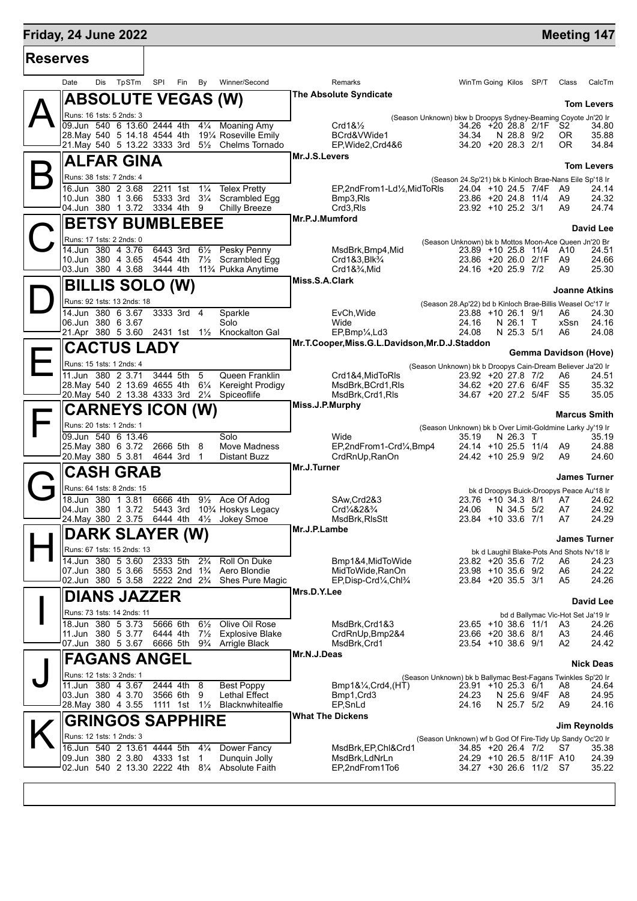# **Friday, 24 June 2022 Meeting 147**

| <b>Reserves</b> |      |     |                                                                   |     |                                        |                |                                                                                             |                                                                    |                |                                                                                  |            |                                    |
|-----------------|------|-----|-------------------------------------------------------------------|-----|----------------------------------------|----------------|---------------------------------------------------------------------------------------------|--------------------------------------------------------------------|----------------|----------------------------------------------------------------------------------|------------|------------------------------------|
|                 | Date | Dis | TpSTm                                                             | SPI | Fin                                    | By             | Winner/Second                                                                               | Remarks                                                            |                | WinTm Going Kilos SP/T                                                           | Class      | CalcTm                             |
|                 |      |     | <b>ABSOLUTE VEGAS (W)</b>                                         |     |                                        |                |                                                                                             | The Absolute Syndicate                                             |                |                                                                                  |            | <b>Tom Levers</b>                  |
|                 |      |     | Runs: 16 1sts: 5 2nds: 3                                          |     |                                        |                |                                                                                             | (Season Unknown) bkw b Droopys Sydney-Beaming Coyote Jn'20 Ir      |                |                                                                                  |            |                                    |
|                 |      |     | 09.Jun 540 6 13.60 2444 4th<br>28. May 540 5 14.18 4544 4th       |     |                                        |                | 41/4 Moaning Amy<br>191⁄4 Roseville Emily                                                   | Crd1&1/2<br>BCrd&VWide1                                            | 34.34          | 34.26 +20 28.8 2/1F<br>N 28.8 9/2                                                | S2<br>OR.  | 34.80<br>35.88                     |
|                 |      |     | 21.May 540 5 13.22 3333 3rd                                       |     |                                        |                | 51/ <sub>2</sub> Chelms Tornado                                                             | EP, Wide 2, Crd 4&6                                                |                | 34.20 +20 28.3 2/1                                                               | 0R         | 34.84                              |
|                 |      |     | <b>ALFAR GINA</b>                                                 |     |                                        |                |                                                                                             | Mr.J.S.Levers                                                      |                |                                                                                  |            | <b>Tom Levers</b>                  |
|                 |      |     | Runs: 38 1sts: 7 2nds: 4                                          |     |                                        |                |                                                                                             |                                                                    |                | (Season 24.Sp'21) bk b Kinloch Brae-Nans Eile Sp'18 Ir                           |            |                                    |
|                 |      |     | 16.Jun 380 2 3.68<br>10.Jun 380 1 3.66                            |     | 2211 1st                               |                | 1 <sup>1</sup> / <sub>4</sub> Telex Pretty<br>5333 3rd 31/4 Scrambled Egg                   | EP,2ndFrom1-Ld1/2,MidToRIs<br>Bmp3,RIs                             |                | 24.04 +10 24.5 7/4F<br>23.86 +20 24.8 11/4                                       | A9<br>A9   | 24.14<br>24.32                     |
|                 |      |     | 04.Jun 380 1 3.72 3334 4th 9                                      |     |                                        |                | Chilly Breeze                                                                               | Crd3,RIs                                                           |                | 23.92 +10 25.2 3/1                                                               | A9         | 24.74                              |
|                 |      |     | <b>BETSY BUMBLEBEE</b>                                            |     |                                        |                |                                                                                             | Mr.P.J.Mumford                                                     |                |                                                                                  |            | <b>David Lee</b>                   |
|                 |      |     | Runs: 17 1sts: 2 2nds: 0                                          |     |                                        |                |                                                                                             |                                                                    |                | (Season Unknown) bk b Mottos Moon-Ace Queen Jn'20 Br                             |            |                                    |
|                 |      |     | 14.Jun 380 4 3.76                                                 |     | 6443 3rd<br>4544 4th                   | $6\frac{1}{2}$ | Pesky Penny                                                                                 | MsdBrk, Bmp4, Mid                                                  |                | 23.89 +10 25.8 11/4 A10<br>23.86 +20 26.0 2/1F                                   | A9         | 24.51<br>24.66                     |
|                 |      |     | 10.Jun 380 4 3.65<br>03.Jun 380 4 3.68                            |     | 3444 4th                               |                | 7 <sup>1</sup> / <sub>2</sub> Scrambled Egg<br>11 <sup>3</sup> / <sub>4</sub> Pukka Anytime | Crd1&3.Blk <sup>3</sup> / <sub>4</sub><br>$Crd1&\frac{3}{4}$ , Mid |                | 24.16 +20 25.9 7/2                                                               | A9         | 25.30                              |
|                 |      |     | <b>BILLIS SOLO (W)</b>                                            |     |                                        |                |                                                                                             | Miss.S.A.Clark                                                     |                |                                                                                  |            |                                    |
|                 |      |     | Runs: 92 1sts: 13 2nds: 18                                        |     |                                        |                |                                                                                             |                                                                    |                | (Season 28.Ap'22) bd b Kinloch Brae-Billis Weasel Oc'17 Ir                       |            | <b>Joanne Atkins</b>               |
|                 |      |     | 14.Jun 380 6 3.67                                                 |     | 3333 3rd 4                             |                | Sparkle                                                                                     | EvCh, Wide                                                         |                | 23.88 +10 26.1 9/1                                                               | A6         | 24.30                              |
|                 |      |     | 06.Jun 380 6 3.67                                                 |     |                                        |                | Solo<br>21.Apr 380 5 3.60 2431 1st 11/2 Knockalton Gal                                      | Wide<br>EP,Bmp1/ <sub>4</sub> ,Ld3                                 | 24.16<br>24.08 | N 26.1 T<br>N 25.3 5/1                                                           | xSsn<br>A6 | 24.16<br>24.08                     |
|                 |      |     | <b>CACTUS LADY</b>                                                |     |                                        |                |                                                                                             | Mr.T.Cooper, Miss.G.L.Davidson, Mr.D.J.Staddon                     |                |                                                                                  |            |                                    |
|                 |      |     | Runs: 15 1sts: 1 2nds: 4                                          |     |                                        |                |                                                                                             |                                                                    |                |                                                                                  |            | <b>Gemma Davidson (Hove)</b>       |
|                 |      |     | 11.Jun 380 2 3.71                                                 |     | 3444 5th                               | 5              | Queen Franklin                                                                              | Crd1&4, MidToRIs                                                   |                | (Season Unknown) bk b Droopys Cain-Dream Believer Ja'20 Ir<br>23.92 +20 27.8 7/2 | A6         | 24.51                              |
|                 |      |     | 28. May 540 2 13.69 4655 4th<br>20. May 540 2 13.38 4333 3rd 21/4 |     |                                        | $6\frac{1}{4}$ | Kereight Prodigy<br>Spiceoflife                                                             | MsdBrk, BCrd1, RIs<br>MsdBrk, Crd1, RIs                            |                | 34.62 +20 27.6 6/4F<br>34.67 +20 27.2 5/4F                                       | S5<br>- S5 | 35.32<br>35.05                     |
|                 |      |     |                                                                   |     |                                        |                |                                                                                             | Miss.J.P.Murphy                                                    |                |                                                                                  |            |                                    |
|                 |      |     | <b>CARNEYS ICON (W)</b><br>Runs: 20 1sts: 1 2nds: 1               |     |                                        |                |                                                                                             |                                                                    |                |                                                                                  |            | <b>Marcus Smith</b>                |
|                 |      |     | 09.Jun 540 6 13.46                                                |     |                                        |                | Solo                                                                                        | Wide                                                               | 35.19          | (Season Unknown) bk b Over Limit-Goldmine Larky Jy'19 Ir<br>N 26.3 T             |            | 35.19                              |
|                 |      |     | 25. May 380 6 3.72<br>20. May 380 5 3.81                          |     | 2666 5th 8<br>4644 3rd                 | $\overline{1}$ | Move Madness<br>Distant Buzz                                                                | EP,2ndFrom1-Crd1/4,Bmp4<br>CrdRnUp, RanOn                          |                | 24.14 +10 25.5 11/4<br>24.42 +10 25.9 9/2                                        | A9<br>A9   | 24.88<br>24.60                     |
|                 |      |     |                                                                   |     |                                        |                |                                                                                             | Mr.J.Turner                                                        |                |                                                                                  |            |                                    |
|                 |      |     | <b>CASH GRAB</b>                                                  |     |                                        |                |                                                                                             |                                                                    |                |                                                                                  |            | <b>James Turner</b>                |
|                 |      |     | Runs: 64 1sts: 8 2nds: 15<br>18.Jun 380 1 3.81                    |     | 6666 4th                               |                | 91/ <sub>2</sub> Ace Of Adog                                                                | SAw, Crd2&3                                                        |                | bk d Droopys Buick-Droopys Peace Au'18 Ir<br>23.76 +10 34.3 8/1                  | A7         | 24.62                              |
|                 |      |     | 04.Jun 380 1 3.72                                                 |     | 5443 3rd                               |                | 10¾ Hoskys Legacy                                                                           | Crd <sup>1</sup> / <sub>4</sub> &2& <sup>3</sup> / <sub>4</sub>    | 24.06          | N 34.5 5/2                                                                       | A7         | 24.92                              |
|                 |      |     | 24.May 380 2 3.75                                                 |     |                                        |                | 6444 4th $4\frac{1}{2}$ Jokey Smoe                                                          | MsdBrk, RIsStt<br>Mr.J.P.Lambe                                     |                | 23.84 +10 33.6 7/1                                                               | A7         | 24.29                              |
|                 |      |     | DARK SLAYER (W)                                                   |     |                                        |                |                                                                                             |                                                                    |                |                                                                                  |            | James Turner                       |
|                 |      |     | Runs: 67 1sts: 15 2nds: 13<br>14.Jun 380 5 3.60                   |     | 2333 5th                               | $2\frac{3}{4}$ | Roll On Duke                                                                                | Bmp1&4, MidTo Wide                                                 |                | bk d Laughil Blake-Pots And Shots Nv'18 Ir<br>23.82 +20 35.6 7/2                 | A6         | 24.23                              |
|                 |      |     | 07.Jun 380 5 3.66                                                 |     | 5553 2nd 1 <sup>3</sup> / <sub>4</sub> |                | Aero Blondie                                                                                | MidToWide, RanOn                                                   |                | 23.98 +10 35.6 9/2                                                               | A6         | 24.22                              |
|                 |      |     | 02.Jun 380 5 3.58                                                 |     |                                        |                | 2222 2nd 2 <sup>3</sup> / <sub>4</sub> Shes Pure Magic                                      | EP, Disp-Crd1/4, Chl3/4<br>Mrs.D.Y.Lee                             |                | 23.84 +20 35.5 3/1                                                               | A5         | 24.26                              |
|                 |      |     | <b>DIANS JAZZER</b>                                               |     |                                        |                |                                                                                             |                                                                    |                |                                                                                  |            | <b>David Lee</b>                   |
|                 |      |     | Runs: 73 1sts: 14 2nds: 11                                        |     | 5666 6th                               | $6\frac{1}{2}$ |                                                                                             |                                                                    |                |                                                                                  |            | bd d Ballymac Vic-Hot Set Ja'19 Ir |
|                 |      |     | 18.Jun 380 5 3.73<br>11.Jun 380 5 3.77                            |     | 6444 4th                               | $7\frac{1}{2}$ | Olive Oil Rose<br><b>Explosive Blake</b>                                                    | MsdBrk, Crd1&3<br>CrdRnUp, Bmp2&4                                  |                | 23.65 +10 38.6 11/1<br>23.66 +20 38.6 8/1                                        | A3<br>A3   | 24.26<br>24.46                     |
|                 |      |     | 07.Jun 380 5 3.67                                                 |     |                                        |                | 6666 5th 9 <sup>3</sup> / <sub>4</sub> Arrigle Black                                        | MsdBrk,Crd1                                                        |                | 23.54 +10 38.6 9/1                                                               | A2         | 24.42                              |
|                 |      |     | <b>FAGANS ANGEL</b>                                               |     |                                        |                |                                                                                             | Mr.N.J.Deas                                                        |                |                                                                                  |            | <b>Nick Deas</b>                   |
|                 |      |     | Runs: 12 1sts: 3 2nds: 1                                          |     |                                        |                |                                                                                             |                                                                    |                | (Season Unknown) bk b Ballymac Best-Fagans Twinkles Sp'20 Ir                     |            |                                    |
|                 |      |     | 11.Jun 380 4 3.67<br>03.Jun 380 4 3.70                            |     | 2444 4th<br>3566 6th                   | 8<br>9         | <b>Best Poppy</b><br><b>Lethal Effect</b>                                                   | $Bmp1&\frac{1}{4}Crd4,(HT)$<br>Bmp1, Crd3                          | 24.23          | 23.91 +10 25.3 6/1<br>N 25.6 9/4F                                                | A8<br>A8   | 24.64<br>24.95                     |
|                 |      |     | 28. May 380 4 3.55                                                |     | 1111 1st 11/ <sub>2</sub>              |                | Blacknwhitealfie                                                                            | EP, SnLd                                                           | 24.16          | N 25.7 5/2                                                                       | A9         | 24.16                              |
|                 |      |     | <b>GRINGOS SAPPHIRE</b>                                           |     |                                        |                |                                                                                             | <b>What The Dickens</b>                                            |                |                                                                                  |            | Jim Reynolds                       |
|                 |      |     | Runs: 12 1sts: 1 2nds: 3                                          |     |                                        |                |                                                                                             |                                                                    |                | (Season Unknown) wf b God Of Fire-Tidy Up Sandy Oc'20 Ir                         |            |                                    |
|                 |      |     | 16.Jun 540 2 13.61 4444 5th                                       |     |                                        | $4\frac{1}{4}$ | Dower Fancy                                                                                 | MsdBrk, EP, Chl&Crd1                                               |                | 34.85 +20 26.4 7/2                                                               | S7         | 35.38                              |
|                 |      |     | 09.Jun 380 2 3.80                                                 |     | 4333 1st                               | 1              | Dunquin Jolly                                                                               | MsdBrk,LdNrLn                                                      |                | 24.29 +10 26.5 8/11F A10                                                         |            | 24.39                              |